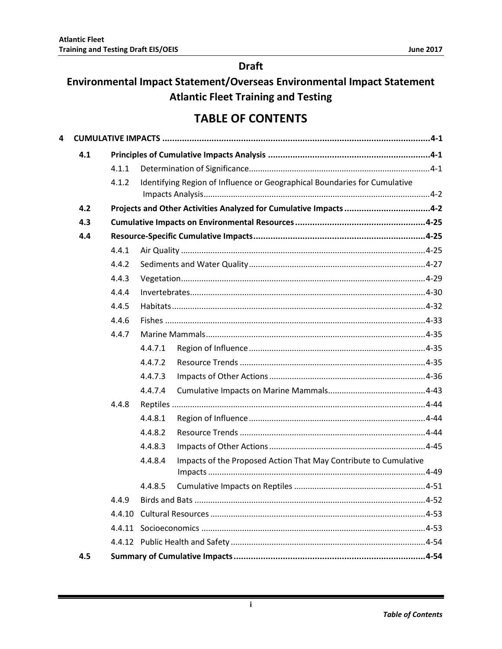## **Draft**

## Environmental Impact Statement/Overseas Environmental Impact Statement **Atlantic Fleet Training and Testing**

## **TABLE OF CONTENTS**

| 4 |     |       |                       |                                                                           |       |
|---|-----|-------|-----------------------|---------------------------------------------------------------------------|-------|
|   | 4.1 |       |                       |                                                                           |       |
|   |     | 4.1.1 |                       |                                                                           |       |
|   |     | 4.1.2 |                       | Identifying Region of Influence or Geographical Boundaries for Cumulative |       |
|   | 4.2 |       |                       | Projects and Other Activities Analyzed for Cumulative Impacts 4-2         |       |
|   | 4.3 |       |                       |                                                                           |       |
|   | 4.4 |       |                       |                                                                           |       |
|   |     | 4.4.1 |                       |                                                                           |       |
|   |     | 4.4.2 |                       |                                                                           |       |
|   |     | 4.4.3 |                       |                                                                           |       |
|   |     | 4.4.4 |                       |                                                                           |       |
|   |     | 4.4.5 |                       |                                                                           |       |
|   |     | 4.4.6 |                       |                                                                           |       |
|   |     | 4.4.7 |                       |                                                                           |       |
|   |     |       | 4.4.7.1               |                                                                           |       |
|   |     |       | 4.4.7.2               |                                                                           |       |
|   |     |       | 4.4.7.3               |                                                                           |       |
|   |     |       | 4.4.7.4               |                                                                           |       |
|   |     | 4.4.8 |                       |                                                                           |       |
|   |     |       | 4.4.8.1               |                                                                           |       |
|   |     |       | 4.4.8.2               |                                                                           |       |
|   |     |       | 4.4.8.3               |                                                                           |       |
|   |     |       | 4.4.8.4               | Impacts of the Proposed Action That May Contribute to Cumulative          |       |
|   |     |       | 4.4.8.5               |                                                                           |       |
|   |     | 4.4.9 | <b>Birds and Bats</b> |                                                                           | .4-52 |
|   |     |       |                       |                                                                           |       |
|   |     |       |                       |                                                                           |       |
|   |     |       |                       |                                                                           |       |
|   | 4.5 |       |                       |                                                                           |       |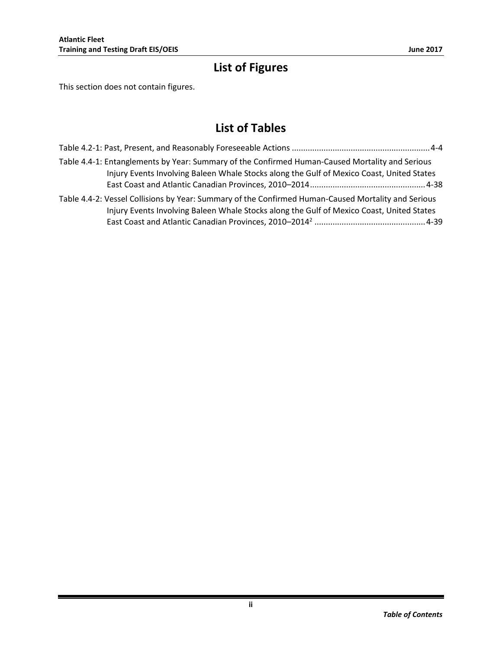# **List of Figures**

This section does not contain figures.

## **List of Tables**

| Table 4.4-1: Entanglements by Year: Summary of the Confirmed Human-Caused Mortality and Serious<br>Injury Events Involving Baleen Whale Stocks along the Gulf of Mexico Coast, United States     |  |
|--------------------------------------------------------------------------------------------------------------------------------------------------------------------------------------------------|--|
| Table 4.4-2: Vessel Collisions by Year: Summary of the Confirmed Human-Caused Mortality and Serious<br>Injury Events Involving Baleen Whale Stocks along the Gulf of Mexico Coast, United States |  |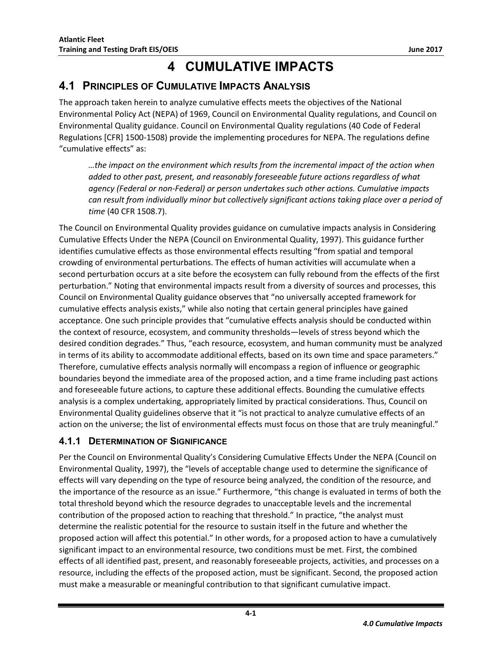# **4 CUMULATIVE IMPACTS**

## <span id="page-2-1"></span><span id="page-2-0"></span>**4.1 PRINCIPLES OF CUMULATIVE IMPACTS ANALYSIS**

The approach taken herein to analyze cumulative effects meets the objectives of the National Environmental Policy Act (NEPA) of 1969, Council on Environmental Quality regulations, and Council on Environmental Quality guidance. Council on Environmental Quality regulations (40 Code of Federal Regulations [CFR] 1500-1508) provide the implementing procedures for NEPA. The regulations define "cumulative effects" as:

*…the impact on the environment which results from the incremental impact of the action when added to other past, present, and reasonably foreseeable future actions regardless of what agency (Federal or non-Federal) or person undertakes such other actions. Cumulative impacts can result from individually minor but collectively significant actions taking place over a period of time* (40 CFR 1508.7).

The Council on Environmental Quality provides guidance on cumulative impacts analysis in Considering Cumulative Effects Under the NEPA (Council on Environmental Quality, 1997). This guidance further identifies cumulative effects as those environmental effects resulting "from spatial and temporal crowding of environmental perturbations. The effects of human activities will accumulate when a second perturbation occurs at a site before the ecosystem can fully rebound from the effects of the first perturbation." Noting that environmental impacts result from a diversity of sources and processes, this Council on Environmental Quality guidance observes that "no universally accepted framework for cumulative effects analysis exists," while also noting that certain general principles have gained acceptance. One such principle provides that "cumulative effects analysis should be conducted within the context of resource, ecosystem, and community thresholds—levels of stress beyond which the desired condition degrades." Thus, "each resource, ecosystem, and human community must be analyzed in terms of its ability to accommodate additional effects, based on its own time and space parameters." Therefore, cumulative effects analysis normally will encompass a region of influence or geographic boundaries beyond the immediate area of the proposed action, and a time frame including past actions and foreseeable future actions, to capture these additional effects. Bounding the cumulative effects analysis is a complex undertaking, appropriately limited by practical considerations. Thus, Council on Environmental Quality guidelines observe that it "is not practical to analyze cumulative effects of an action on the universe; the list of environmental effects must focus on those that are truly meaningful."

### <span id="page-2-2"></span>**4.1.1 DETERMINATION OF SIGNIFICANCE**

Per the Council on Environmental Quality's Considering Cumulative Effects Under the NEPA (Council on Environmental Quality, 1997), the "levels of acceptable change used to determine the significance of effects will vary depending on the type of resource being analyzed, the condition of the resource, and the importance of the resource as an issue." Furthermore, "this change is evaluated in terms of both the total threshold beyond which the resource degrades to unacceptable levels and the incremental contribution of the proposed action to reaching that threshold." In practice, "the analyst must determine the realistic potential for the resource to sustain itself in the future and whether the proposed action will affect this potential." In other words, for a proposed action to have a cumulatively significant impact to an environmental resource, two conditions must be met. First, the combined effects of all identified past, present, and reasonably foreseeable projects, activities, and processes on a resource, including the effects of the proposed action, must be significant. Second, the proposed action must make a measurable or meaningful contribution to that significant cumulative impact.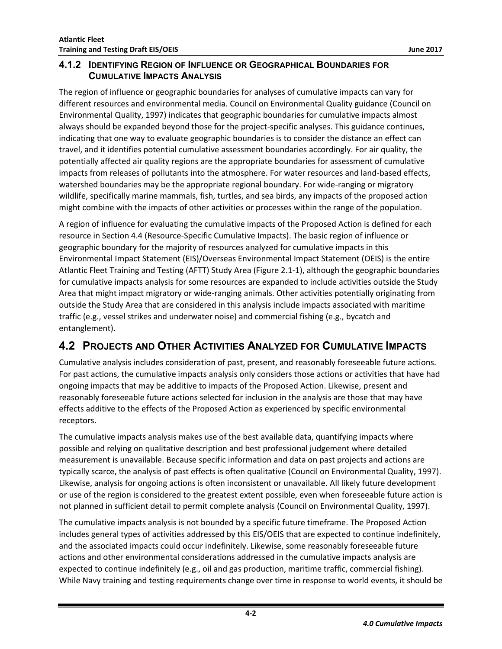<span id="page-3-0"></span>The region of influence or geographic boundaries for analyses of cumulative impacts can vary for different resources and environmental media. Council on Environmental Quality guidance (Council on Environmental Quality, 1997) indicates that geographic boundaries for cumulative impacts almost always should be expanded beyond those for the project-specific analyses. This guidance continues, indicating that one way to evaluate geographic boundaries is to consider the distance an effect can travel, and it identifies potential cumulative assessment boundaries accordingly. For air quality, the potentially affected air quality regions are the appropriate boundaries for assessment of cumulative impacts from releases of pollutants into the atmosphere. For water resources and land-based effects, watershed boundaries may be the appropriate regional boundary. For wide-ranging or migratory wildlife, specifically marine mammals, fish, turtles, and sea birds, any impacts of the proposed action might combine with the impacts of other activities or processes within the range of the population.

A region of influence for evaluating the cumulative impacts of the Proposed Action is defined for each resource in Section [4.4](#page-26-1) (Resource-Specific Cumulative Impacts). The basic region of influence or geographic boundary for the majority of resources analyzed for cumulative impacts in this Environmental Impact Statement (EIS)/Overseas Environmental Impact Statement (OEIS) is the entire Atlantic Fleet Training and Testing (AFTT) Study Area (Figure 2.1-1), although the geographic boundaries for cumulative impacts analysis for some resources are expanded to include activities outside the Study Area that might impact migratory or wide-ranging animals. Other activities potentially originating from outside the Study Area that are considered in this analysis include impacts associated with maritime traffic (e.g., vessel strikes and underwater noise) and commercial fishing (e.g., bycatch and entanglement).

## <span id="page-3-1"></span>**4.2 PROJECTS AND OTHER ACTIVITIES ANALYZED FOR CUMULATIVE IMPACTS**

Cumulative analysis includes consideration of past, present, and reasonably foreseeable future actions. For past actions, the cumulative impacts analysis only considers those actions or activities that have had ongoing impacts that may be additive to impacts of the Proposed Action. Likewise, present and reasonably foreseeable future actions selected for inclusion in the analysis are those that may have effects additive to the effects of the Proposed Action as experienced by specific environmental receptors.

The cumulative impacts analysis makes use of the best available data, quantifying impacts where possible and relying on qualitative description and best professional judgement where detailed measurement is unavailable. Because specific information and data on past projects and actions are typically scarce, the analysis of past effects is often qualitative (Council on Environmental Quality, 1997). Likewise, analysis for ongoing actions is often inconsistent or unavailable. All likely future development or use of the region is considered to the greatest extent possible, even when foreseeable future action is not planned in sufficient detail to permit complete analysis (Council on Environmental Quality, 1997).

The cumulative impacts analysis is not bounded by a specific future timeframe. The Proposed Action includes general types of activities addressed by this EIS/OEIS that are expected to continue indefinitely, and the associated impacts could occur indefinitely. Likewise, some reasonably foreseeable future actions and other environmental considerations addressed in the cumulative impacts analysis are expected to continue indefinitely (e.g., oil and gas production, maritime traffic, commercial fishing). While Navy training and testing requirements change over time in response to world events, it should be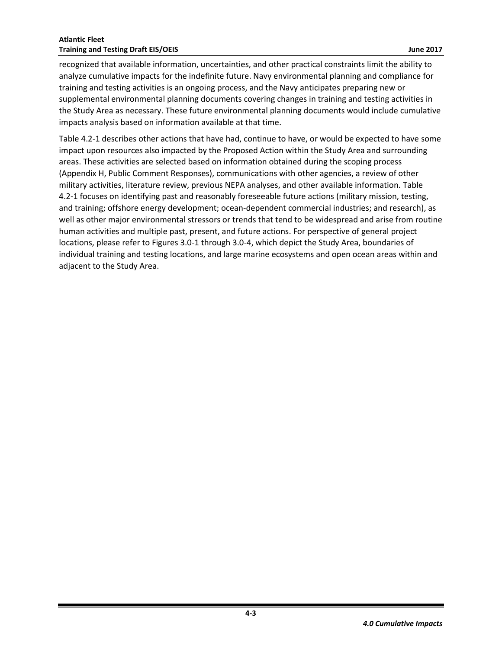recognized that available information, uncertainties, and other practical constraints limit the ability to analyze cumulative impacts for the indefinite future. Navy environmental planning and compliance for training and testing activities is an ongoing process, and the Navy anticipates preparing new or supplemental environmental planning documents covering changes in training and testing activities in the Study Area as necessary. These future environmental planning documents would include cumulative impacts analysis based on information available at that time.

[Table 4.2-1](#page-5-0) describes other actions that have had, continue to have, or would be expected to have some impact upon resources also impacted by the Proposed Action within the Study Area and surrounding areas. These activities are selected based on information obtained during the scoping process (Appendix H, Public Comment Responses), communications with other agencies, a review of other military activities, literature review, previous NEPA analyses, and other available information[. Table](#page-5-0)  [4.2-1](#page-5-0) focuses on identifying past and reasonably foreseeable future actions (military mission, testing, and training; offshore energy development; ocean-dependent commercial industries; and research), as well as other major environmental stressors or trends that tend to be widespread and arise from routine human activities and multiple past, present, and future actions. For perspective of general project locations, please refer to Figures 3.0-1 through 3.0-4, which depict the Study Area, boundaries of individual training and testing locations, and large marine ecosystems and open ocean areas within and adjacent to the Study Area.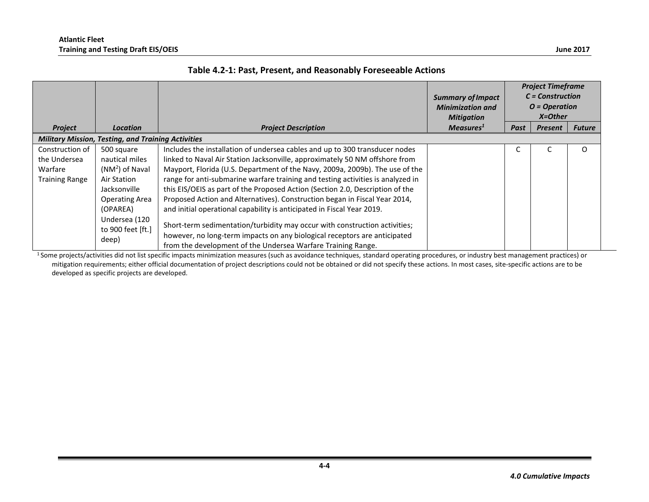|                                                                     |                                                                                                                                                                     |                                                                                                                                                                                                                                                                                                                                                                                                                                                                                                                                                                                                                                                                                                                                                                                                   | <b>Summary of Impact</b><br><b>Minimization and</b><br><b>Mitigation</b> |      | <b>Project Timeframe</b><br>$C = Construction$<br>$O = Operation$<br>$X = Other$ |               |
|---------------------------------------------------------------------|---------------------------------------------------------------------------------------------------------------------------------------------------------------------|---------------------------------------------------------------------------------------------------------------------------------------------------------------------------------------------------------------------------------------------------------------------------------------------------------------------------------------------------------------------------------------------------------------------------------------------------------------------------------------------------------------------------------------------------------------------------------------------------------------------------------------------------------------------------------------------------------------------------------------------------------------------------------------------------|--------------------------------------------------------------------------|------|----------------------------------------------------------------------------------|---------------|
| <b>Project</b>                                                      | Location                                                                                                                                                            | <b>Project Description</b>                                                                                                                                                                                                                                                                                                                                                                                                                                                                                                                                                                                                                                                                                                                                                                        | Measures <sup>1</sup>                                                    | Past | <b>Present</b>                                                                   | <b>Future</b> |
|                                                                     | <b>Military Mission, Testing, and Training Activities</b>                                                                                                           |                                                                                                                                                                                                                                                                                                                                                                                                                                                                                                                                                                                                                                                                                                                                                                                                   |                                                                          |      |                                                                                  |               |
| Construction of<br>the Undersea<br>Warfare<br><b>Training Range</b> | 500 square<br>nautical miles<br>$(NM2)$ of Naval<br>Air Station<br>Jacksonville<br><b>Operating Area</b><br>(OPAREA)<br>Undersea (120<br>to 900 feet [ft.]<br>deep) | Includes the installation of undersea cables and up to 300 transducer nodes<br>linked to Naval Air Station Jacksonville, approximately 50 NM offshore from<br>Mayport, Florida (U.S. Department of the Navy, 2009a, 2009b). The use of the<br>range for anti-submarine warfare training and testing activities is analyzed in<br>this EIS/OEIS as part of the Proposed Action (Section 2.0, Description of the<br>Proposed Action and Alternatives). Construction began in Fiscal Year 2014,<br>and initial operational capability is anticipated in Fiscal Year 2019.<br>Short-term sedimentation/turbidity may occur with construction activities;<br>however, no long-term impacts on any biological receptors are anticipated<br>from the development of the Undersea Warfare Training Range. |                                                                          |      |                                                                                  | O             |

<span id="page-5-0"></span><sup>1</sup>Some projects/activities did not list specific impacts minimization measures (such as avoidance techniques, standard operating procedures, or industry best management practices) or mitigation requirements; either official documentation of project descriptions could not be obtained or did not specify these actions. In most cases, site-specific actions are to be developed as specific projects are developed.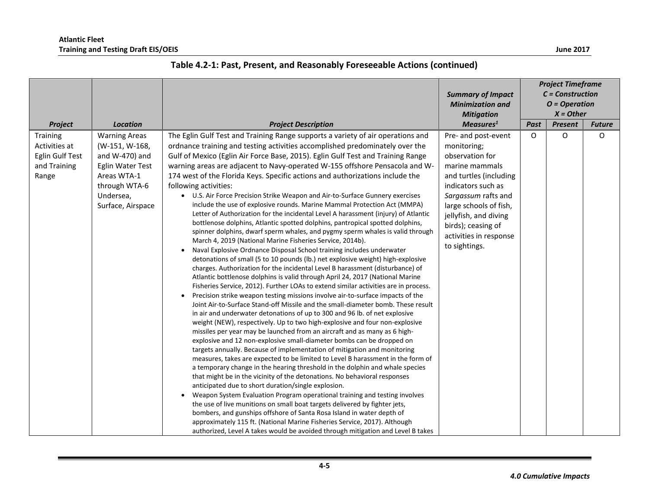|                                                                              |                                                                                                                                                |                                                                                                                                                                                                                                                                                                                                                                                                                                                                                                                                                                                                                                                                                                                                                                                                                                                                                                                                                                                                                                                                                                                                                                                                                                                                                                                                                                                                                                                                                                                                                                                                                                                                                                                                                                                                                                                                                                                                                                                                                                                                                                                                                                                                                                                                                                                                                                                                                                                                                                                                                                                                                                                  | <b>Summary of Impact</b><br><b>Minimization and</b><br><b>Mitigation</b>                                                                                                                                                                                           |      | <b>Project Timeframe</b><br>$C = Construction$<br>$O = Operation$<br>$X = Other$ |               |
|------------------------------------------------------------------------------|------------------------------------------------------------------------------------------------------------------------------------------------|--------------------------------------------------------------------------------------------------------------------------------------------------------------------------------------------------------------------------------------------------------------------------------------------------------------------------------------------------------------------------------------------------------------------------------------------------------------------------------------------------------------------------------------------------------------------------------------------------------------------------------------------------------------------------------------------------------------------------------------------------------------------------------------------------------------------------------------------------------------------------------------------------------------------------------------------------------------------------------------------------------------------------------------------------------------------------------------------------------------------------------------------------------------------------------------------------------------------------------------------------------------------------------------------------------------------------------------------------------------------------------------------------------------------------------------------------------------------------------------------------------------------------------------------------------------------------------------------------------------------------------------------------------------------------------------------------------------------------------------------------------------------------------------------------------------------------------------------------------------------------------------------------------------------------------------------------------------------------------------------------------------------------------------------------------------------------------------------------------------------------------------------------------------------------------------------------------------------------------------------------------------------------------------------------------------------------------------------------------------------------------------------------------------------------------------------------------------------------------------------------------------------------------------------------------------------------------------------------------------------------------------------------|--------------------------------------------------------------------------------------------------------------------------------------------------------------------------------------------------------------------------------------------------------------------|------|----------------------------------------------------------------------------------|---------------|
| Project                                                                      | <b>Location</b>                                                                                                                                | <b>Project Description</b>                                                                                                                                                                                                                                                                                                                                                                                                                                                                                                                                                                                                                                                                                                                                                                                                                                                                                                                                                                                                                                                                                                                                                                                                                                                                                                                                                                                                                                                                                                                                                                                                                                                                                                                                                                                                                                                                                                                                                                                                                                                                                                                                                                                                                                                                                                                                                                                                                                                                                                                                                                                                                       | Measures <sup>1</sup>                                                                                                                                                                                                                                              | Past | <b>Present</b>                                                                   | <b>Future</b> |
| <b>Training</b><br>Activities at<br>Eglin Gulf Test<br>and Training<br>Range | <b>Warning Areas</b><br>(W-151, W-168,<br>and W-470) and<br>Eglin Water Test<br>Areas WTA-1<br>through WTA-6<br>Undersea,<br>Surface, Airspace | The Eglin Gulf Test and Training Range supports a variety of air operations and<br>ordnance training and testing activities accomplished predominately over the<br>Gulf of Mexico (Eglin Air Force Base, 2015). Eglin Gulf Test and Training Range<br>warning areas are adjacent to Navy-operated W-155 offshore Pensacola and W-<br>174 west of the Florida Keys. Specific actions and authorizations include the<br>following activities:<br>• U.S. Air Force Precision Strike Weapon and Air-to-Surface Gunnery exercises<br>include the use of explosive rounds. Marine Mammal Protection Act (MMPA)<br>Letter of Authorization for the incidental Level A harassment (injury) of Atlantic<br>bottlenose dolphins, Atlantic spotted dolphins, pantropical spotted dolphins,<br>spinner dolphins, dwarf sperm whales, and pygmy sperm whales is valid through<br>March 4, 2019 (National Marine Fisheries Service, 2014b).<br>Naval Explosive Ordnance Disposal School training includes underwater<br>detonations of small (5 to 10 pounds (lb.) net explosive weight) high-explosive<br>charges. Authorization for the incidental Level B harassment (disturbance) of<br>Atlantic bottlenose dolphins is valid through April 24, 2017 (National Marine<br>Fisheries Service, 2012). Further LOAs to extend similar activities are in process.<br>Precision strike weapon testing missions involve air-to-surface impacts of the<br>Joint Air-to-Surface Stand-off Missile and the small-diameter bomb. These result<br>in air and underwater detonations of up to 300 and 96 lb. of net explosive<br>weight (NEW), respectively. Up to two high-explosive and four non-explosive<br>missiles per year may be launched from an aircraft and as many as 6 high-<br>explosive and 12 non-explosive small-diameter bombs can be dropped on<br>targets annually. Because of implementation of mitigation and monitoring<br>measures, takes are expected to be limited to Level B harassment in the form of<br>a temporary change in the hearing threshold in the dolphin and whale species<br>that might be in the vicinity of the detonations. No behavioral responses<br>anticipated due to short duration/single explosion.<br>Weapon System Evaluation Program operational training and testing involves<br>$\bullet$<br>the use of live munitions on small boat targets delivered by fighter jets,<br>bombers, and gunships offshore of Santa Rosa Island in water depth of<br>approximately 115 ft. (National Marine Fisheries Service, 2017). Although<br>authorized, Level A takes would be avoided through mitigation and Level B takes | Pre- and post-event<br>monitoring;<br>observation for<br>marine mammals<br>and turtles (including<br>indicators such as<br>Sargassum rafts and<br>large schools of fish,<br>jellyfish, and diving<br>birds); ceasing of<br>activities in response<br>to sightings. | O    | O                                                                                | O             |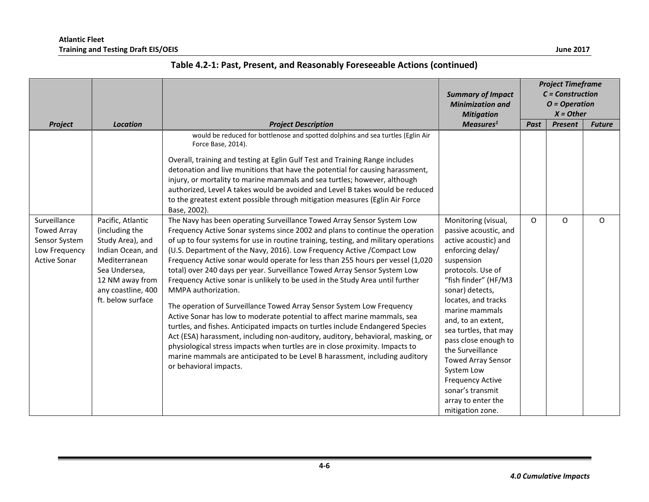|                                                                                             |                                                                                                                                                                              |                                                                                                                                                                                                                                                                                                                                                                                                                                                                                                                                                                                                                                                                                                                                                                                                                                                                                                                                                                                                                                                                                                                     | <b>Summary of Impact</b><br><b>Minimization and</b><br><b>Mitigation</b>                                                                                                                                                                                                                                                                                                                                                                       | <b>Project Timeframe</b><br>$C = Construction$<br>$O = Operation$<br>$X = Other$ |                |               |
|---------------------------------------------------------------------------------------------|------------------------------------------------------------------------------------------------------------------------------------------------------------------------------|---------------------------------------------------------------------------------------------------------------------------------------------------------------------------------------------------------------------------------------------------------------------------------------------------------------------------------------------------------------------------------------------------------------------------------------------------------------------------------------------------------------------------------------------------------------------------------------------------------------------------------------------------------------------------------------------------------------------------------------------------------------------------------------------------------------------------------------------------------------------------------------------------------------------------------------------------------------------------------------------------------------------------------------------------------------------------------------------------------------------|------------------------------------------------------------------------------------------------------------------------------------------------------------------------------------------------------------------------------------------------------------------------------------------------------------------------------------------------------------------------------------------------------------------------------------------------|----------------------------------------------------------------------------------|----------------|---------------|
| Project                                                                                     | <b>Location</b>                                                                                                                                                              | <b>Project Description</b>                                                                                                                                                                                                                                                                                                                                                                                                                                                                                                                                                                                                                                                                                                                                                                                                                                                                                                                                                                                                                                                                                          | Measures <sup>1</sup>                                                                                                                                                                                                                                                                                                                                                                                                                          | Past                                                                             | <b>Present</b> | <b>Future</b> |
|                                                                                             |                                                                                                                                                                              | would be reduced for bottlenose and spotted dolphins and sea turtles (Eglin Air<br>Force Base, 2014).<br>Overall, training and testing at Eglin Gulf Test and Training Range includes<br>detonation and live munitions that have the potential for causing harassment,<br>injury, or mortality to marine mammals and sea turtles; however, although<br>authorized, Level A takes would be avoided and Level B takes would be reduced<br>to the greatest extent possible through mitigation measures (Eglin Air Force<br>Base, 2002).                                                                                                                                                                                                                                                                                                                                                                                                                                                                                                                                                                                |                                                                                                                                                                                                                                                                                                                                                                                                                                                |                                                                                  |                |               |
| Surveillance<br><b>Towed Array</b><br>Sensor System<br>Low Frequency<br><b>Active Sonar</b> | Pacific, Atlantic<br>(including the<br>Study Area), and<br>Indian Ocean, and<br>Mediterranean<br>Sea Undersea,<br>12 NM away from<br>any coastline, 400<br>ft. below surface | The Navy has been operating Surveillance Towed Array Sensor System Low<br>Frequency Active Sonar systems since 2002 and plans to continue the operation<br>of up to four systems for use in routine training, testing, and military operations<br>(U.S. Department of the Navy, 2016). Low Frequency Active / Compact Low<br>Frequency Active sonar would operate for less than 255 hours per vessel (1,020<br>total) over 240 days per year. Surveillance Towed Array Sensor System Low<br>Frequency Active sonar is unlikely to be used in the Study Area until further<br>MMPA authorization.<br>The operation of Surveillance Towed Array Sensor System Low Frequency<br>Active Sonar has low to moderate potential to affect marine mammals, sea<br>turtles, and fishes. Anticipated impacts on turtles include Endangered Species<br>Act (ESA) harassment, including non-auditory, auditory, behavioral, masking, or<br>physiological stress impacts when turtles are in close proximity. Impacts to<br>marine mammals are anticipated to be Level B harassment, including auditory<br>or behavioral impacts. | Monitoring (visual,<br>passive acoustic, and<br>active acoustic) and<br>enforcing delay/<br>suspension<br>protocols. Use of<br>"fish finder" (HF/M3<br>sonar) detects,<br>locates, and tracks<br>marine mammals<br>and, to an extent,<br>sea turtles, that may<br>pass close enough to<br>the Surveillance<br><b>Towed Array Sensor</b><br>System Low<br><b>Frequency Active</b><br>sonar's transmit<br>array to enter the<br>mitigation zone. | 0                                                                                | O              | O             |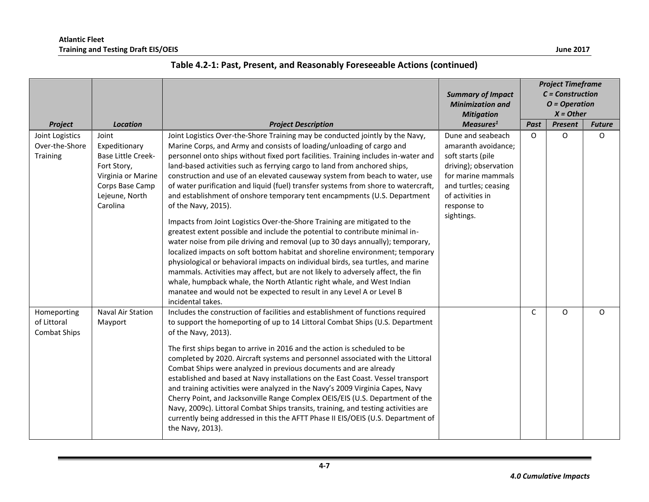|                                                   |                                                                                                                                           |                                                                                                                                                                                                                                                                                                                                                                                                                                                                                                                                                                                                                                                                                                                                                                                                                                                                                                                                                                                                                                                                                                                                                                                                                                                                                   | <b>Summary of Impact</b><br><b>Minimization and</b><br><b>Mitigation</b>                                                                                                              |             | <b>Project Timeframe</b><br>$C = Construction$<br>$O = Operation$<br>$X = Other$ |               |
|---------------------------------------------------|-------------------------------------------------------------------------------------------------------------------------------------------|-----------------------------------------------------------------------------------------------------------------------------------------------------------------------------------------------------------------------------------------------------------------------------------------------------------------------------------------------------------------------------------------------------------------------------------------------------------------------------------------------------------------------------------------------------------------------------------------------------------------------------------------------------------------------------------------------------------------------------------------------------------------------------------------------------------------------------------------------------------------------------------------------------------------------------------------------------------------------------------------------------------------------------------------------------------------------------------------------------------------------------------------------------------------------------------------------------------------------------------------------------------------------------------|---------------------------------------------------------------------------------------------------------------------------------------------------------------------------------------|-------------|----------------------------------------------------------------------------------|---------------|
| Project                                           | <b>Location</b>                                                                                                                           | <b>Project Description</b>                                                                                                                                                                                                                                                                                                                                                                                                                                                                                                                                                                                                                                                                                                                                                                                                                                                                                                                                                                                                                                                                                                                                                                                                                                                        | Measures <sup>1</sup>                                                                                                                                                                 | Past        | <b>Present</b>                                                                   | <b>Future</b> |
| Joint Logistics<br>Over-the-Shore<br>Training     | Joint<br>Expeditionary<br><b>Base Little Creek-</b><br>Fort Story,<br>Virginia or Marine<br>Corps Base Camp<br>Lejeune, North<br>Carolina | Joint Logistics Over-the-Shore Training may be conducted jointly by the Navy,<br>Marine Corps, and Army and consists of loading/unloading of cargo and<br>personnel onto ships without fixed port facilities. Training includes in-water and<br>land-based activities such as ferrying cargo to land from anchored ships,<br>construction and use of an elevated causeway system from beach to water, use<br>of water purification and liquid (fuel) transfer systems from shore to watercraft,<br>and establishment of onshore temporary tent encampments (U.S. Department<br>of the Navy, 2015).<br>Impacts from Joint Logistics Over-the-Shore Training are mitigated to the<br>greatest extent possible and include the potential to contribute minimal in-<br>water noise from pile driving and removal (up to 30 days annually); temporary,<br>localized impacts on soft bottom habitat and shoreline environment; temporary<br>physiological or behavioral impacts on individual birds, sea turtles, and marine<br>mammals. Activities may affect, but are not likely to adversely affect, the fin<br>whale, humpback whale, the North Atlantic right whale, and West Indian<br>manatee and would not be expected to result in any Level A or Level B<br>incidental takes. | Dune and seabeach<br>amaranth avoidance;<br>soft starts (pile<br>driving); observation<br>for marine mammals<br>and turtles; ceasing<br>of activities in<br>response to<br>sightings. | O           | $\circ$                                                                          | 0             |
| Homeporting<br>of Littoral<br><b>Combat Ships</b> | <b>Naval Air Station</b><br>Mayport                                                                                                       | Includes the construction of facilities and establishment of functions required<br>to support the homeporting of up to 14 Littoral Combat Ships (U.S. Department<br>of the Navy, 2013).<br>The first ships began to arrive in 2016 and the action is scheduled to be<br>completed by 2020. Aircraft systems and personnel associated with the Littoral<br>Combat Ships were analyzed in previous documents and are already<br>established and based at Navy installations on the East Coast. Vessel transport<br>and training activities were analyzed in the Navy's 2009 Virginia Capes, Navy<br>Cherry Point, and Jacksonville Range Complex OEIS/EIS (U.S. Department of the<br>Navy, 2009c). Littoral Combat Ships transits, training, and testing activities are<br>currently being addressed in this the AFTT Phase II EIS/OEIS (U.S. Department of<br>the Navy, 2013).                                                                                                                                                                                                                                                                                                                                                                                                     |                                                                                                                                                                                       | $\mathsf C$ | O                                                                                | $\Omega$      |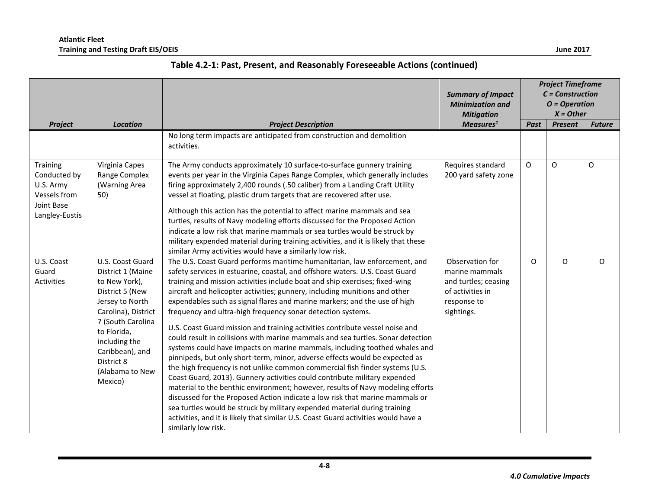|                                                                                       |                                                                                                                                                                                                                                         |                                                                                                                                                                                                                                                                                                                                                                                                                                                                                                                                                                                                                                                                                                                                                                                                                                                                                                                                                                                                                                                                                                                                                                                                                                                                                                                             | <b>Summary of Impact</b><br><b>Minimization and</b><br><b>Mitigation</b>                                   | <b>Project Timeframe</b><br>$C = Construction$<br>$O = Operation$<br>$X = Other$ |                |               |
|---------------------------------------------------------------------------------------|-----------------------------------------------------------------------------------------------------------------------------------------------------------------------------------------------------------------------------------------|-----------------------------------------------------------------------------------------------------------------------------------------------------------------------------------------------------------------------------------------------------------------------------------------------------------------------------------------------------------------------------------------------------------------------------------------------------------------------------------------------------------------------------------------------------------------------------------------------------------------------------------------------------------------------------------------------------------------------------------------------------------------------------------------------------------------------------------------------------------------------------------------------------------------------------------------------------------------------------------------------------------------------------------------------------------------------------------------------------------------------------------------------------------------------------------------------------------------------------------------------------------------------------------------------------------------------------|------------------------------------------------------------------------------------------------------------|----------------------------------------------------------------------------------|----------------|---------------|
| Project                                                                               | <b>Location</b>                                                                                                                                                                                                                         | <b>Project Description</b>                                                                                                                                                                                                                                                                                                                                                                                                                                                                                                                                                                                                                                                                                                                                                                                                                                                                                                                                                                                                                                                                                                                                                                                                                                                                                                  | Measures <sup>1</sup>                                                                                      | Past                                                                             | <b>Present</b> | <b>Future</b> |
|                                                                                       |                                                                                                                                                                                                                                         | No long term impacts are anticipated from construction and demolition<br>activities.                                                                                                                                                                                                                                                                                                                                                                                                                                                                                                                                                                                                                                                                                                                                                                                                                                                                                                                                                                                                                                                                                                                                                                                                                                        |                                                                                                            |                                                                                  |                |               |
| Training<br>Conducted by<br>U.S. Army<br>Vessels from<br>Joint Base<br>Langley-Eustis | Virginia Capes<br>Range Complex<br>(Warning Area<br>50)                                                                                                                                                                                 | The Army conducts approximately 10 surface-to-surface gunnery training<br>events per year in the Virginia Capes Range Complex, which generally includes<br>firing approximately 2,400 rounds (.50 caliber) from a Landing Craft Utility<br>vessel at floating, plastic drum targets that are recovered after use.<br>Although this action has the potential to affect marine mammals and sea<br>turtles, results of Navy modeling efforts discussed for the Proposed Action<br>indicate a low risk that marine mammals or sea turtles would be struck by<br>military expended material during training activities, and it is likely that these<br>similar Army activities would have a similarly low risk.                                                                                                                                                                                                                                                                                                                                                                                                                                                                                                                                                                                                                  | Requires standard<br>200 yard safety zone                                                                  | $\Omega$                                                                         | $\Omega$       | $\Omega$      |
| U.S. Coast<br>Guard<br><b>Activities</b>                                              | U.S. Coast Guard<br>District 1 (Maine<br>to New York),<br>District 5 (New<br>Jersey to North<br>Carolina), District<br>7 (South Carolina<br>to Florida,<br>including the<br>Caribbean), and<br>District 8<br>(Alabama to New<br>Mexico) | The U.S. Coast Guard performs maritime humanitarian, law enforcement, and<br>safety services in estuarine, coastal, and offshore waters. U.S. Coast Guard<br>training and mission activities include boat and ship exercises; fixed-wing<br>aircraft and helicopter activities; gunnery, including munitions and other<br>expendables such as signal flares and marine markers; and the use of high<br>frequency and ultra-high frequency sonar detection systems.<br>U.S. Coast Guard mission and training activities contribute vessel noise and<br>could result in collisions with marine mammals and sea turtles. Sonar detection<br>systems could have impacts on marine mammals, including toothed whales and<br>pinnipeds, but only short-term, minor, adverse effects would be expected as<br>the high frequency is not unlike common commercial fish finder systems (U.S.<br>Coast Guard, 2013). Gunnery activities could contribute military expended<br>material to the benthic environment; however, results of Navy modeling efforts<br>discussed for the Proposed Action indicate a low risk that marine mammals or<br>sea turtles would be struck by military expended material during training<br>activities, and it is likely that similar U.S. Coast Guard activities would have a<br>similarly low risk. | Observation for<br>marine mammals<br>and turtles; ceasing<br>of activities in<br>response to<br>sightings. | O                                                                                | O              | $\Omega$      |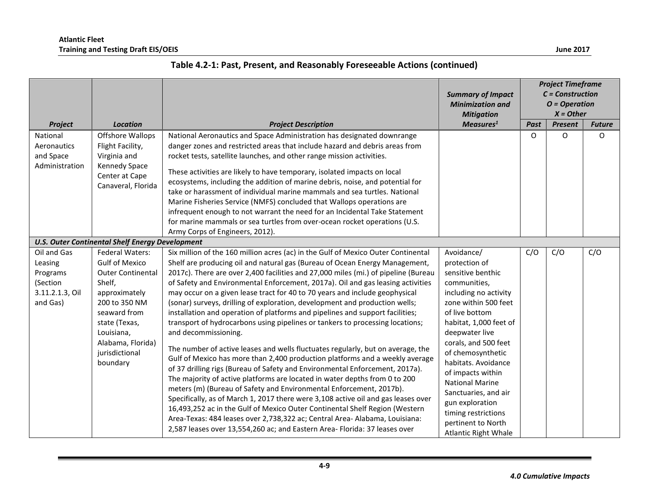|                                                                |                                                                                                                                                                                                 |                                                                                                                                                                                                                                                                                                                                                                                                                                                                                                                                                                                                                                                                                                                                                                                                                                                                                                                                                                                                                                                                                                                                                                                                                                                                                                                                                       | <b>Summary of Impact</b><br><b>Minimization and</b><br><b>Mitigation</b>                                                                                                                                                                                                                                                                                                                                    | <b>Project Timeframe</b><br>$C = Construction$<br>$O = Operation$<br>$X = Other$ |                |               |
|----------------------------------------------------------------|-------------------------------------------------------------------------------------------------------------------------------------------------------------------------------------------------|-------------------------------------------------------------------------------------------------------------------------------------------------------------------------------------------------------------------------------------------------------------------------------------------------------------------------------------------------------------------------------------------------------------------------------------------------------------------------------------------------------------------------------------------------------------------------------------------------------------------------------------------------------------------------------------------------------------------------------------------------------------------------------------------------------------------------------------------------------------------------------------------------------------------------------------------------------------------------------------------------------------------------------------------------------------------------------------------------------------------------------------------------------------------------------------------------------------------------------------------------------------------------------------------------------------------------------------------------------|-------------------------------------------------------------------------------------------------------------------------------------------------------------------------------------------------------------------------------------------------------------------------------------------------------------------------------------------------------------------------------------------------------------|----------------------------------------------------------------------------------|----------------|---------------|
| <b>Project</b>                                                 | <b>Location</b>                                                                                                                                                                                 | <b>Project Description</b>                                                                                                                                                                                                                                                                                                                                                                                                                                                                                                                                                                                                                                                                                                                                                                                                                                                                                                                                                                                                                                                                                                                                                                                                                                                                                                                            | Measures <sup>1</sup>                                                                                                                                                                                                                                                                                                                                                                                       | Past                                                                             | <b>Present</b> | <b>Future</b> |
| National<br>Aeronautics<br>and Space<br>Administration         | <b>Offshore Wallops</b><br>Flight Facility,<br>Virginia and<br>Kennedy Space<br>Center at Cape<br>Canaveral, Florida                                                                            | National Aeronautics and Space Administration has designated downrange<br>danger zones and restricted areas that include hazard and debris areas from<br>rocket tests, satellite launches, and other range mission activities.<br>These activities are likely to have temporary, isolated impacts on local<br>ecosystems, including the addition of marine debris, noise, and potential for<br>take or harassment of individual marine mammals and sea turtles. National<br>Marine Fisheries Service (NMFS) concluded that Wallops operations are<br>infrequent enough to not warrant the need for an Incidental Take Statement<br>for marine mammals or sea turtles from over-ocean rocket operations (U.S.                                                                                                                                                                                                                                                                                                                                                                                                                                                                                                                                                                                                                                          |                                                                                                                                                                                                                                                                                                                                                                                                             | $\circ$                                                                          | O              | 0             |
|                                                                | <b>U.S. Outer Continental Shelf Energy Development</b>                                                                                                                                          | Army Corps of Engineers, 2012).                                                                                                                                                                                                                                                                                                                                                                                                                                                                                                                                                                                                                                                                                                                                                                                                                                                                                                                                                                                                                                                                                                                                                                                                                                                                                                                       |                                                                                                                                                                                                                                                                                                                                                                                                             |                                                                                  |                |               |
| Oil and Gas                                                    | <b>Federal Waters:</b>                                                                                                                                                                          | Six million of the 160 million acres (ac) in the Gulf of Mexico Outer Continental                                                                                                                                                                                                                                                                                                                                                                                                                                                                                                                                                                                                                                                                                                                                                                                                                                                                                                                                                                                                                                                                                                                                                                                                                                                                     | Avoidance/                                                                                                                                                                                                                                                                                                                                                                                                  | C/O                                                                              | C/O            | C/O           |
| Leasing<br>Programs<br>(Section<br>3.11.2.1.3, Oil<br>and Gas) | <b>Gulf of Mexico</b><br><b>Outer Continental</b><br>Shelf,<br>approximately<br>200 to 350 NM<br>seaward from<br>state (Texas,<br>Louisiana,<br>Alabama, Florida)<br>jurisdictional<br>boundary | Shelf are producing oil and natural gas (Bureau of Ocean Energy Management,<br>2017c). There are over 2,400 facilities and 27,000 miles (mi.) of pipeline (Bureau<br>of Safety and Environmental Enforcement, 2017a). Oil and gas leasing activities<br>may occur on a given lease tract for 40 to 70 years and include geophysical<br>(sonar) surveys, drilling of exploration, development and production wells;<br>installation and operation of platforms and pipelines and support facilities;<br>transport of hydrocarbons using pipelines or tankers to processing locations;<br>and decommissioning.<br>The number of active leases and wells fluctuates regularly, but on average, the<br>Gulf of Mexico has more than 2,400 production platforms and a weekly average<br>of 37 drilling rigs (Bureau of Safety and Environmental Enforcement, 2017a).<br>The majority of active platforms are located in water depths from 0 to 200<br>meters (m) (Bureau of Safety and Environmental Enforcement, 2017b).<br>Specifically, as of March 1, 2017 there were 3,108 active oil and gas leases over<br>16,493,252 ac in the Gulf of Mexico Outer Continental Shelf Region (Western<br>Area-Texas: 484 leases over 2,738,322 ac; Central Area- Alabama, Louisiana:<br>2,587 leases over 13,554,260 ac; and Eastern Area- Florida: 37 leases over | protection of<br>sensitive benthic<br>communities,<br>including no activity<br>zone within 500 feet<br>of live bottom<br>habitat, 1,000 feet of<br>deepwater live<br>corals, and 500 feet<br>of chemosynthetic<br>habitats, Avoidance<br>of impacts within<br><b>National Marine</b><br>Sanctuaries, and air<br>gun exploration<br>timing restrictions<br>pertinent to North<br><b>Atlantic Right Whale</b> |                                                                                  |                |               |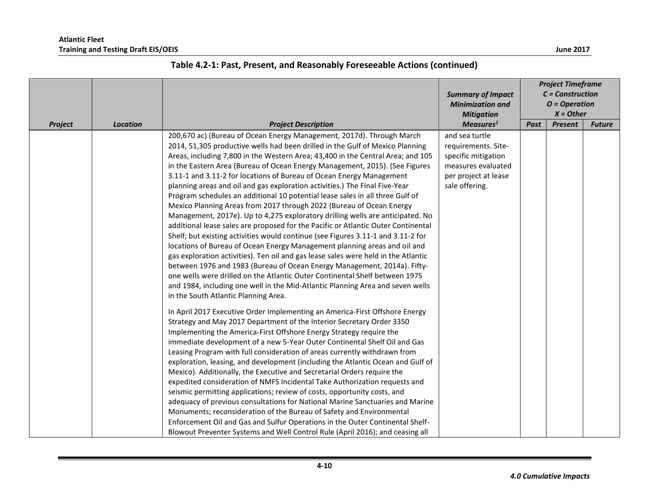|         |                 |                                                                                                                                                                                                                                                                                                                                                                                                                                                                                                                                                                                                                                                                                                                                                                                                                                                                                                                                                                                                                                                                                                                                                                                                                                                                                                                                                                                                                                                                                                                                                                                                                                                                                                                                                                                                                                                                                                                                                                                                                                                                                                                                                                                                                                                                                                                        | <b>Summary of Impact</b><br><b>Minimization and</b><br><b>Mitigation</b>                                                     | <b>Project Timeframe</b><br>$C = Construction$<br>$O = Operation$<br>$X = Other$ |                |               |
|---------|-----------------|------------------------------------------------------------------------------------------------------------------------------------------------------------------------------------------------------------------------------------------------------------------------------------------------------------------------------------------------------------------------------------------------------------------------------------------------------------------------------------------------------------------------------------------------------------------------------------------------------------------------------------------------------------------------------------------------------------------------------------------------------------------------------------------------------------------------------------------------------------------------------------------------------------------------------------------------------------------------------------------------------------------------------------------------------------------------------------------------------------------------------------------------------------------------------------------------------------------------------------------------------------------------------------------------------------------------------------------------------------------------------------------------------------------------------------------------------------------------------------------------------------------------------------------------------------------------------------------------------------------------------------------------------------------------------------------------------------------------------------------------------------------------------------------------------------------------------------------------------------------------------------------------------------------------------------------------------------------------------------------------------------------------------------------------------------------------------------------------------------------------------------------------------------------------------------------------------------------------------------------------------------------------------------------------------------------------|------------------------------------------------------------------------------------------------------------------------------|----------------------------------------------------------------------------------|----------------|---------------|
| Project | <b>Location</b> | <b>Project Description</b>                                                                                                                                                                                                                                                                                                                                                                                                                                                                                                                                                                                                                                                                                                                                                                                                                                                                                                                                                                                                                                                                                                                                                                                                                                                                                                                                                                                                                                                                                                                                                                                                                                                                                                                                                                                                                                                                                                                                                                                                                                                                                                                                                                                                                                                                                             | Measures <sup>1</sup>                                                                                                        | Past                                                                             | <b>Present</b> | <b>Future</b> |
|         |                 | 200,670 ac) (Bureau of Ocean Energy Management, 2017d). Through March<br>2014, 51,305 productive wells had been drilled in the Gulf of Mexico Planning<br>Areas, including 7,800 in the Western Area; 43,400 in the Central Area; and 105<br>in the Eastern Area (Bureau of Ocean Energy Management, 2015). (See Figures<br>3.11-1 and 3.11-2 for locations of Bureau of Ocean Energy Management<br>planning areas and oil and gas exploration activities.) The Final Five-Year<br>Program schedules an additional 10 potential lease sales in all three Gulf of<br>Mexico Planning Areas from 2017 through 2022 (Bureau of Ocean Energy<br>Management, 2017e). Up to 4,275 exploratory drilling wells are anticipated. No<br>additional lease sales are proposed for the Pacific or Atlantic Outer Continental<br>Shelf; but existing activities would continue (see Figures 3.11-1 and 3.11-2 for<br>locations of Bureau of Ocean Energy Management planning areas and oil and<br>gas exploration activities). Ten oil and gas lease sales were held in the Atlantic<br>between 1976 and 1983 (Bureau of Ocean Energy Management, 2014a). Fifty-<br>one wells were drilled on the Atlantic Outer Continental Shelf between 1975<br>and 1984, including one well in the Mid-Atlantic Planning Area and seven wells<br>in the South Atlantic Planning Area.<br>In April 2017 Executive Order Implementing an America-First Offshore Energy<br>Strategy and May 2017 Department of the Interior Secretary Order 3350<br>Implementing the America-First Offshore Energy Strategy require the<br>immediate development of a new 5-Year Outer Continental Shelf Oil and Gas<br>Leasing Program with full consideration of areas currently withdrawn from<br>exploration, leasing, and development (including the Atlantic Ocean and Gulf of<br>Mexico). Additionally, the Executive and Secretarial Orders require the<br>expedited consideration of NMFS Incidental Take Authorization requests and<br>seismic permitting applications; review of costs, opportunity costs, and<br>adequacy of previous consultations for National Marine Sanctuaries and Marine<br>Monuments; reconsideration of the Bureau of Safety and Environmental<br>Enforcement Oil and Gas and Sulfur Operations in the Outer Continental Shelf- | and sea turtle<br>requirements. Site-<br>specific mitigation<br>measures evaluated<br>per project at lease<br>sale offering. |                                                                                  |                |               |
|         |                 | Blowout Preventer Systems and Well Control Rule (April 2016); and ceasing all                                                                                                                                                                                                                                                                                                                                                                                                                                                                                                                                                                                                                                                                                                                                                                                                                                                                                                                                                                                                                                                                                                                                                                                                                                                                                                                                                                                                                                                                                                                                                                                                                                                                                                                                                                                                                                                                                                                                                                                                                                                                                                                                                                                                                                          |                                                                                                                              |                                                                                  |                |               |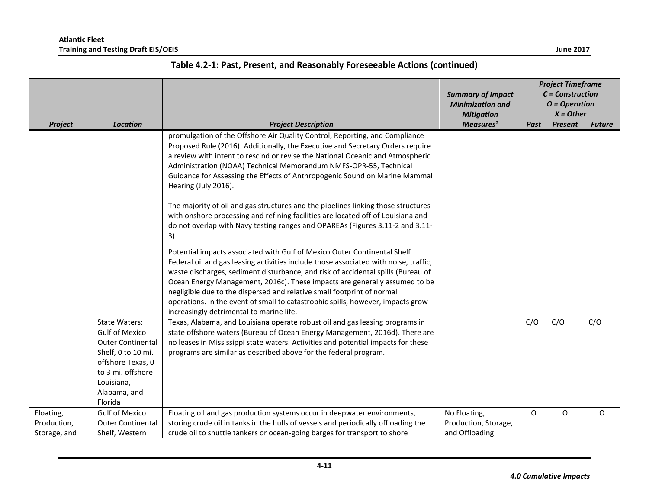|                                          |                                                                                                                                                                                    |                                                                                                                                                                                                                                                                                                                                                                                                                                                                                                                                             | <b>Summary of Impact</b><br><b>Minimization and</b><br><b>Mitigation</b> | <b>Project Timeframe</b><br>$C = Construction$<br>$O = Operation$<br>$X = Other$ |                |               |  |
|------------------------------------------|------------------------------------------------------------------------------------------------------------------------------------------------------------------------------------|---------------------------------------------------------------------------------------------------------------------------------------------------------------------------------------------------------------------------------------------------------------------------------------------------------------------------------------------------------------------------------------------------------------------------------------------------------------------------------------------------------------------------------------------|--------------------------------------------------------------------------|----------------------------------------------------------------------------------|----------------|---------------|--|
| Project                                  | <b>Location</b>                                                                                                                                                                    | <b>Project Description</b>                                                                                                                                                                                                                                                                                                                                                                                                                                                                                                                  | Measures <sup>1</sup>                                                    | Past                                                                             | <b>Present</b> | <b>Future</b> |  |
|                                          |                                                                                                                                                                                    | promulgation of the Offshore Air Quality Control, Reporting, and Compliance<br>Proposed Rule (2016). Additionally, the Executive and Secretary Orders require<br>a review with intent to rescind or revise the National Oceanic and Atmospheric<br>Administration (NOAA) Technical Memorandum NMFS-OPR-55, Technical<br>Guidance for Assessing the Effects of Anthropogenic Sound on Marine Mammal<br>Hearing (July 2016).<br>The majority of oil and gas structures and the pipelines linking those structures                             |                                                                          |                                                                                  |                |               |  |
|                                          |                                                                                                                                                                                    | with onshore processing and refining facilities are located off of Louisiana and<br>do not overlap with Navy testing ranges and OPAREAs (Figures 3.11-2 and 3.11-<br>3).                                                                                                                                                                                                                                                                                                                                                                    |                                                                          |                                                                                  |                |               |  |
|                                          |                                                                                                                                                                                    | Potential impacts associated with Gulf of Mexico Outer Continental Shelf<br>Federal oil and gas leasing activities include those associated with noise, traffic,<br>waste discharges, sediment disturbance, and risk of accidental spills (Bureau of<br>Ocean Energy Management, 2016c). These impacts are generally assumed to be<br>negligible due to the dispersed and relative small footprint of normal<br>operations. In the event of small to catastrophic spills, however, impacts grow<br>increasingly detrimental to marine life. |                                                                          |                                                                                  |                |               |  |
|                                          | <b>State Waters:</b><br><b>Gulf of Mexico</b><br><b>Outer Continental</b><br>Shelf, 0 to 10 mi.<br>offshore Texas, 0<br>to 3 mi. offshore<br>Louisiana,<br>Alabama, and<br>Florida | Texas, Alabama, and Louisiana operate robust oil and gas leasing programs in<br>state offshore waters (Bureau of Ocean Energy Management, 2016d). There are<br>no leases in Mississippi state waters. Activities and potential impacts for these<br>programs are similar as described above for the federal program.                                                                                                                                                                                                                        |                                                                          | C/O                                                                              | C/O            | C/O           |  |
| Floating,<br>Production,<br>Storage, and | <b>Gulf of Mexico</b><br><b>Outer Continental</b><br>Shelf, Western                                                                                                                | Floating oil and gas production systems occur in deepwater environments,<br>storing crude oil in tanks in the hulls of vessels and periodically offloading the<br>crude oil to shuttle tankers or ocean-going barges for transport to shore                                                                                                                                                                                                                                                                                                 | No Floating,<br>Production, Storage,<br>and Offloading                   | O                                                                                | $\circ$        | O             |  |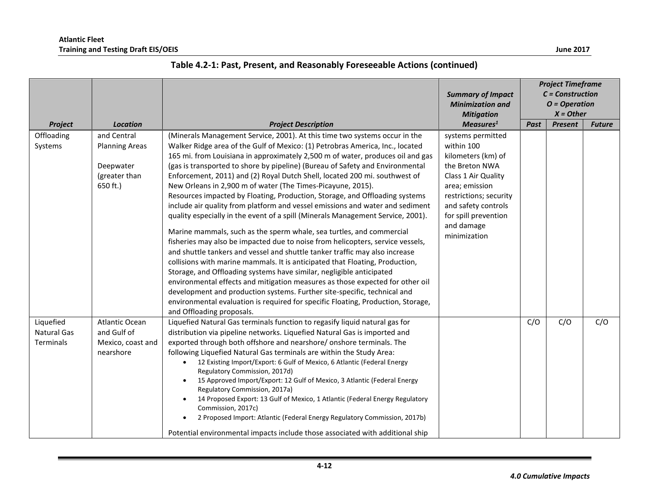|                                              |                                                                                |                                                                                                                                                                                                                                                                                                                                                                                                                                                                                                                                                                                                                                                                                                                                                                                                                                                                                                                                                                                                                                                                                                                                                                                                                                                                                                                                                                                                               | <b>Summary of Impact</b><br><b>Minimization and</b><br><b>Mitigation</b>                                                                                                                                                | <b>Project Timeframe</b><br>$C = Construction$<br>$O = Operation$<br>$X = Other$ |                |               |
|----------------------------------------------|--------------------------------------------------------------------------------|---------------------------------------------------------------------------------------------------------------------------------------------------------------------------------------------------------------------------------------------------------------------------------------------------------------------------------------------------------------------------------------------------------------------------------------------------------------------------------------------------------------------------------------------------------------------------------------------------------------------------------------------------------------------------------------------------------------------------------------------------------------------------------------------------------------------------------------------------------------------------------------------------------------------------------------------------------------------------------------------------------------------------------------------------------------------------------------------------------------------------------------------------------------------------------------------------------------------------------------------------------------------------------------------------------------------------------------------------------------------------------------------------------------|-------------------------------------------------------------------------------------------------------------------------------------------------------------------------------------------------------------------------|----------------------------------------------------------------------------------|----------------|---------------|
| Project                                      | <b>Location</b>                                                                | <b>Project Description</b>                                                                                                                                                                                                                                                                                                                                                                                                                                                                                                                                                                                                                                                                                                                                                                                                                                                                                                                                                                                                                                                                                                                                                                                                                                                                                                                                                                                    | Measures <sup>1</sup>                                                                                                                                                                                                   | Past                                                                             | <b>Present</b> | <b>Future</b> |
| Offloading<br>Systems                        | and Central<br><b>Planning Areas</b><br>Deepwater<br>(greater than<br>650 ft.) | (Minerals Management Service, 2001). At this time two systems occur in the<br>Walker Ridge area of the Gulf of Mexico: (1) Petrobras America, Inc., located<br>165 mi. from Louisiana in approximately 2,500 m of water, produces oil and gas<br>(gas is transported to shore by pipeline) (Bureau of Safety and Environmental<br>Enforcement, 2011) and (2) Royal Dutch Shell, located 200 mi. southwest of<br>New Orleans in 2,900 m of water (The Times-Picayune, 2015).<br>Resources impacted by Floating, Production, Storage, and Offloading systems<br>include air quality from platform and vessel emissions and water and sediment<br>quality especially in the event of a spill (Minerals Management Service, 2001).<br>Marine mammals, such as the sperm whale, sea turtles, and commercial<br>fisheries may also be impacted due to noise from helicopters, service vessels,<br>and shuttle tankers and vessel and shuttle tanker traffic may also increase<br>collisions with marine mammals. It is anticipated that Floating, Production,<br>Storage, and Offloading systems have similar, negligible anticipated<br>environmental effects and mitigation measures as those expected for other oil<br>development and production systems. Further site-specific, technical and<br>environmental evaluation is required for specific Floating, Production, Storage,<br>and Offloading proposals. | systems permitted<br>within 100<br>kilometers (km) of<br>the Breton NWA<br>Class 1 Air Quality<br>area; emission<br>restrictions; security<br>and safety controls<br>for spill prevention<br>and damage<br>minimization |                                                                                  |                |               |
| Liquefied<br><b>Natural Gas</b><br>Terminals | Atlantic Ocean<br>and Gulf of<br>Mexico, coast and<br>nearshore                | Liquefied Natural Gas terminals function to regasify liquid natural gas for<br>distribution via pipeline networks. Liquefied Natural Gas is imported and<br>exported through both offshore and nearshore/onshore terminals. The<br>following Liquefied Natural Gas terminals are within the Study Area:<br>12 Existing Import/Export: 6 Gulf of Mexico, 6 Atlantic (Federal Energy<br>Regulatory Commission, 2017d)<br>15 Approved Import/Export: 12 Gulf of Mexico, 3 Atlantic (Federal Energy<br>Regulatory Commission, 2017a)<br>14 Proposed Export: 13 Gulf of Mexico, 1 Atlantic (Federal Energy Regulatory<br>Commission, 2017c)<br>2 Proposed Import: Atlantic (Federal Energy Regulatory Commission, 2017b)<br>Potential environmental impacts include those associated with additional ship                                                                                                                                                                                                                                                                                                                                                                                                                                                                                                                                                                                                          |                                                                                                                                                                                                                         | C/O                                                                              | C/O            | C/O           |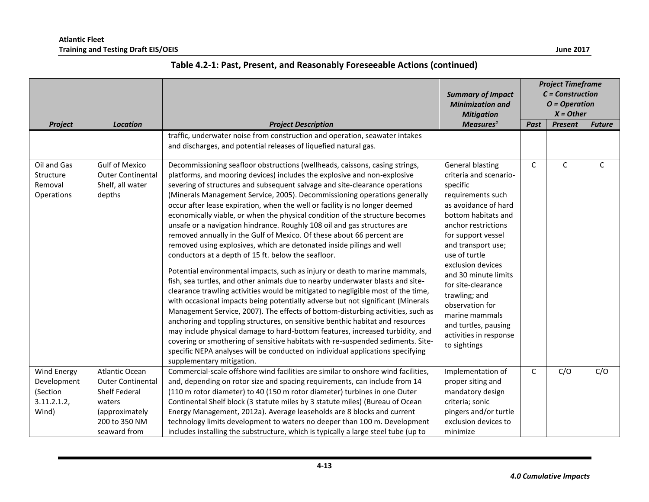|                                                                       |                                                                                                                                 |                                                                                                                                                                                                                                                                                                                                                                                                                                                                                                                                                                                                                                                                                                                                                                                                                                                                                                                                                                                                                                                                                                                                                                                                                                                                                                                                                                                                                                                                                                                                                                        | <b>Summary of Impact</b><br><b>Minimization and</b><br><b>Mitigation</b>                                                                                                                                                                                                                                                                                                                                         | <b>Project Timeframe</b><br>$C = Construction$<br>$O = Operation$<br>$X = Other$ |                |               |
|-----------------------------------------------------------------------|---------------------------------------------------------------------------------------------------------------------------------|------------------------------------------------------------------------------------------------------------------------------------------------------------------------------------------------------------------------------------------------------------------------------------------------------------------------------------------------------------------------------------------------------------------------------------------------------------------------------------------------------------------------------------------------------------------------------------------------------------------------------------------------------------------------------------------------------------------------------------------------------------------------------------------------------------------------------------------------------------------------------------------------------------------------------------------------------------------------------------------------------------------------------------------------------------------------------------------------------------------------------------------------------------------------------------------------------------------------------------------------------------------------------------------------------------------------------------------------------------------------------------------------------------------------------------------------------------------------------------------------------------------------------------------------------------------------|------------------------------------------------------------------------------------------------------------------------------------------------------------------------------------------------------------------------------------------------------------------------------------------------------------------------------------------------------------------------------------------------------------------|----------------------------------------------------------------------------------|----------------|---------------|
| Project                                                               | <b>Location</b>                                                                                                                 | <b>Project Description</b>                                                                                                                                                                                                                                                                                                                                                                                                                                                                                                                                                                                                                                                                                                                                                                                                                                                                                                                                                                                                                                                                                                                                                                                                                                                                                                                                                                                                                                                                                                                                             | Measures <sup>1</sup>                                                                                                                                                                                                                                                                                                                                                                                            | Past                                                                             | <b>Present</b> | <b>Future</b> |
|                                                                       |                                                                                                                                 | traffic, underwater noise from construction and operation, seawater intakes<br>and discharges, and potential releases of liquefied natural gas.                                                                                                                                                                                                                                                                                                                                                                                                                                                                                                                                                                                                                                                                                                                                                                                                                                                                                                                                                                                                                                                                                                                                                                                                                                                                                                                                                                                                                        |                                                                                                                                                                                                                                                                                                                                                                                                                  |                                                                                  |                |               |
| Oil and Gas<br>Structure<br>Removal<br><b>Operations</b>              | <b>Gulf of Mexico</b><br><b>Outer Continental</b><br>Shelf, all water<br>depths                                                 | Decommissioning seafloor obstructions (wellheads, caissons, casing strings,<br>platforms, and mooring devices) includes the explosive and non-explosive<br>severing of structures and subsequent salvage and site-clearance operations<br>(Minerals Management Service, 2005). Decommissioning operations generally<br>occur after lease expiration, when the well or facility is no longer deemed<br>economically viable, or when the physical condition of the structure becomes<br>unsafe or a navigation hindrance. Roughly 108 oil and gas structures are<br>removed annually in the Gulf of Mexico. Of these about 66 percent are<br>removed using explosives, which are detonated inside pilings and well<br>conductors at a depth of 15 ft. below the seafloor.<br>Potential environmental impacts, such as injury or death to marine mammals,<br>fish, sea turtles, and other animals due to nearby underwater blasts and site-<br>clearance trawling activities would be mitigated to negligible most of the time,<br>with occasional impacts being potentially adverse but not significant (Minerals<br>Management Service, 2007). The effects of bottom-disturbing activities, such as<br>anchoring and toppling structures, on sensitive benthic habitat and resources<br>may include physical damage to hard-bottom features, increased turbidity, and<br>covering or smothering of sensitive habitats with re-suspended sediments. Site-<br>specific NEPA analyses will be conducted on individual applications specifying<br>supplementary mitigation. | <b>General blasting</b><br>criteria and scenario-<br>specific<br>requirements such<br>as avoidance of hard<br>bottom habitats and<br>anchor restrictions<br>for support vessel<br>and transport use;<br>use of turtle<br>exclusion devices<br>and 30 minute limits<br>for site-clearance<br>trawling; and<br>observation for<br>marine mammals<br>and turtles, pausing<br>activities in response<br>to sightings | $\mathsf{C}$                                                                     | $\mathsf{C}$   | $\mathsf{C}$  |
| <b>Wind Energy</b><br>Development<br>(Section<br>3.11.2.1.2,<br>Wind) | Atlantic Ocean<br><b>Outer Continental</b><br><b>Shelf Federal</b><br>waters<br>(approximately<br>200 to 350 NM<br>seaward from | Commercial-scale offshore wind facilities are similar to onshore wind facilities,<br>and, depending on rotor size and spacing requirements, can include from 14<br>(110 m rotor diameter) to 40 (150 m rotor diameter) turbines in one Outer<br>Continental Shelf block (3 statute miles by 3 statute miles) (Bureau of Ocean<br>Energy Management, 2012a). Average leaseholds are 8 blocks and current<br>technology limits development to waters no deeper than 100 m. Development<br>includes installing the substructure, which is typically a large steel tube (up to                                                                                                                                                                                                                                                                                                                                                                                                                                                                                                                                                                                                                                                                                                                                                                                                                                                                                                                                                                                             | Implementation of<br>proper siting and<br>mandatory design<br>criteria; sonic<br>pingers and/or turtle<br>exclusion devices to<br>minimize                                                                                                                                                                                                                                                                       | C                                                                                | C/O            | C/O           |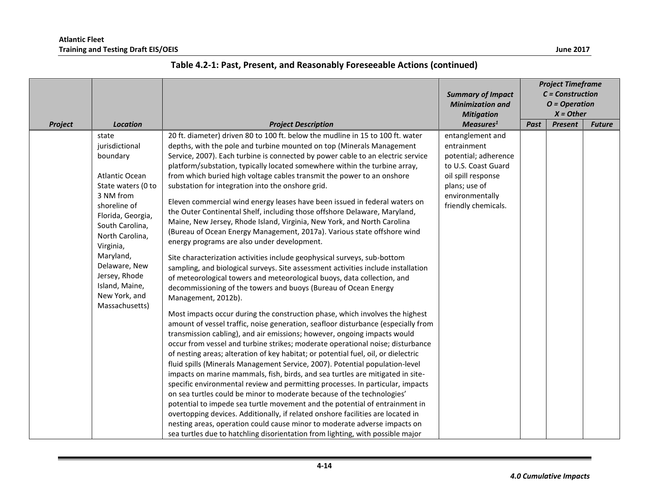|                |                                                                                                                                                                                                                                                                                      |                                                                                                                                                                                                                                                                                                                                                                                                                                                                                                                                                                                                                                                                                                                                                                                                                                                                                                                                                                                                                                                                                                                                                                                                                                                                                                                                                                                                                                                                                                                                                                                                                                                                                                                                                                                                                                                                                                                                                                                                                                                                                                                                                                                                                                                       |                                                                                                                                                                 | <b>Project Timeframe</b><br>$C = Construction$<br>$O = Operation$<br>$X = Other$ |                |               |
|----------------|--------------------------------------------------------------------------------------------------------------------------------------------------------------------------------------------------------------------------------------------------------------------------------------|-------------------------------------------------------------------------------------------------------------------------------------------------------------------------------------------------------------------------------------------------------------------------------------------------------------------------------------------------------------------------------------------------------------------------------------------------------------------------------------------------------------------------------------------------------------------------------------------------------------------------------------------------------------------------------------------------------------------------------------------------------------------------------------------------------------------------------------------------------------------------------------------------------------------------------------------------------------------------------------------------------------------------------------------------------------------------------------------------------------------------------------------------------------------------------------------------------------------------------------------------------------------------------------------------------------------------------------------------------------------------------------------------------------------------------------------------------------------------------------------------------------------------------------------------------------------------------------------------------------------------------------------------------------------------------------------------------------------------------------------------------------------------------------------------------------------------------------------------------------------------------------------------------------------------------------------------------------------------------------------------------------------------------------------------------------------------------------------------------------------------------------------------------------------------------------------------------------------------------------------------------|-----------------------------------------------------------------------------------------------------------------------------------------------------------------|----------------------------------------------------------------------------------|----------------|---------------|
| <b>Project</b> | <b>Location</b>                                                                                                                                                                                                                                                                      | <b>Project Description</b>                                                                                                                                                                                                                                                                                                                                                                                                                                                                                                                                                                                                                                                                                                                                                                                                                                                                                                                                                                                                                                                                                                                                                                                                                                                                                                                                                                                                                                                                                                                                                                                                                                                                                                                                                                                                                                                                                                                                                                                                                                                                                                                                                                                                                            | Measures <sup>1</sup>                                                                                                                                           | Past                                                                             | <b>Present</b> | <b>Future</b> |
|                | state<br>jurisdictional<br>boundary<br>Atlantic Ocean<br>State waters (0 to<br>3 NM from<br>shoreline of<br>Florida, Georgia,<br>South Carolina,<br>North Carolina,<br>Virginia,<br>Maryland,<br>Delaware, New<br>Jersey, Rhode<br>Island, Maine,<br>New York, and<br>Massachusetts) | 20 ft. diameter) driven 80 to 100 ft. below the mudline in 15 to 100 ft. water<br>depths, with the pole and turbine mounted on top (Minerals Management<br>Service, 2007). Each turbine is connected by power cable to an electric service<br>platform/substation, typically located somewhere within the turbine array,<br>from which buried high voltage cables transmit the power to an onshore<br>substation for integration into the onshore grid.<br>Eleven commercial wind energy leases have been issued in federal waters on<br>the Outer Continental Shelf, including those offshore Delaware, Maryland,<br>Maine, New Jersey, Rhode Island, Virginia, New York, and North Carolina<br>(Bureau of Ocean Energy Management, 2017a). Various state offshore wind<br>energy programs are also under development.<br>Site characterization activities include geophysical surveys, sub-bottom<br>sampling, and biological surveys. Site assessment activities include installation<br>of meteorological towers and meteorological buoys, data collection, and<br>decommissioning of the towers and buoys (Bureau of Ocean Energy<br>Management, 2012b).<br>Most impacts occur during the construction phase, which involves the highest<br>amount of vessel traffic, noise generation, seafloor disturbance (especially from<br>transmission cabling), and air emissions; however, ongoing impacts would<br>occur from vessel and turbine strikes; moderate operational noise; disturbance<br>of nesting areas; alteration of key habitat; or potential fuel, oil, or dielectric<br>fluid spills (Minerals Management Service, 2007). Potential population-level<br>impacts on marine mammals, fish, birds, and sea turtles are mitigated in site-<br>specific environmental review and permitting processes. In particular, impacts<br>on sea turtles could be minor to moderate because of the technologies'<br>potential to impede sea turtle movement and the potential of entrainment in<br>overtopping devices. Additionally, if related onshore facilities are located in<br>nesting areas, operation could cause minor to moderate adverse impacts on<br>sea turtles due to hatchling disorientation from lighting, with possible major | entanglement and<br>entrainment<br>potential; adherence<br>to U.S. Coast Guard<br>oil spill response<br>plans; use of<br>environmentally<br>friendly chemicals. |                                                                                  |                |               |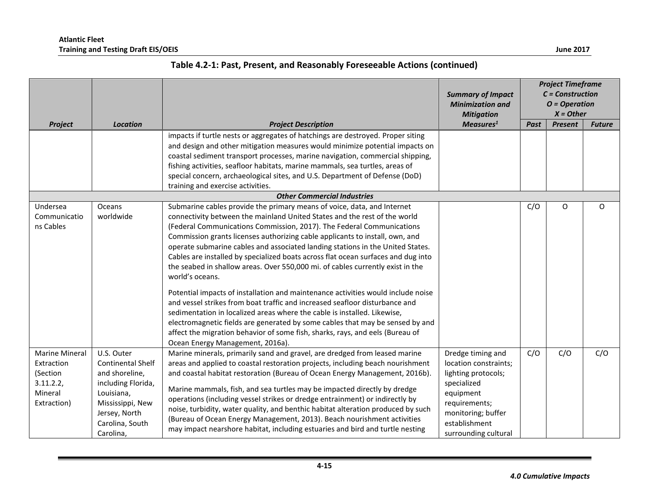|                                                                                        |                                                                                                                                                                   |                                                                                                                                                                                                                                                                                                                                                                                                                                                                                                                                                                                                                                                         | <b>Summary of Impact</b><br><b>Minimization and</b><br><b>Mitigation</b>                                                                                                      | <b>Project Timeframe</b><br>$C = Construction$<br>$O = Operation$<br>$X = Other$ |                |               |
|----------------------------------------------------------------------------------------|-------------------------------------------------------------------------------------------------------------------------------------------------------------------|---------------------------------------------------------------------------------------------------------------------------------------------------------------------------------------------------------------------------------------------------------------------------------------------------------------------------------------------------------------------------------------------------------------------------------------------------------------------------------------------------------------------------------------------------------------------------------------------------------------------------------------------------------|-------------------------------------------------------------------------------------------------------------------------------------------------------------------------------|----------------------------------------------------------------------------------|----------------|---------------|
| Project                                                                                | <b>Location</b>                                                                                                                                                   | <b>Project Description</b>                                                                                                                                                                                                                                                                                                                                                                                                                                                                                                                                                                                                                              | Measures <sup>1</sup>                                                                                                                                                         | Past                                                                             | <b>Present</b> | <b>Future</b> |
|                                                                                        |                                                                                                                                                                   | impacts if turtle nests or aggregates of hatchings are destroyed. Proper siting<br>and design and other mitigation measures would minimize potential impacts on<br>coastal sediment transport processes, marine navigation, commercial shipping,<br>fishing activities, seafloor habitats, marine mammals, sea turtles, areas of<br>special concern, archaeological sites, and U.S. Department of Defense (DoD)<br>training and exercise activities.                                                                                                                                                                                                    |                                                                                                                                                                               |                                                                                  |                |               |
|                                                                                        |                                                                                                                                                                   | <b>Other Commercial Industries</b>                                                                                                                                                                                                                                                                                                                                                                                                                                                                                                                                                                                                                      |                                                                                                                                                                               |                                                                                  |                |               |
| Undersea<br>Communicatio<br>ns Cables                                                  | Oceans<br>worldwide                                                                                                                                               | Submarine cables provide the primary means of voice, data, and Internet<br>connectivity between the mainland United States and the rest of the world<br>(Federal Communications Commission, 2017). The Federal Communications<br>Commission grants licenses authorizing cable applicants to install, own, and<br>operate submarine cables and associated landing stations in the United States.<br>Cables are installed by specialized boats across flat ocean surfaces and dug into<br>the seabed in shallow areas. Over 550,000 mi. of cables currently exist in the<br>world's oceans.                                                               |                                                                                                                                                                               | C/O                                                                              | O              | O             |
|                                                                                        |                                                                                                                                                                   | Potential impacts of installation and maintenance activities would include noise<br>and vessel strikes from boat traffic and increased seafloor disturbance and<br>sedimentation in localized areas where the cable is installed. Likewise,<br>electromagnetic fields are generated by some cables that may be sensed by and<br>affect the migration behavior of some fish, sharks, rays, and eels (Bureau of<br>Ocean Energy Management, 2016a).                                                                                                                                                                                                       |                                                                                                                                                                               |                                                                                  |                |               |
| <b>Marine Mineral</b><br>Extraction<br>(Section<br>3.11.2.2,<br>Mineral<br>Extraction) | U.S. Outer<br><b>Continental Shelf</b><br>and shoreline,<br>including Florida,<br>Louisiana,<br>Mississippi, New<br>Jersey, North<br>Carolina, South<br>Carolina, | Marine minerals, primarily sand and gravel, are dredged from leased marine<br>areas and applied to coastal restoration projects, including beach nourishment<br>and coastal habitat restoration (Bureau of Ocean Energy Management, 2016b).<br>Marine mammals, fish, and sea turtles may be impacted directly by dredge<br>operations (including vessel strikes or dredge entrainment) or indirectly by<br>noise, turbidity, water quality, and benthic habitat alteration produced by such<br>(Bureau of Ocean Energy Management, 2013). Beach nourishment activities<br>may impact nearshore habitat, including estuaries and bird and turtle nesting | Dredge timing and<br>location constraints;<br>lighting protocols;<br>specialized<br>equipment<br>requirements;<br>monitoring; buffer<br>establishment<br>surrounding cultural | C/O                                                                              | C/O            | C/O           |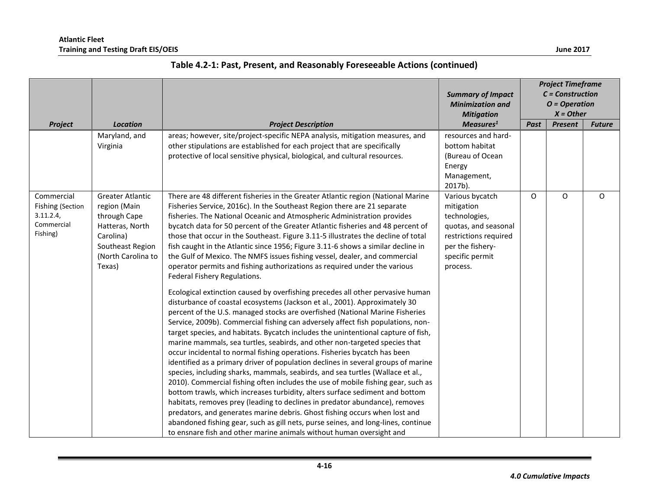|                                                                       |                                                                                                                                             |                                                                                                                                                                                                                                                                                                                                                                                                                                                                                                                                                                                                                                                                                                                                                                                                                                                                                                                                                                                                                                                                                                                                                                                                                                                      | <b>Summary of Impact</b><br><b>Minimization and</b><br><b>Mitigation</b>                                                                           | <b>Project Timeframe</b><br>$C = Construction$<br>$O = Operation$<br>$X = Other$ |                |               |  |
|-----------------------------------------------------------------------|---------------------------------------------------------------------------------------------------------------------------------------------|------------------------------------------------------------------------------------------------------------------------------------------------------------------------------------------------------------------------------------------------------------------------------------------------------------------------------------------------------------------------------------------------------------------------------------------------------------------------------------------------------------------------------------------------------------------------------------------------------------------------------------------------------------------------------------------------------------------------------------------------------------------------------------------------------------------------------------------------------------------------------------------------------------------------------------------------------------------------------------------------------------------------------------------------------------------------------------------------------------------------------------------------------------------------------------------------------------------------------------------------------|----------------------------------------------------------------------------------------------------------------------------------------------------|----------------------------------------------------------------------------------|----------------|---------------|--|
| Project                                                               | <b>Location</b>                                                                                                                             | <b>Project Description</b>                                                                                                                                                                                                                                                                                                                                                                                                                                                                                                                                                                                                                                                                                                                                                                                                                                                                                                                                                                                                                                                                                                                                                                                                                           | Measures <sup>1</sup>                                                                                                                              | Past                                                                             | <b>Present</b> | <b>Future</b> |  |
|                                                                       | Maryland, and<br>Virginia                                                                                                                   | areas; however, site/project-specific NEPA analysis, mitigation measures, and<br>other stipulations are established for each project that are specifically                                                                                                                                                                                                                                                                                                                                                                                                                                                                                                                                                                                                                                                                                                                                                                                                                                                                                                                                                                                                                                                                                           | resources and hard-<br>bottom habitat                                                                                                              |                                                                                  |                |               |  |
|                                                                       |                                                                                                                                             | protective of local sensitive physical, biological, and cultural resources.                                                                                                                                                                                                                                                                                                                                                                                                                                                                                                                                                                                                                                                                                                                                                                                                                                                                                                                                                                                                                                                                                                                                                                          | (Bureau of Ocean                                                                                                                                   |                                                                                  |                |               |  |
|                                                                       |                                                                                                                                             |                                                                                                                                                                                                                                                                                                                                                                                                                                                                                                                                                                                                                                                                                                                                                                                                                                                                                                                                                                                                                                                                                                                                                                                                                                                      | Energy                                                                                                                                             |                                                                                  |                |               |  |
|                                                                       |                                                                                                                                             |                                                                                                                                                                                                                                                                                                                                                                                                                                                                                                                                                                                                                                                                                                                                                                                                                                                                                                                                                                                                                                                                                                                                                                                                                                                      | Management,                                                                                                                                        |                                                                                  |                |               |  |
|                                                                       |                                                                                                                                             |                                                                                                                                                                                                                                                                                                                                                                                                                                                                                                                                                                                                                                                                                                                                                                                                                                                                                                                                                                                                                                                                                                                                                                                                                                                      | 2017b).                                                                                                                                            |                                                                                  |                |               |  |
| Commercial<br>Fishing (Section<br>3.11.2.4,<br>Commercial<br>Fishing) | <b>Greater Atlantic</b><br>region (Main<br>through Cape<br>Hatteras, North<br>Carolina)<br>Southeast Region<br>(North Carolina to<br>Texas) | There are 48 different fisheries in the Greater Atlantic region (National Marine<br>Fisheries Service, 2016c). In the Southeast Region there are 21 separate<br>fisheries. The National Oceanic and Atmospheric Administration provides<br>bycatch data for 50 percent of the Greater Atlantic fisheries and 48 percent of<br>those that occur in the Southeast. Figure 3.11-5 illustrates the decline of total<br>fish caught in the Atlantic since 1956; Figure 3.11-6 shows a similar decline in<br>the Gulf of Mexico. The NMFS issues fishing vessel, dealer, and commercial<br>operator permits and fishing authorizations as required under the various<br>Federal Fishery Regulations.                                                                                                                                                                                                                                                                                                                                                                                                                                                                                                                                                       | Various bycatch<br>mitigation<br>technologies,<br>quotas, and seasonal<br>restrictions required<br>per the fishery-<br>specific permit<br>process. | O                                                                                | O              | $\circ$       |  |
|                                                                       |                                                                                                                                             | Ecological extinction caused by overfishing precedes all other pervasive human<br>disturbance of coastal ecosystems (Jackson et al., 2001). Approximately 30<br>percent of the U.S. managed stocks are overfished (National Marine Fisheries<br>Service, 2009b). Commercial fishing can adversely affect fish populations, non-<br>target species, and habitats. Bycatch includes the unintentional capture of fish,<br>marine mammals, sea turtles, seabirds, and other non-targeted species that<br>occur incidental to normal fishing operations. Fisheries bycatch has been<br>identified as a primary driver of population declines in several groups of marine<br>species, including sharks, mammals, seabirds, and sea turtles (Wallace et al.,<br>2010). Commercial fishing often includes the use of mobile fishing gear, such as<br>bottom trawls, which increases turbidity, alters surface sediment and bottom<br>habitats, removes prey (leading to declines in predator abundance), removes<br>predators, and generates marine debris. Ghost fishing occurs when lost and<br>abandoned fishing gear, such as gill nets, purse seines, and long-lines, continue<br>to ensnare fish and other marine animals without human oversight and |                                                                                                                                                    |                                                                                  |                |               |  |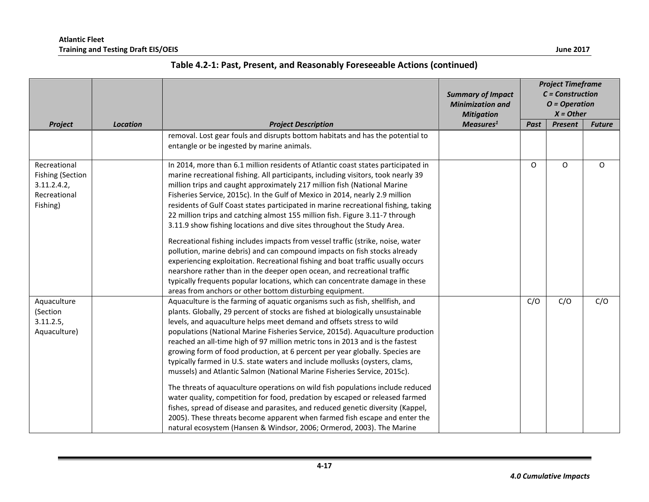|                                                                                    |                 |                                                                                                                                                                                                                                                                                                                                                                                                                                                                                                                                                                                                                                                                                                                                                                                                                                                                                                                                                                                                                                                                   | <b>Summary of Impact</b><br><b>Minimization and</b><br><b>Mitigation</b> | <b>Project Timeframe</b><br>$C = Construction$<br>$O = Operation$<br>$X = Other$ |                |               |
|------------------------------------------------------------------------------------|-----------------|-------------------------------------------------------------------------------------------------------------------------------------------------------------------------------------------------------------------------------------------------------------------------------------------------------------------------------------------------------------------------------------------------------------------------------------------------------------------------------------------------------------------------------------------------------------------------------------------------------------------------------------------------------------------------------------------------------------------------------------------------------------------------------------------------------------------------------------------------------------------------------------------------------------------------------------------------------------------------------------------------------------------------------------------------------------------|--------------------------------------------------------------------------|----------------------------------------------------------------------------------|----------------|---------------|
| Project                                                                            | <b>Location</b> | <b>Project Description</b>                                                                                                                                                                                                                                                                                                                                                                                                                                                                                                                                                                                                                                                                                                                                                                                                                                                                                                                                                                                                                                        | Measures <sup>1</sup>                                                    | Past                                                                             | <b>Present</b> | <b>Future</b> |
|                                                                                    |                 | removal. Lost gear fouls and disrupts bottom habitats and has the potential to<br>entangle or be ingested by marine animals.                                                                                                                                                                                                                                                                                                                                                                                                                                                                                                                                                                                                                                                                                                                                                                                                                                                                                                                                      |                                                                          |                                                                                  |                |               |
| Recreational<br><b>Fishing (Section</b><br>3.11.2.4.2,<br>Recreational<br>Fishing) |                 | In 2014, more than 6.1 million residents of Atlantic coast states participated in<br>marine recreational fishing. All participants, including visitors, took nearly 39<br>million trips and caught approximately 217 million fish (National Marine<br>Fisheries Service, 2015c). In the Gulf of Mexico in 2014, nearly 2.9 million<br>residents of Gulf Coast states participated in marine recreational fishing, taking<br>22 million trips and catching almost 155 million fish. Figure 3.11-7 through<br>3.11.9 show fishing locations and dive sites throughout the Study Area.<br>Recreational fishing includes impacts from vessel traffic (strike, noise, water<br>pollution, marine debris) and can compound impacts on fish stocks already<br>experiencing exploitation. Recreational fishing and boat traffic usually occurs<br>nearshore rather than in the deeper open ocean, and recreational traffic<br>typically frequents popular locations, which can concentrate damage in these<br>areas from anchors or other bottom disturbing equipment.    |                                                                          | O                                                                                | 0              | O             |
| Aquaculture<br>(Section<br>3.11.2.5,<br>Aquaculture)                               |                 | Aquaculture is the farming of aquatic organisms such as fish, shellfish, and<br>plants. Globally, 29 percent of stocks are fished at biologically unsustainable<br>levels, and aquaculture helps meet demand and offsets stress to wild<br>populations (National Marine Fisheries Service, 2015d). Aquaculture production<br>reached an all-time high of 97 million metric tons in 2013 and is the fastest<br>growing form of food production, at 6 percent per year globally. Species are<br>typically farmed in U.S. state waters and include mollusks (oysters, clams,<br>mussels) and Atlantic Salmon (National Marine Fisheries Service, 2015c).<br>The threats of aquaculture operations on wild fish populations include reduced<br>water quality, competition for food, predation by escaped or released farmed<br>fishes, spread of disease and parasites, and reduced genetic diversity (Kappel,<br>2005). These threats become apparent when farmed fish escape and enter the<br>natural ecosystem (Hansen & Windsor, 2006; Ormerod, 2003). The Marine |                                                                          | C/O                                                                              | C/O            | C/O           |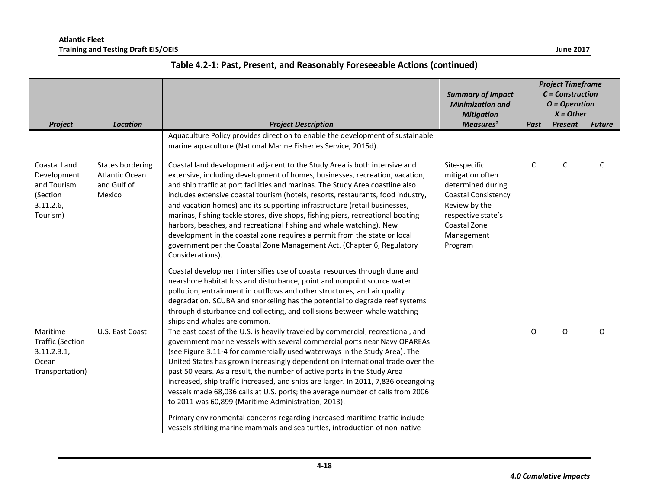|                                                                                |                                                             |                                                                                                                                                                                                                                                                                                                                                                                                                                                                                                                                                                                                                                                                                                                                                                                                                                                                                                                                                                                                                                                                                                                                                                                   | <b>Summary of Impact</b><br><b>Minimization and</b><br><b>Mitigation</b>                                                                                             | <b>Project Timeframe</b><br>$C = Construction$<br>$O = Operation$<br>$X = Other$ |                |               |
|--------------------------------------------------------------------------------|-------------------------------------------------------------|-----------------------------------------------------------------------------------------------------------------------------------------------------------------------------------------------------------------------------------------------------------------------------------------------------------------------------------------------------------------------------------------------------------------------------------------------------------------------------------------------------------------------------------------------------------------------------------------------------------------------------------------------------------------------------------------------------------------------------------------------------------------------------------------------------------------------------------------------------------------------------------------------------------------------------------------------------------------------------------------------------------------------------------------------------------------------------------------------------------------------------------------------------------------------------------|----------------------------------------------------------------------------------------------------------------------------------------------------------------------|----------------------------------------------------------------------------------|----------------|---------------|
| Project                                                                        | <b>Location</b>                                             | <b>Project Description</b>                                                                                                                                                                                                                                                                                                                                                                                                                                                                                                                                                                                                                                                                                                                                                                                                                                                                                                                                                                                                                                                                                                                                                        | Measures <sup>1</sup>                                                                                                                                                | Past                                                                             | <b>Present</b> | <b>Future</b> |
|                                                                                |                                                             | Aquaculture Policy provides direction to enable the development of sustainable<br>marine aquaculture (National Marine Fisheries Service, 2015d).                                                                                                                                                                                                                                                                                                                                                                                                                                                                                                                                                                                                                                                                                                                                                                                                                                                                                                                                                                                                                                  |                                                                                                                                                                      |                                                                                  |                |               |
| Coastal Land<br>Development<br>and Tourism<br>(Section<br>3.11.2.6<br>Tourism) | States bordering<br>Atlantic Ocean<br>and Gulf of<br>Mexico | Coastal land development adjacent to the Study Area is both intensive and<br>extensive, including development of homes, businesses, recreation, vacation,<br>and ship traffic at port facilities and marinas. The Study Area coastline also<br>includes extensive coastal tourism (hotels, resorts, restaurants, food industry,<br>and vacation homes) and its supporting infrastructure (retail businesses,<br>marinas, fishing tackle stores, dive shops, fishing piers, recreational boating<br>harbors, beaches, and recreational fishing and whale watching). New<br>development in the coastal zone requires a permit from the state or local<br>government per the Coastal Zone Management Act. (Chapter 6, Regulatory<br>Considerations).<br>Coastal development intensifies use of coastal resources through dune and<br>nearshore habitat loss and disturbance, point and nonpoint source water<br>pollution, entrainment in outflows and other structures, and air quality<br>degradation. SCUBA and snorkeling has the potential to degrade reef systems<br>through disturbance and collecting, and collisions between whale watching<br>ships and whales are common. | Site-specific<br>mitigation often<br>determined during<br><b>Coastal Consistency</b><br>Review by the<br>respective state's<br>Coastal Zone<br>Management<br>Program | $\mathsf C$                                                                      | C              | $\mathsf{C}$  |
| Maritime<br><b>Traffic (Section</b><br>3.11.2.3.1,<br>Ocean<br>Transportation) | U.S. East Coast                                             | The east coast of the U.S. is heavily traveled by commercial, recreational, and<br>government marine vessels with several commercial ports near Navy OPAREAs<br>(see Figure 3.11-4 for commercially used waterways in the Study Area). The<br>United States has grown increasingly dependent on international trade over the<br>past 50 years. As a result, the number of active ports in the Study Area<br>increased, ship traffic increased, and ships are larger. In 2011, 7,836 oceangoing<br>vessels made 68,036 calls at U.S. ports; the average number of calls from 2006<br>to 2011 was 60,899 (Maritime Administration, 2013).<br>Primary environmental concerns regarding increased maritime traffic include<br>vessels striking marine mammals and sea turtles, introduction of non-native                                                                                                                                                                                                                                                                                                                                                                             |                                                                                                                                                                      | 0                                                                                | O              | O             |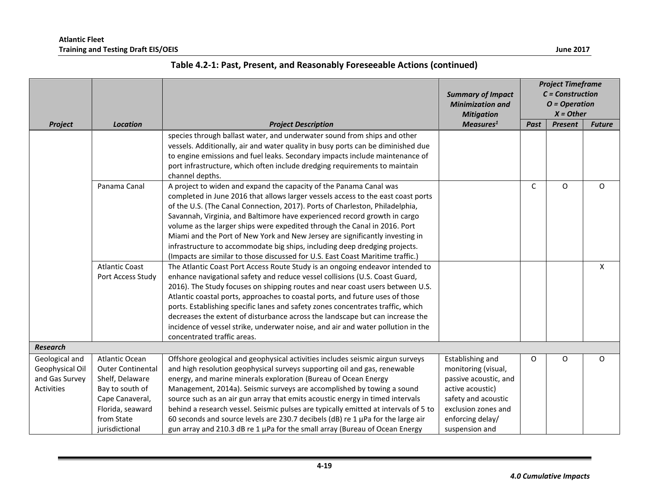|                   |                          |                                                                                               | <b>Summary of Impact</b><br><b>Minimization and</b><br><b>Mitigation</b> | <b>Project Timeframe</b><br>$C = Construction$<br>$O = Operation$<br>$X = Other$ |                |               |  |
|-------------------|--------------------------|-----------------------------------------------------------------------------------------------|--------------------------------------------------------------------------|----------------------------------------------------------------------------------|----------------|---------------|--|
| Project           | <b>Location</b>          | <b>Project Description</b>                                                                    | Measures <sup>1</sup>                                                    | Past                                                                             | <b>Present</b> | <b>Future</b> |  |
|                   |                          | species through ballast water, and underwater sound from ships and other                      |                                                                          |                                                                                  |                |               |  |
|                   |                          | vessels. Additionally, air and water quality in busy ports can be diminished due              |                                                                          |                                                                                  |                |               |  |
|                   |                          | to engine emissions and fuel leaks. Secondary impacts include maintenance of                  |                                                                          |                                                                                  |                |               |  |
|                   |                          | port infrastructure, which often include dredging requirements to maintain<br>channel depths. |                                                                          |                                                                                  |                |               |  |
|                   | Panama Canal             | A project to widen and expand the capacity of the Panama Canal was                            |                                                                          | C                                                                                | O              | $\Omega$      |  |
|                   |                          | completed in June 2016 that allows larger vessels access to the east coast ports              |                                                                          |                                                                                  |                |               |  |
|                   |                          | of the U.S. (The Canal Connection, 2017). Ports of Charleston, Philadelphia,                  |                                                                          |                                                                                  |                |               |  |
|                   |                          | Savannah, Virginia, and Baltimore have experienced record growth in cargo                     |                                                                          |                                                                                  |                |               |  |
|                   |                          | volume as the larger ships were expedited through the Canal in 2016. Port                     |                                                                          |                                                                                  |                |               |  |
|                   |                          | Miami and the Port of New York and New Jersey are significantly investing in                  |                                                                          |                                                                                  |                |               |  |
|                   |                          | infrastructure to accommodate big ships, including deep dredging projects.                    |                                                                          |                                                                                  |                |               |  |
|                   |                          | (Impacts are similar to those discussed for U.S. East Coast Maritime traffic.)                |                                                                          |                                                                                  |                |               |  |
|                   | <b>Atlantic Coast</b>    | The Atlantic Coast Port Access Route Study is an ongoing endeavor intended to                 |                                                                          |                                                                                  |                | X             |  |
|                   | Port Access Study        | enhance navigational safety and reduce vessel collisions (U.S. Coast Guard,                   |                                                                          |                                                                                  |                |               |  |
|                   |                          | 2016). The Study focuses on shipping routes and near coast users between U.S.                 |                                                                          |                                                                                  |                |               |  |
|                   |                          | Atlantic coastal ports, approaches to coastal ports, and future uses of those                 |                                                                          |                                                                                  |                |               |  |
|                   |                          | ports. Establishing specific lanes and safety zones concentrates traffic, which               |                                                                          |                                                                                  |                |               |  |
|                   |                          | decreases the extent of disturbance across the landscape but can increase the                 |                                                                          |                                                                                  |                |               |  |
|                   |                          | incidence of vessel strike, underwater noise, and air and water pollution in the              |                                                                          |                                                                                  |                |               |  |
|                   |                          | concentrated traffic areas.                                                                   |                                                                          |                                                                                  |                |               |  |
| <b>Research</b>   |                          |                                                                                               |                                                                          |                                                                                  |                |               |  |
| Geological and    | Atlantic Ocean           | Offshore geological and geophysical activities includes seismic airgun surveys                | Establishing and                                                         | $\circ$                                                                          | 0              | O             |  |
| Geophysical Oil   | <b>Outer Continental</b> | and high resolution geophysical surveys supporting oil and gas, renewable                     | monitoring (visual,                                                      |                                                                                  |                |               |  |
| and Gas Survey    | Shelf, Delaware          | energy, and marine minerals exploration (Bureau of Ocean Energy                               | passive acoustic, and                                                    |                                                                                  |                |               |  |
| <b>Activities</b> | Bay to south of          | Management, 2014a). Seismic surveys are accomplished by towing a sound                        | active acoustic)                                                         |                                                                                  |                |               |  |
|                   | Cape Canaveral,          | source such as an air gun array that emits acoustic energy in timed intervals                 | safety and acoustic                                                      |                                                                                  |                |               |  |
|                   | Florida, seaward         | behind a research vessel. Seismic pulses are typically emitted at intervals of 5 to           | exclusion zones and                                                      |                                                                                  |                |               |  |
|                   | from State               | 60 seconds and source levels are 230.7 decibels (dB) re 1 µPa for the large air               | enforcing delay/                                                         |                                                                                  |                |               |  |
|                   | jurisdictional           | gun array and 210.3 dB re 1 µPa for the small array (Bureau of Ocean Energy                   | suspension and                                                           |                                                                                  |                |               |  |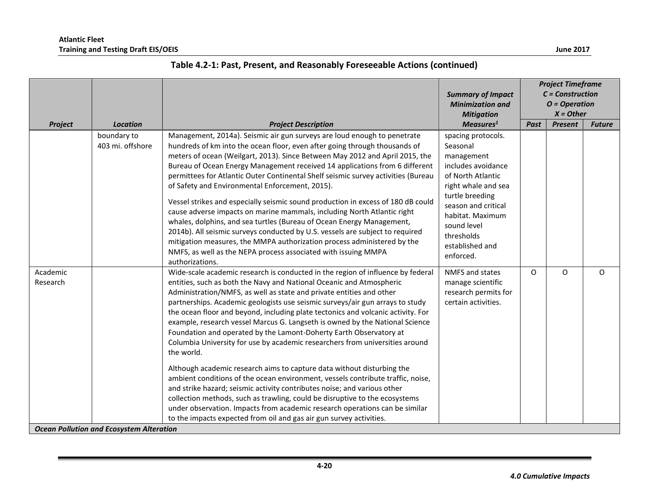|                      |                                                 |                                                                                                                                                                                                                                                                                                                                                                                                                                                                                                                                                                                                                                                                                                                                                                                                                                                                                                                                                                                                                                                                                                                                        | <b>Summary of Impact</b><br><b>Minimization and</b><br><b>Mitigation</b>                                                                                                                                                                  | <b>Project Timeframe</b><br>$C = Construction$<br>$O = Operation$<br>$X = Other$ |         |               |  |
|----------------------|-------------------------------------------------|----------------------------------------------------------------------------------------------------------------------------------------------------------------------------------------------------------------------------------------------------------------------------------------------------------------------------------------------------------------------------------------------------------------------------------------------------------------------------------------------------------------------------------------------------------------------------------------------------------------------------------------------------------------------------------------------------------------------------------------------------------------------------------------------------------------------------------------------------------------------------------------------------------------------------------------------------------------------------------------------------------------------------------------------------------------------------------------------------------------------------------------|-------------------------------------------------------------------------------------------------------------------------------------------------------------------------------------------------------------------------------------------|----------------------------------------------------------------------------------|---------|---------------|--|
| Project              | Location                                        | <b>Project Description</b>                                                                                                                                                                                                                                                                                                                                                                                                                                                                                                                                                                                                                                                                                                                                                                                                                                                                                                                                                                                                                                                                                                             | Measures <sup>1</sup>                                                                                                                                                                                                                     | Past                                                                             | Present | <b>Future</b> |  |
|                      | boundary to<br>403 mi. offshore                 | Management, 2014a). Seismic air gun surveys are loud enough to penetrate<br>hundreds of km into the ocean floor, even after going through thousands of<br>meters of ocean (Weilgart, 2013). Since Between May 2012 and April 2015, the<br>Bureau of Ocean Energy Management received 14 applications from 6 different<br>permittees for Atlantic Outer Continental Shelf seismic survey activities (Bureau<br>of Safety and Environmental Enforcement, 2015).<br>Vessel strikes and especially seismic sound production in excess of 180 dB could<br>cause adverse impacts on marine mammals, including North Atlantic right<br>whales, dolphins, and sea turtles (Bureau of Ocean Energy Management,<br>2014b). All seismic surveys conducted by U.S. vessels are subject to required<br>mitigation measures, the MMPA authorization process administered by the<br>NMFS, as well as the NEPA process associated with issuing MMPA<br>authorizations.                                                                                                                                                                                 | spacing protocols.<br>Seasonal<br>management<br>includes avoidance<br>of North Atlantic<br>right whale and sea<br>turtle breeding<br>season and critical<br>habitat. Maximum<br>sound level<br>thresholds<br>established and<br>enforced. |                                                                                  |         |               |  |
| Academic<br>Research | <b>Ocean Pollution and Ecosystem Alteration</b> | Wide-scale academic research is conducted in the region of influence by federal<br>entities, such as both the Navy and National Oceanic and Atmospheric<br>Administration/NMFS, as well as state and private entities and other<br>partnerships. Academic geologists use seismic surveys/air gun arrays to study<br>the ocean floor and beyond, including plate tectonics and volcanic activity. For<br>example, research vessel Marcus G. Langseth is owned by the National Science<br>Foundation and operated by the Lamont-Doherty Earth Observatory at<br>Columbia University for use by academic researchers from universities around<br>the world.<br>Although academic research aims to capture data without disturbing the<br>ambient conditions of the ocean environment, vessels contribute traffic, noise,<br>and strike hazard; seismic activity contributes noise; and various other<br>collection methods, such as trawling, could be disruptive to the ecosystems<br>under observation. Impacts from academic research operations can be similar<br>to the impacts expected from oil and gas air gun survey activities. | NMFS and states<br>manage scientific<br>research permits for<br>certain activities.                                                                                                                                                       | 0                                                                                | O       | $\Omega$      |  |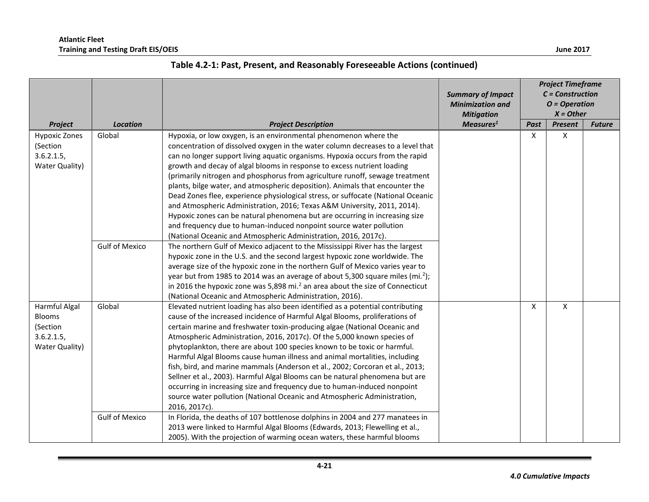|                                                                           | <b>Location</b>                 |                                                                                                                                                                                                                                                                                                                                                                                                                                                                                                                                                                                                                                                                                                                                                                                                                                                                                                                                                                                                                                         |                       | <b>Project Timeframe</b><br>$C = Construction$<br>$O = Operation$<br>$X = Other$ |         |               |
|---------------------------------------------------------------------------|---------------------------------|-----------------------------------------------------------------------------------------------------------------------------------------------------------------------------------------------------------------------------------------------------------------------------------------------------------------------------------------------------------------------------------------------------------------------------------------------------------------------------------------------------------------------------------------------------------------------------------------------------------------------------------------------------------------------------------------------------------------------------------------------------------------------------------------------------------------------------------------------------------------------------------------------------------------------------------------------------------------------------------------------------------------------------------------|-----------------------|----------------------------------------------------------------------------------|---------|---------------|
| Project                                                                   |                                 | <b>Project Description</b>                                                                                                                                                                                                                                                                                                                                                                                                                                                                                                                                                                                                                                                                                                                                                                                                                                                                                                                                                                                                              | Measures <sup>1</sup> | Past                                                                             | Present | <b>Future</b> |
| <b>Hypoxic Zones</b><br>(Section<br>3.6.2.1.5<br>Water Quality)           | Global<br><b>Gulf of Mexico</b> | Hypoxia, or low oxygen, is an environmental phenomenon where the<br>concentration of dissolved oxygen in the water column decreases to a level that<br>can no longer support living aquatic organisms. Hypoxia occurs from the rapid<br>growth and decay of algal blooms in response to excess nutrient loading<br>(primarily nitrogen and phosphorus from agriculture runoff, sewage treatment<br>plants, bilge water, and atmospheric deposition). Animals that encounter the<br>Dead Zones flee, experience physiological stress, or suffocate (National Oceanic<br>and Atmospheric Administration, 2016; Texas A&M University, 2011, 2014).<br>Hypoxic zones can be natural phenomena but are occurring in increasing size<br>and frequency due to human-induced nonpoint source water pollution<br>(National Oceanic and Atmospheric Administration, 2016, 2017c).<br>The northern Gulf of Mexico adjacent to the Mississippi River has the largest<br>hypoxic zone in the U.S. and the second largest hypoxic zone worldwide. The |                       | X                                                                                | X       |               |
|                                                                           |                                 | average size of the hypoxic zone in the northern Gulf of Mexico varies year to<br>year but from 1985 to 2014 was an average of about 5,300 square miles (mi. <sup>2</sup> );<br>in 2016 the hypoxic zone was 5,898 mi. <sup>2</sup> an area about the size of Connecticut<br>(National Oceanic and Atmospheric Administration, 2016).                                                                                                                                                                                                                                                                                                                                                                                                                                                                                                                                                                                                                                                                                                   |                       |                                                                                  |         |               |
| Harmful Algal<br><b>Blooms</b><br>(Section<br>3.6.2.1.5<br>Water Quality) | Global<br><b>Gulf of Mexico</b> | Elevated nutrient loading has also been identified as a potential contributing<br>cause of the increased incidence of Harmful Algal Blooms, proliferations of<br>certain marine and freshwater toxin-producing algae (National Oceanic and<br>Atmospheric Administration, 2016, 2017c). Of the 5,000 known species of<br>phytoplankton, there are about 100 species known to be toxic or harmful.<br>Harmful Algal Blooms cause human illness and animal mortalities, including<br>fish, bird, and marine mammals (Anderson et al., 2002; Corcoran et al., 2013;<br>Sellner et al., 2003). Harmful Algal Blooms can be natural phenomena but are<br>occurring in increasing size and frequency due to human-induced nonpoint<br>source water pollution (National Oceanic and Atmospheric Administration,<br>2016, 2017c).<br>In Florida, the deaths of 107 bottlenose dolphins in 2004 and 277 manatees in                                                                                                                              |                       | X                                                                                | X       |               |
|                                                                           |                                 | 2013 were linked to Harmful Algal Blooms (Edwards, 2013; Flewelling et al.,<br>2005). With the projection of warming ocean waters, these harmful blooms                                                                                                                                                                                                                                                                                                                                                                                                                                                                                                                                                                                                                                                                                                                                                                                                                                                                                 |                       |                                                                                  |         |               |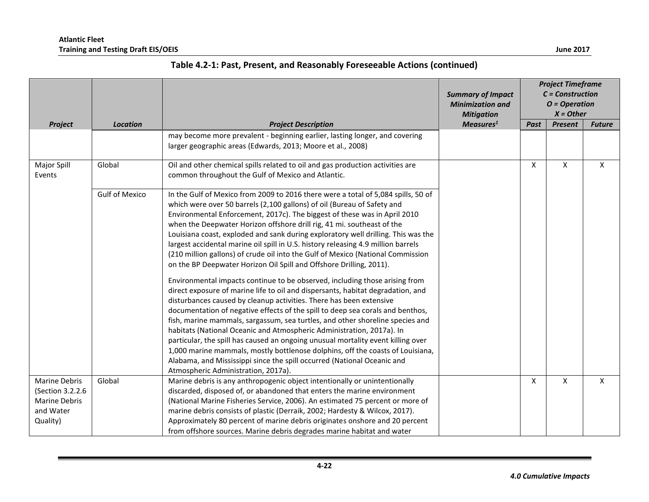|                                                                                                     |                       |                                                                                                                                                                                                                                                                                                                                                                                                                                                                                                                                                                                                                                                                                                                                                                                                                                                                                                                                                                                                                                                                                                                                                                                                                                                                                                                                                                                                                                      | <b>Summary of Impact</b><br><b>Minimization and</b><br><b>Mitigation</b> | <b>Project Timeframe</b><br>$C = Construction$<br>$O = Operation$<br>$X = Other$ |                |               |
|-----------------------------------------------------------------------------------------------------|-----------------------|--------------------------------------------------------------------------------------------------------------------------------------------------------------------------------------------------------------------------------------------------------------------------------------------------------------------------------------------------------------------------------------------------------------------------------------------------------------------------------------------------------------------------------------------------------------------------------------------------------------------------------------------------------------------------------------------------------------------------------------------------------------------------------------------------------------------------------------------------------------------------------------------------------------------------------------------------------------------------------------------------------------------------------------------------------------------------------------------------------------------------------------------------------------------------------------------------------------------------------------------------------------------------------------------------------------------------------------------------------------------------------------------------------------------------------------|--------------------------------------------------------------------------|----------------------------------------------------------------------------------|----------------|---------------|
| Project<br>Major Spill<br>Events<br>Marine Debris<br>(Section 3.2.2.6<br>Marine Debris<br>and Water | <b>Location</b>       | <b>Project Description</b>                                                                                                                                                                                                                                                                                                                                                                                                                                                                                                                                                                                                                                                                                                                                                                                                                                                                                                                                                                                                                                                                                                                                                                                                                                                                                                                                                                                                           | Measures <sup>1</sup>                                                    | Past                                                                             | <b>Present</b> | <b>Future</b> |
|                                                                                                     |                       | may become more prevalent - beginning earlier, lasting longer, and covering<br>larger geographic areas (Edwards, 2013; Moore et al., 2008)                                                                                                                                                                                                                                                                                                                                                                                                                                                                                                                                                                                                                                                                                                                                                                                                                                                                                                                                                                                                                                                                                                                                                                                                                                                                                           |                                                                          |                                                                                  |                |               |
|                                                                                                     | Global                | Oil and other chemical spills related to oil and gas production activities are<br>common throughout the Gulf of Mexico and Atlantic.                                                                                                                                                                                                                                                                                                                                                                                                                                                                                                                                                                                                                                                                                                                                                                                                                                                                                                                                                                                                                                                                                                                                                                                                                                                                                                 |                                                                          | X                                                                                | X              | X             |
|                                                                                                     | <b>Gulf of Mexico</b> | In the Gulf of Mexico from 2009 to 2016 there were a total of 5,084 spills, 50 of<br>which were over 50 barrels (2,100 gallons) of oil (Bureau of Safety and<br>Environmental Enforcement, 2017c). The biggest of these was in April 2010<br>when the Deepwater Horizon offshore drill rig, 41 mi. southeast of the<br>Louisiana coast, exploded and sank during exploratory well drilling. This was the<br>largest accidental marine oil spill in U.S. history releasing 4.9 million barrels<br>(210 million gallons) of crude oil into the Gulf of Mexico (National Commission<br>on the BP Deepwater Horizon Oil Spill and Offshore Drilling, 2011).<br>Environmental impacts continue to be observed, including those arising from<br>direct exposure of marine life to oil and dispersants, habitat degradation, and<br>disturbances caused by cleanup activities. There has been extensive<br>documentation of negative effects of the spill to deep sea corals and benthos,<br>fish, marine mammals, sargassum, sea turtles, and other shoreline species and<br>habitats (National Oceanic and Atmospheric Administration, 2017a). In<br>particular, the spill has caused an ongoing unusual mortality event killing over<br>1,000 marine mammals, mostly bottlenose dolphins, off the coasts of Louisiana,<br>Alabama, and Mississippi since the spill occurred (National Oceanic and<br>Atmospheric Administration, 2017a). |                                                                          |                                                                                  |                |               |
| Quality)                                                                                            | Global                | Marine debris is any anthropogenic object intentionally or unintentionally<br>discarded, disposed of, or abandoned that enters the marine environment<br>(National Marine Fisheries Service, 2006). An estimated 75 percent or more of<br>marine debris consists of plastic (Derraik, 2002; Hardesty & Wilcox, 2017).<br>Approximately 80 percent of marine debris originates onshore and 20 percent<br>from offshore sources. Marine debris degrades marine habitat and water                                                                                                                                                                                                                                                                                                                                                                                                                                                                                                                                                                                                                                                                                                                                                                                                                                                                                                                                                       |                                                                          | X                                                                                | X              | X             |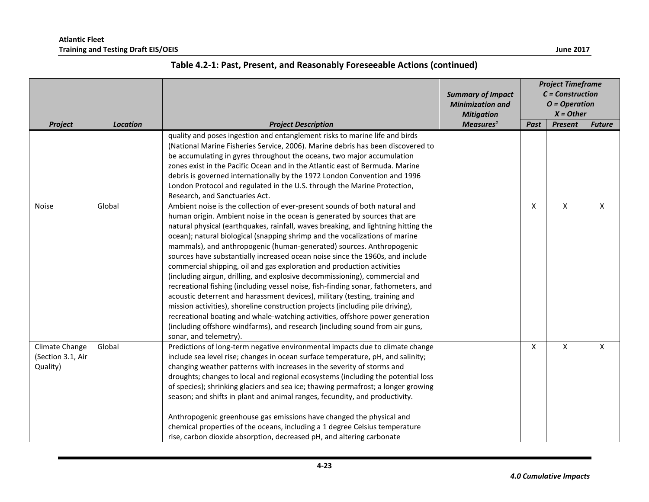|                                                 |                 |                                                                                                                                                                                                                                                                                                                                                                                                                                                                                                                                                                                                                                                                                                                                                                                                                                                                                                                                                                                                                                                                                                  | <b>Summary of Impact</b><br><b>Minimization and</b><br><b>Mitigation</b> | <b>Project Timeframe</b><br>$C = Construction$<br>$O = Operation$<br>$X = Other$ |                |               |
|-------------------------------------------------|-----------------|--------------------------------------------------------------------------------------------------------------------------------------------------------------------------------------------------------------------------------------------------------------------------------------------------------------------------------------------------------------------------------------------------------------------------------------------------------------------------------------------------------------------------------------------------------------------------------------------------------------------------------------------------------------------------------------------------------------------------------------------------------------------------------------------------------------------------------------------------------------------------------------------------------------------------------------------------------------------------------------------------------------------------------------------------------------------------------------------------|--------------------------------------------------------------------------|----------------------------------------------------------------------------------|----------------|---------------|
| Project                                         | <b>Location</b> | <b>Project Description</b>                                                                                                                                                                                                                                                                                                                                                                                                                                                                                                                                                                                                                                                                                                                                                                                                                                                                                                                                                                                                                                                                       | Measures <sup>1</sup>                                                    | Past                                                                             | <b>Present</b> | <b>Future</b> |
|                                                 |                 | quality and poses ingestion and entanglement risks to marine life and birds<br>(National Marine Fisheries Service, 2006). Marine debris has been discovered to<br>be accumulating in gyres throughout the oceans, two major accumulation<br>zones exist in the Pacific Ocean and in the Atlantic east of Bermuda. Marine<br>debris is governed internationally by the 1972 London Convention and 1996<br>London Protocol and regulated in the U.S. through the Marine Protection,<br>Research, and Sanctuaries Act.                                                                                                                                                                                                                                                                                                                                                                                                                                                                                                                                                                              |                                                                          |                                                                                  |                |               |
| <b>Noise</b>                                    | Global          | Ambient noise is the collection of ever-present sounds of both natural and<br>human origin. Ambient noise in the ocean is generated by sources that are<br>natural physical (earthquakes, rainfall, waves breaking, and lightning hitting the<br>ocean); natural biological (snapping shrimp and the vocalizations of marine<br>mammals), and anthropogenic (human-generated) sources. Anthropogenic<br>sources have substantially increased ocean noise since the 1960s, and include<br>commercial shipping, oil and gas exploration and production activities<br>(including airgun, drilling, and explosive decommissioning), commercial and<br>recreational fishing (including vessel noise, fish-finding sonar, fathometers, and<br>acoustic deterrent and harassment devices), military (testing, training and<br>mission activities), shoreline construction projects (including pile driving),<br>recreational boating and whale-watching activities, offshore power generation<br>(including offshore windfarms), and research (including sound from air guns,<br>sonar, and telemetry). |                                                                          | X                                                                                | X              | X             |
| Climate Change<br>(Section 3.1, Air<br>Quality) | Global          | Predictions of long-term negative environmental impacts due to climate change<br>include sea level rise; changes in ocean surface temperature, pH, and salinity;<br>changing weather patterns with increases in the severity of storms and<br>droughts; changes to local and regional ecosystems (including the potential loss<br>of species); shrinking glaciers and sea ice; thawing permafrost; a longer growing<br>season; and shifts in plant and animal ranges, fecundity, and productivity.<br>Anthropogenic greenhouse gas emissions have changed the physical and<br>chemical properties of the oceans, including a 1 degree Celsius temperature<br>rise, carbon dioxide absorption, decreased pH, and altering carbonate                                                                                                                                                                                                                                                                                                                                                               |                                                                          | X                                                                                | X              | $\mathsf{X}$  |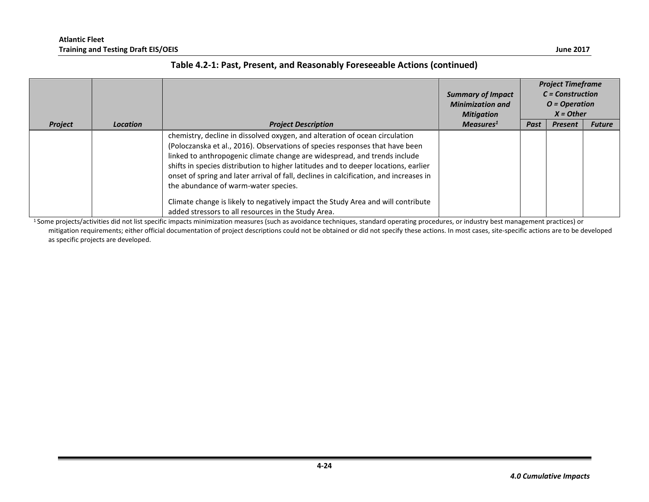| Table 4.2-1: Past, Present, and Reasonably Foreseeable Actions (continued) |  |  |  |  |  |
|----------------------------------------------------------------------------|--|--|--|--|--|
|----------------------------------------------------------------------------|--|--|--|--|--|

|                |                 |                                                                                                                                                                                                                                                                                                                                                                                                                                                                                                                                                                                                              | <b>Summary of Impact</b><br><b>Minimization and</b><br><b>Mitigation</b> |      | <b>Project Timeframe</b><br>$C = Construction$<br>$O = Operation$<br>$X = Other$ |               |
|----------------|-----------------|--------------------------------------------------------------------------------------------------------------------------------------------------------------------------------------------------------------------------------------------------------------------------------------------------------------------------------------------------------------------------------------------------------------------------------------------------------------------------------------------------------------------------------------------------------------------------------------------------------------|--------------------------------------------------------------------------|------|----------------------------------------------------------------------------------|---------------|
| <b>Project</b> | <b>Location</b> | <b>Project Description</b>                                                                                                                                                                                                                                                                                                                                                                                                                                                                                                                                                                                   | Measures <sup>1</sup>                                                    | Past | <b>Present</b>                                                                   | <b>Future</b> |
|                |                 | chemistry, decline in dissolved oxygen, and alteration of ocean circulation<br>(Poloczanska et al., 2016). Observations of species responses that have been<br>linked to anthropogenic climate change are widespread, and trends include<br>shifts in species distribution to higher latitudes and to deeper locations, earlier<br>onset of spring and later arrival of fall, declines in calcification, and increases in<br>the abundance of warm-water species.<br>Climate change is likely to negatively impact the Study Area and will contribute<br>added stressors to all resources in the Study Area. |                                                                          |      |                                                                                  |               |

<sup>1</sup>Some projects/activities did not list specific impacts minimization measures (such as avoidance techniques, standard operating procedures, or industry best management practices) or mitigation requirements; either official documentation of project descriptions could not be obtained or did not specify these actions. In most cases, site-specific actions are to be developed as specific projects are developed.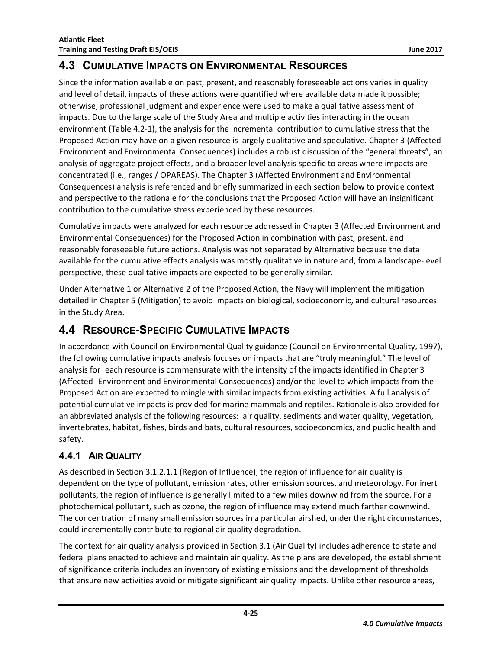## <span id="page-26-0"></span>**4.3 CUMULATIVE IMPACTS ON ENVIRONMENTAL RESOURCES**

Since the information available on past, present, and reasonably foreseeable actions varies in quality and level of detail, impacts of these actions were quantified where available data made it possible; otherwise, professional judgment and experience were used to make a qualitative assessment of impacts. Due to the large scale of the Study Area and multiple activities interacting in the ocean environment [\(Table 4.2-1\)](#page-5-0), the analysis for the incremental contribution to cumulative stress that the Proposed Action may have on a given resource is largely qualitative and speculative. Chapter 3 (Affected Environment and Environmental Consequences) includes a robust discussion of the "general threats", an analysis of aggregate project effects, and a broader level analysis specific to areas where impacts are concentrated (i.e., ranges / OPAREAS). The Chapter 3 (Affected Environment and Environmental Consequences) analysis is referenced and briefly summarized in each section below to provide context and perspective to the rationale for the conclusions that the Proposed Action will have an insignificant contribution to the cumulative stress experienced by these resources.

Cumulative impacts were analyzed for each resource addressed in Chapter 3 (Affected Environment and Environmental Consequences) for the Proposed Action in combination with past, present, and reasonably foreseeable future actions. Analysis was not separated by Alternative because the data available for the cumulative effects analysis was mostly qualitative in nature and, from a landscape-level perspective, these qualitative impacts are expected to be generally similar.

Under Alternative 1 or Alternative 2 of the Proposed Action, the Navy will implement the mitigation detailed in Chapter 5 (Mitigation) to avoid impacts on biological, socioeconomic, and cultural resources in the Study Area.

## <span id="page-26-1"></span>**4.4 RESOURCE-SPECIFIC CUMULATIVE IMPACTS**

In accordance with Council on Environmental Quality guidance (Council on Environmental Quality, 1997), the following cumulative impacts analysis focuses on impacts that are "truly meaningful." The level of analysis for each resource is commensurate with the intensity of the impacts identified in Chapter 3 (Affected Environment and Environmental Consequences) and/or the level to which impacts from the Proposed Action are expected to mingle with similar impacts from existing activities. A full analysis of potential cumulative impacts is provided for marine mammals and reptiles. Rationale is also provided for an abbreviated analysis of the following resources: air quality, sediments and water quality, vegetation, invertebrates, habitat, fishes, birds and bats, cultural resources, socioeconomics, and public health and safety.

## <span id="page-26-2"></span>**4.4.1 AIR QUALITY**

As described in Section 3.1.2.1.1 (Region of Influence), the region of influence for air quality is dependent on the type of pollutant, emission rates, other emission sources, and meteorology. For inert pollutants, the region of influence is generally limited to a few miles downwind from the source. For a photochemical pollutant, such as ozone, the region of influence may extend much farther downwind. The concentration of many small emission sources in a particular airshed, under the right circumstances, could incrementally contribute to regional air quality degradation.

The context for air quality analysis provided in Section 3.1 (Air Quality) includes adherence to state and federal plans enacted to achieve and maintain air quality. As the plans are developed, the establishment of significance criteria includes an inventory of existing emissions and the development of thresholds that ensure new activities avoid or mitigate significant air quality impacts. Unlike other resource areas,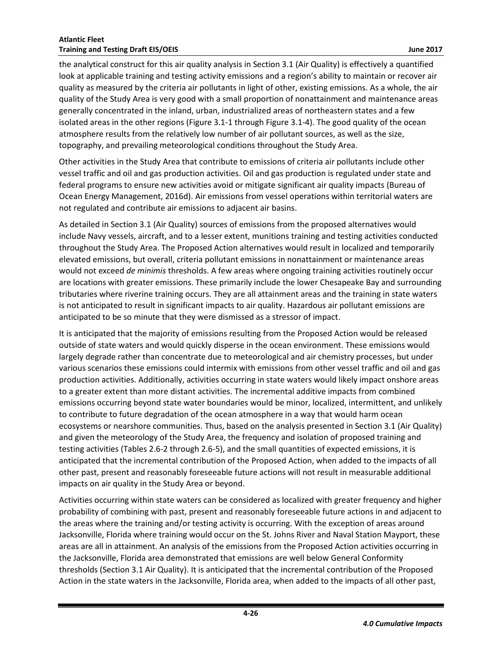the analytical construct for this air quality analysis in Section 3.1 (Air Quality) is effectively a quantified look at applicable training and testing activity emissions and a region's ability to maintain or recover air quality as measured by the criteria air pollutants in light of other, existing emissions. As a whole, the air quality of the Study Area is very good with a small proportion of nonattainment and maintenance areas generally concentrated in the inland, urban, industrialized areas of northeastern states and a few isolated areas in the other regions (Figure 3.1-1 through Figure 3.1-4). The good quality of the ocean atmosphere results from the relatively low number of air pollutant sources, as well as the size, topography, and prevailing meteorological conditions throughout the Study Area.

Other activities in the Study Area that contribute to emissions of criteria air pollutants include other vessel traffic and oil and gas production activities. Oil and gas production is regulated under state and federal programs to ensure new activities avoid or mitigate significant air quality impacts (Bureau of Ocean Energy Management, 2016d). Air emissions from vessel operations within territorial waters are not regulated and contribute air emissions to adjacent air basins.

As detailed in Section 3.1 (Air Quality) sources of emissions from the proposed alternatives would include Navy vessels, aircraft, and to a lesser extent, munitions training and testing activities conducted throughout the Study Area. The Proposed Action alternatives would result in localized and temporarily elevated emissions, but overall, criteria pollutant emissions in nonattainment or maintenance areas would not exceed *de minimis* thresholds. A few areas where ongoing training activities routinely occur are locations with greater emissions. These primarily include the lower Chesapeake Bay and surrounding tributaries where riverine training occurs. They are all attainment areas and the training in state waters is not anticipated to result in significant impacts to air quality. Hazardous air pollutant emissions are anticipated to be so minute that they were dismissed as a stressor of impact.

It is anticipated that the majority of emissions resulting from the Proposed Action would be released outside of state waters and would quickly disperse in the ocean environment. These emissions would largely degrade rather than concentrate due to meteorological and air chemistry processes, but under various scenarios these emissions could intermix with emissions from other vessel traffic and oil and gas production activities. Additionally, activities occurring in state waters would likely impact onshore areas to a greater extent than more distant activities. The incremental additive impacts from combined emissions occurring beyond state water boundaries would be minor, localized, intermittent, and unlikely to contribute to future degradation of the ocean atmosphere in a way that would harm ocean ecosystems or nearshore communities. Thus, based on the analysis presented in Section 3.1 (Air Quality) and given the meteorology of the Study Area, the frequency and isolation of proposed training and testing activities (Tables 2.6-2 through 2.6-5), and the small quantities of expected emissions, it is anticipated that the incremental contribution of the Proposed Action, when added to the impacts of all other past, present and reasonably foreseeable future actions will not result in measurable additional impacts on air quality in the Study Area or beyond.

Activities occurring within state waters can be considered as localized with greater frequency and higher probability of combining with past, present and reasonably foreseeable future actions in and adjacent to the areas where the training and/or testing activity is occurring. With the exception of areas around Jacksonville, Florida where training would occur on the St. Johns River and Naval Station Mayport, these areas are all in attainment. An analysis of the emissions from the Proposed Action activities occurring in the Jacksonville, Florida area demonstrated that emissions are well below General Conformity thresholds (Section 3.1 Air Quality). It is anticipated that the incremental contribution of the Proposed Action in the state waters in the Jacksonville, Florida area, when added to the impacts of all other past,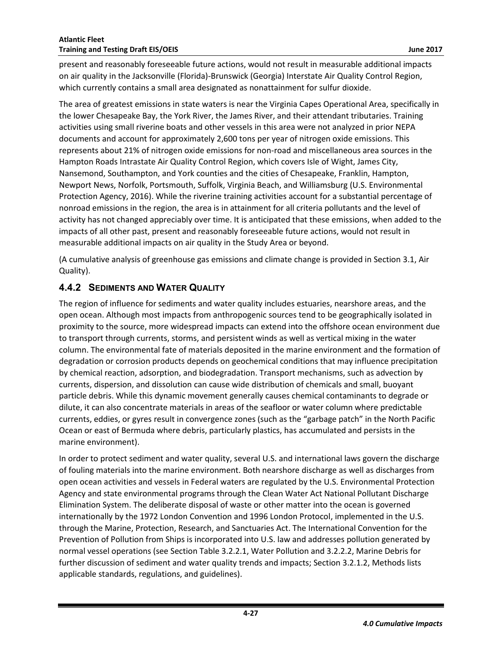present and reasonably foreseeable future actions, would not result in measurable additional impacts on air quality in the Jacksonville (Florida)-Brunswick (Georgia) Interstate Air Quality Control Region, which currently contains a small area designated as nonattainment for sulfur dioxide.

The area of greatest emissions in state waters is near the Virginia Capes Operational Area, specifically in the lower Chesapeake Bay, the York River, the James River, and their attendant tributaries. Training activities using small riverine boats and other vessels in this area were not analyzed in prior NEPA documents and account for approximately 2,600 tons per year of nitrogen oxide emissions. This represents about 21% of nitrogen oxide emissions for non-road and miscellaneous area sources in the Hampton Roads Intrastate Air Quality Control Region, which covers Isle of Wight, James City, Nansemond, Southampton, and York counties and the cities of Chesapeake, Franklin, Hampton, Newport News, Norfolk, Portsmouth, Suffolk, Virginia Beach, and Williamsburg (U.S. Environmental Protection Agency, 2016). While the riverine training activities account for a substantial percentage of nonroad emissions in the region, the area is in attainment for all criteria pollutants and the level of activity has not changed appreciably over time. It is anticipated that these emissions, when added to the impacts of all other past, present and reasonably foreseeable future actions, would not result in measurable additional impacts on air quality in the Study Area or beyond.

(A cumulative analysis of greenhouse gas emissions and climate change is provided in Section 3.1, Air Quality).

#### <span id="page-28-0"></span>**4.4.2 SEDIMENTS AND WATER QUALITY**

The region of influence for sediments and water quality includes estuaries, nearshore areas, and the open ocean. Although most impacts from anthropogenic sources tend to be geographically isolated in proximity to the source, more widespread impacts can extend into the offshore ocean environment due to transport through currents, storms, and persistent winds as well as vertical mixing in the water column. The environmental fate of materials deposited in the marine environment and the formation of degradation or corrosion products depends on geochemical conditions that may influence precipitation by chemical reaction, adsorption, and biodegradation. Transport mechanisms, such as advection by currents, dispersion, and dissolution can cause wide distribution of chemicals and small, buoyant particle debris. While this dynamic movement generally causes chemical contaminants to degrade or dilute, it can also concentrate materials in areas of the seafloor or water column where predictable currents, eddies, or gyres result in convergence zones (such as the "garbage patch" in the North Pacific Ocean or east of Bermuda where debris, particularly plastics, has accumulated and persists in the marine environment).

In order to protect sediment and water quality, several U.S. and international laws govern the discharge of fouling materials into the marine environment. Both nearshore discharge as well as discharges from open ocean activities and vessels in Federal waters are regulated by the U.S. Environmental Protection Agency and state environmental programs through the Clean Water Act National Pollutant Discharge Elimination System. The deliberate disposal of waste or other matter into the ocean is governed internationally by the 1972 London Convention and 1996 London Protocol, implemented in the U.S. through the Marine, Protection, Research, and Sanctuaries Act. The International Convention for the Prevention of Pollution from Ships is incorporated into U.S. law and addresses pollution generated by normal vessel operations (see Section Table 3.2.2.1, Water Pollution and 3.2.2.2, Marine Debris for further discussion of sediment and water quality trends and impacts; Section 3.2.1.2, Methods lists applicable standards, regulations, and guidelines).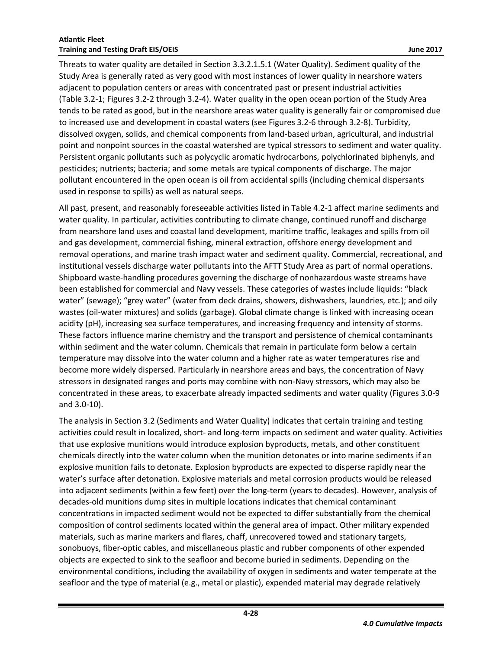Threats to water quality are detailed in Section 3.3.2.1.5.1 (Water Quality). Sediment quality of the Study Area is generally rated as very good with most instances of lower quality in nearshore waters adjacent to population centers or areas with concentrated past or present industrial activities (Table 3.2-1; Figures 3.2-2 through 3.2-4). Water quality in the open ocean portion of the Study Area tends to be rated as good, but in the nearshore areas water quality is generally fair or compromised due to increased use and development in coastal waters (see Figures 3.2-6 through 3.2-8). Turbidity, dissolved oxygen, solids, and chemical components from land-based urban, agricultural, and industrial point and nonpoint sources in the coastal watershed are typical stressors to sediment and water quality. Persistent organic pollutants such as polycyclic aromatic hydrocarbons, polychlorinated biphenyls, and pesticides; nutrients; bacteria; and some metals are typical components of discharge. The major pollutant encountered in the open ocean is oil from accidental spills (including chemical dispersants used in response to spills) as well as natural seeps.

All past, present, and reasonably foreseeable activities listed i[n Table 4.2-1](#page-5-0) affect marine sediments and water quality. In particular, activities contributing to climate change, continued runoff and discharge from nearshore land uses and coastal land development, maritime traffic, leakages and spills from oil and gas development, commercial fishing, mineral extraction, offshore energy development and removal operations, and marine trash impact water and sediment quality. Commercial, recreational, and institutional vessels discharge water pollutants into the AFTT Study Area as part of normal operations. Shipboard waste-handling procedures governing the discharge of nonhazardous waste streams have been established for commercial and Navy vessels. These categories of wastes include liquids: "black water" (sewage); "grey water" (water from deck drains, showers, dishwashers, laundries, etc.); and oily wastes (oil-water mixtures) and solids (garbage). Global climate change is linked with increasing ocean acidity (pH), increasing sea surface temperatures, and increasing frequency and intensity of storms. These factors influence marine chemistry and the transport and persistence of chemical contaminants within sediment and the water column. Chemicals that remain in particulate form below a certain temperature may dissolve into the water column and a higher rate as water temperatures rise and become more widely dispersed. Particularly in nearshore areas and bays, the concentration of Navy stressors in designated ranges and ports may combine with non-Navy stressors, which may also be concentrated in these areas, to exacerbate already impacted sediments and water quality (Figures 3.0-9 and 3.0-10).

The analysis in Section 3.2 (Sediments and Water Quality) indicates that certain training and testing activities could result in localized, short- and long-term impacts on sediment and water quality. Activities that use explosive munitions would introduce explosion byproducts, metals, and other constituent chemicals directly into the water column when the munition detonates or into marine sediments if an explosive munition fails to detonate. Explosion byproducts are expected to disperse rapidly near the water's surface after detonation. Explosive materials and metal corrosion products would be released into adjacent sediments (within a few feet) over the long-term (years to decades). However, analysis of decades-old munitions dump sites in multiple locations indicates that chemical contaminant concentrations in impacted sediment would not be expected to differ substantially from the chemical composition of control sediments located within the general area of impact. Other military expended materials, such as marine markers and flares, chaff, unrecovered towed and stationary targets, sonobuoys, fiber-optic cables, and miscellaneous plastic and rubber components of other expended objects are expected to sink to the seafloor and become buried in sediments. Depending on the environmental conditions, including the availability of oxygen in sediments and water temperate at the seafloor and the type of material (e.g., metal or plastic), expended material may degrade relatively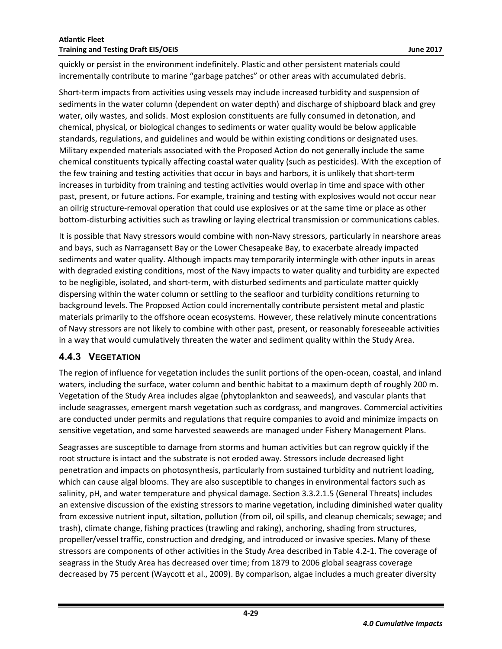quickly or persist in the environment indefinitely. Plastic and other persistent materials could incrementally contribute to marine "garbage patches" or other areas with accumulated debris.

Short-term impacts from activities using vessels may include increased turbidity and suspension of sediments in the water column (dependent on water depth) and discharge of shipboard black and grey water, oily wastes, and solids. Most explosion constituents are fully consumed in detonation, and chemical, physical, or biological changes to sediments or water quality would be below applicable standards, regulations, and guidelines and would be within existing conditions or designated uses. Military expended materials associated with the Proposed Action do not generally include the same chemical constituents typically affecting coastal water quality (such as pesticides). With the exception of the few training and testing activities that occur in bays and harbors, it is unlikely that short-term increases in turbidity from training and testing activities would overlap in time and space with other past, present, or future actions. For example, training and testing with explosives would not occur near an oilrig structure-removal operation that could use explosives or at the same time or place as other bottom-disturbing activities such as trawling or laying electrical transmission or communications cables.

It is possible that Navy stressors would combine with non-Navy stressors, particularly in nearshore areas and bays, such as Narragansett Bay or the Lower Chesapeake Bay, to exacerbate already impacted sediments and water quality. Although impacts may temporarily intermingle with other inputs in areas with degraded existing conditions, most of the Navy impacts to water quality and turbidity are expected to be negligible, isolated, and short-term, with disturbed sediments and particulate matter quickly dispersing within the water column or settling to the seafloor and turbidity conditions returning to background levels. The Proposed Action could incrementally contribute persistent metal and plastic materials primarily to the offshore ocean ecosystems. However, these relatively minute concentrations of Navy stressors are not likely to combine with other past, present, or reasonably foreseeable activities in a way that would cumulatively threaten the water and sediment quality within the Study Area.

### <span id="page-30-0"></span>**4.4.3 VEGETATION**

The region of influence for vegetation includes the sunlit portions of the open-ocean, coastal, and inland waters, including the surface, water column and benthic habitat to a maximum depth of roughly 200 m. Vegetation of the Study Area includes algae (phytoplankton and seaweeds), and vascular plants that include seagrasses, emergent marsh vegetation such as cordgrass, and mangroves. Commercial activities are conducted under permits and regulations that require companies to avoid and minimize impacts on sensitive vegetation, and some harvested seaweeds are managed under Fishery Management Plans.

Seagrasses are susceptible to damage from storms and human activities but can regrow quickly if the root structure is intact and the substrate is not eroded away. Stressors include decreased light penetration and impacts on photosynthesis, particularly from sustained turbidity and nutrient loading, which can cause algal blooms. They are also susceptible to changes in environmental factors such as salinity, pH, and water temperature and physical damage. Section 3.3.2.1.5 (General Threats) includes an extensive discussion of the existing stressors to marine vegetation, including diminished water quality from excessive nutrient input, siltation, pollution (from oil, oil spills, and cleanup chemicals; sewage; and trash), climate change, fishing practices (trawling and raking), anchoring, shading from structures, propeller/vessel traffic, construction and dredging, and introduced or invasive species. Many of these stressors are components of other activities in the Study Area described in [Table 4.2-1.](#page-5-0) The coverage of seagrass in the Study Area has decreased over time; from 1879 to 2006 global seagrass coverage decreased by 75 percent (Waycott et al., 2009). By comparison, algae includes a much greater diversity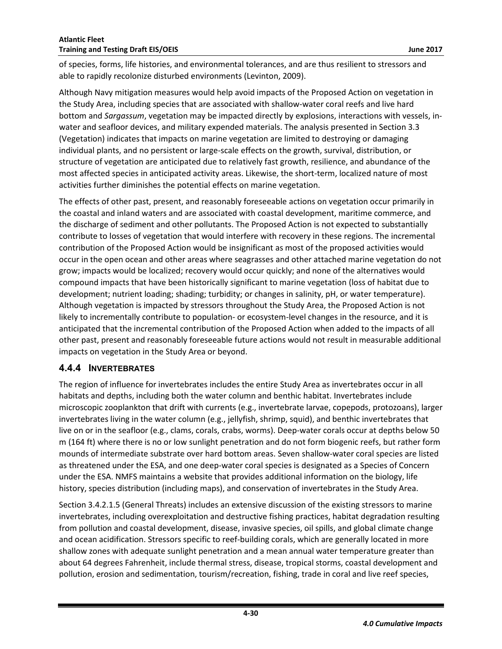of species, forms, life histories, and environmental tolerances, and are thus resilient to stressors and able to rapidly recolonize disturbed environments (Levinton, 2009).

Although Navy mitigation measures would help avoid impacts of the Proposed Action on vegetation in the Study Area, including species that are associated with shallow-water coral reefs and live hard bottom and *Sargassum*, vegetation may be impacted directly by explosions, interactions with vessels, inwater and seafloor devices, and military expended materials. The analysis presented in Section 3.3 (Vegetation) indicates that impacts on marine vegetation are limited to destroying or damaging individual plants, and no persistent or large-scale effects on the growth, survival, distribution, or structure of vegetation are anticipated due to relatively fast growth, resilience, and abundance of the most affected species in anticipated activity areas. Likewise, the short-term, localized nature of most activities further diminishes the potential effects on marine vegetation.

The effects of other past, present, and reasonably foreseeable actions on vegetation occur primarily in the coastal and inland waters and are associated with coastal development, maritime commerce, and the discharge of sediment and other pollutants. The Proposed Action is not expected to substantially contribute to losses of vegetation that would interfere with recovery in these regions. The incremental contribution of the Proposed Action would be insignificant as most of the proposed activities would occur in the open ocean and other areas where seagrasses and other attached marine vegetation do not grow; impacts would be localized; recovery would occur quickly; and none of the alternatives would compound impacts that have been historically significant to marine vegetation (loss of habitat due to development; nutrient loading; shading; turbidity; or changes in salinity, pH, or water temperature). Although vegetation is impacted by stressors throughout the Study Area, the Proposed Action is not likely to incrementally contribute to population- or ecosystem-level changes in the resource, and it is anticipated that the incremental contribution of the Proposed Action when added to the impacts of all other past, present and reasonably foreseeable future actions would not result in measurable additional impacts on vegetation in the Study Area or beyond.

#### <span id="page-31-0"></span>**4.4.4 INVERTEBRATES**

The region of influence for invertebrates includes the entire Study Area as invertebrates occur in all habitats and depths, including both the water column and benthic habitat. Invertebrates include microscopic zooplankton that drift with currents (e.g., invertebrate larvae, copepods, protozoans), larger invertebrates living in the water column (e.g., jellyfish, shrimp, squid), and benthic invertebrates that live on or in the seafloor (e.g., clams, corals, crabs, worms). Deep-water corals occur at depths below 50 m (164 ft) where there is no or low sunlight penetration and do not form biogenic reefs, but rather form mounds of intermediate substrate over hard bottom areas. Seven shallow-water coral species are listed as threatened under the ESA, and one deep-water coral species is designated as a Species of Concern under the ESA. NMFS maintains a website that provides additional information on the biology, life history, species distribution (including maps), and conservation of invertebrates in the Study Area.

Section 3.4.2.1.5 (General Threats) includes an extensive discussion of the existing stressors to marine invertebrates, including overexploitation and destructive fishing practices, habitat degradation resulting from pollution and coastal development, disease, invasive species, oil spills, and global climate change and ocean acidification. Stressors specific to reef-building corals, which are generally located in more shallow zones with adequate sunlight penetration and a mean annual water temperature greater than about 64 degrees Fahrenheit, include thermal stress, disease, tropical storms, coastal development and pollution, erosion and sedimentation, tourism/recreation, fishing, trade in coral and live reef species,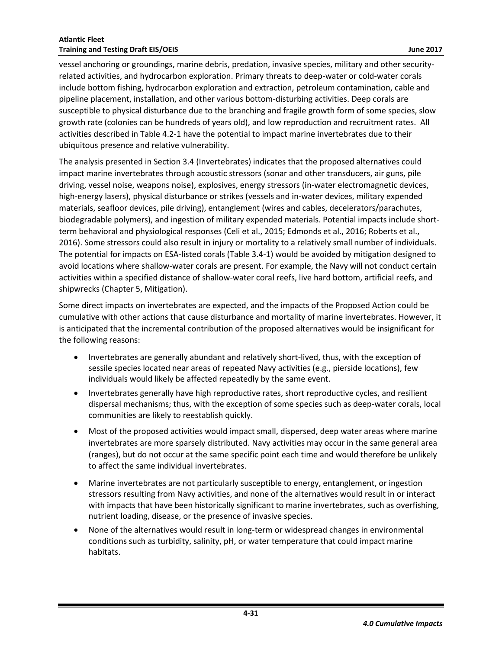vessel anchoring or groundings, marine debris, predation, invasive species, military and other securityrelated activities, and hydrocarbon exploration. Primary threats to deep-water or cold-water corals include bottom fishing, hydrocarbon exploration and extraction, petroleum contamination, cable and pipeline placement, installation, and other various bottom-disturbing activities. Deep corals are susceptible to physical disturbance due to the branching and fragile growth form of some species, slow growth rate (colonies can be hundreds of years old), and low reproduction and recruitment rates. All activities described in [Table 4.2-1](#page-5-0) have the potential to impact marine invertebrates due to their ubiquitous presence and relative vulnerability.

The analysis presented in Section 3.4 (Invertebrates) indicates that the proposed alternatives could impact marine invertebrates through acoustic stressors (sonar and other transducers, air guns, pile driving, vessel noise, weapons noise), explosives, energy stressors (in-water electromagnetic devices, high-energy lasers), physical disturbance or strikes (vessels and in-water devices, military expended materials, seafloor devices, pile driving), entanglement (wires and cables, decelerators/parachutes, biodegradable polymers), and ingestion of military expended materials. Potential impacts include shortterm behavioral and physiological responses (Celi et al., 2015; Edmonds et al., 2016; Roberts et al., 2016). Some stressors could also result in injury or mortality to a relatively small number of individuals. The potential for impacts on ESA-listed corals (Table 3.4-1) would be avoided by mitigation designed to avoid locations where shallow-water corals are present. For example, the Navy will not conduct certain activities within a specified distance of shallow-water coral reefs, live hard bottom, artificial reefs, and shipwrecks (Chapter 5, Mitigation).

Some direct impacts on invertebrates are expected, and the impacts of the Proposed Action could be cumulative with other actions that cause disturbance and mortality of marine invertebrates. However, it is anticipated that the incremental contribution of the proposed alternatives would be insignificant for the following reasons:

- Invertebrates are generally abundant and relatively short-lived, thus, with the exception of sessile species located near areas of repeated Navy activities (e.g., pierside locations), few individuals would likely be affected repeatedly by the same event.
- Invertebrates generally have high reproductive rates, short reproductive cycles, and resilient dispersal mechanisms; thus, with the exception of some species such as deep-water corals, local communities are likely to reestablish quickly.
- Most of the proposed activities would impact small, dispersed, deep water areas where marine invertebrates are more sparsely distributed. Navy activities may occur in the same general area (ranges), but do not occur at the same specific point each time and would therefore be unlikely to affect the same individual invertebrates.
- Marine invertebrates are not particularly susceptible to energy, entanglement, or ingestion stressors resulting from Navy activities, and none of the alternatives would result in or interact with impacts that have been historically significant to marine invertebrates, such as overfishing, nutrient loading, disease, or the presence of invasive species.
- None of the alternatives would result in long-term or widespread changes in environmental conditions such as turbidity, salinity, pH, or water temperature that could impact marine habitats.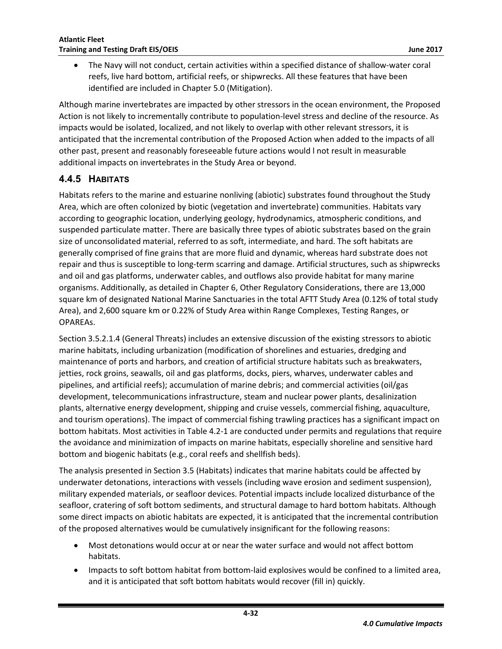The Navy will not conduct, certain activities within a specified distance of shallow-water coral reefs, live hard bottom, artificial reefs, or shipwrecks. All these features that have been identified are included in Chapter 5.0 (Mitigation).

Although marine invertebrates are impacted by other stressors in the ocean environment, the Proposed Action is not likely to incrementally contribute to population-level stress and decline of the resource. As impacts would be isolated, localized, and not likely to overlap with other relevant stressors, it is anticipated that the incremental contribution of the Proposed Action when added to the impacts of all other past, present and reasonably foreseeable future actions would l not result in measurable additional impacts on invertebrates in the Study Area or beyond.

## <span id="page-33-0"></span>**4.4.5 HABITATS**

Habitats refers to the marine and estuarine nonliving (abiotic) substrates found throughout the Study Area, which are often colonized by biotic (vegetation and invertebrate) communities. Habitats vary according to geographic location, underlying geology, hydrodynamics, atmospheric conditions, and suspended particulate matter. There are basically three types of abiotic substrates based on the grain size of unconsolidated material, referred to as soft, intermediate, and hard. The soft habitats are generally comprised of fine grains that are more fluid and dynamic, whereas hard substrate does not repair and thus is susceptible to long-term scarring and damage. Artificial structures, such as shipwrecks and oil and gas platforms, underwater cables, and outflows also provide habitat for many marine organisms. Additionally, as detailed in Chapter 6, Other Regulatory Considerations, there are 13,000 square km of designated National Marine Sanctuaries in the total AFTT Study Area (0.12% of total study Area), and 2,600 square km or 0.22% of Study Area within Range Complexes, Testing Ranges, or OPAREAs.

Section 3.5.2.1.4 (General Threats) includes an extensive discussion of the existing stressors to abiotic marine habitats, including urbanization (modification of shorelines and estuaries, dredging and maintenance of ports and harbors, and creation of artificial structure habitats such as breakwaters, jetties, rock groins, seawalls, oil and gas platforms, docks, piers, wharves, underwater cables and pipelines, and artificial reefs); accumulation of marine debris; and commercial activities (oil/gas development, telecommunications infrastructure, steam and nuclear power plants, desalinization plants, alternative energy development, shipping and cruise vessels, commercial fishing, aquaculture, and tourism operations). The impact of commercial fishing trawling practices has a significant impact on bottom habitats. Most activities in [Table 4.2-1](#page-5-0) are conducted under permits and regulations that require the avoidance and minimization of impacts on marine habitats, especially shoreline and sensitive hard bottom and biogenic habitats (e.g., coral reefs and shellfish beds).

The analysis presented in Section 3.5 (Habitats) indicates that marine habitats could be affected by underwater detonations, interactions with vessels (including wave erosion and sediment suspension), military expended materials, or seafloor devices. Potential impacts include localized disturbance of the seafloor, cratering of soft bottom sediments, and structural damage to hard bottom habitats. Although some direct impacts on abiotic habitats are expected, it is anticipated that the incremental contribution of the proposed alternatives would be cumulatively insignificant for the following reasons:

- Most detonations would occur at or near the water surface and would not affect bottom habitats.
- Impacts to soft bottom habitat from bottom-laid explosives would be confined to a limited area, and it is anticipated that soft bottom habitats would recover (fill in) quickly.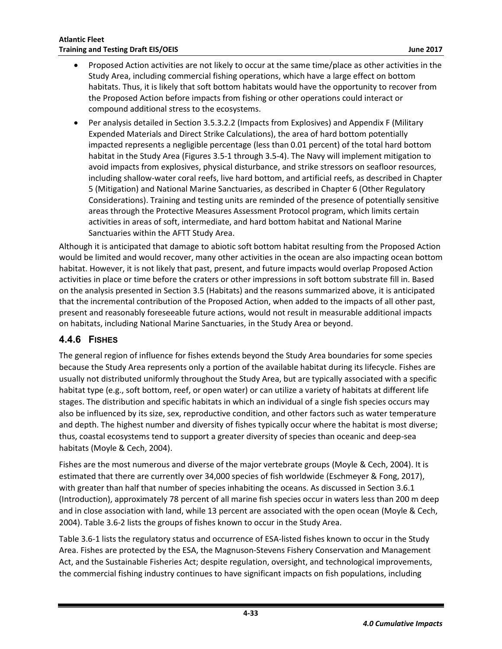- Proposed Action activities are not likely to occur at the same time/place as other activities in the Study Area, including commercial fishing operations, which have a large effect on bottom habitats. Thus, it is likely that soft bottom habitats would have the opportunity to recover from the Proposed Action before impacts from fishing or other operations could interact or compound additional stress to the ecosystems.
- Per analysis detailed in Section 3.5.3.2.2 (Impacts from Explosives) and Appendix F (Military Expended Materials and Direct Strike Calculations), the area of hard bottom potentially impacted represents a negligible percentage (less than 0.01 percent) of the total hard bottom habitat in the Study Area (Figures 3.5-1 through 3.5-4). The Navy will implement mitigation to avoid impacts from explosives, physical disturbance, and strike stressors on seafloor resources, including shallow-water coral reefs, live hard bottom, and artificial reefs, as described in Chapter 5 (Mitigation) and National Marine Sanctuaries, as described in Chapter 6 (Other Regulatory Considerations). Training and testing units are reminded of the presence of potentially sensitive areas through the Protective Measures Assessment Protocol program, which limits certain activities in areas of soft, intermediate, and hard bottom habitat and National Marine Sanctuaries within the AFTT Study Area.

Although it is anticipated that damage to abiotic soft bottom habitat resulting from the Proposed Action would be limited and would recover, many other activities in the ocean are also impacting ocean bottom habitat. However, it is not likely that past, present, and future impacts would overlap Proposed Action activities in place or time before the craters or other impressions in soft bottom substrate fill in. Based on the analysis presented in Section 3.5 (Habitats) and the reasons summarized above, it is anticipated that the incremental contribution of the Proposed Action, when added to the impacts of all other past, present and reasonably foreseeable future actions, would not result in measurable additional impacts on habitats, including National Marine Sanctuaries, in the Study Area or beyond.

### <span id="page-34-0"></span>**4.4.6 FISHES**

The general region of influence for fishes extends beyond the Study Area boundaries for some species because the Study Area represents only a portion of the available habitat during its lifecycle. Fishes are usually not distributed uniformly throughout the Study Area, but are typically associated with a specific habitat type (e.g., soft bottom, reef, or open water) or can utilize a variety of habitats at different life stages. The distribution and specific habitats in which an individual of a single fish species occurs may also be influenced by its size, sex, reproductive condition, and other factors such as water temperature and depth. The highest number and diversity of fishes typically occur where the habitat is most diverse; thus, coastal ecosystems tend to support a greater diversity of species than oceanic and deep-sea habitats (Moyle & Cech, 2004).

Fishes are the most numerous and diverse of the major vertebrate groups (Moyle & Cech, 2004). It is estimated that there are currently over 34,000 species of fish worldwide (Eschmeyer & Fong, 2017), with greater than half that number of species inhabiting the oceans. As discussed in Section 3.6.1 (Introduction), approximately 78 percent of all marine fish species occur in waters less than 200 m deep and in close association with land, while 13 percent are associated with the open ocean (Moyle & Cech, 2004). Table 3.6-2 lists the groups of fishes known to occur in the Study Area.

Table 3.6-1 lists the regulatory status and occurrence of ESA-listed fishes known to occur in the Study Area. Fishes are protected by the ESA, the Magnuson-Stevens Fishery Conservation and Management Act, and the Sustainable Fisheries Act; despite regulation, oversight, and technological improvements, the commercial fishing industry continues to have significant impacts on fish populations, including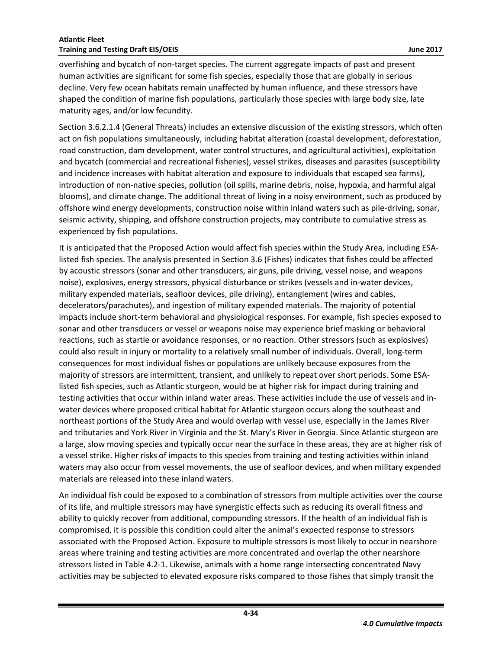overfishing and bycatch of non-target species. The current aggregate impacts of past and present human activities are significant for some fish species, especially those that are globally in serious decline. Very few ocean habitats remain unaffected by human influence, and these stressors have shaped the condition of marine fish populations, particularly those species with large body size, late maturity ages, and/or low fecundity.

Section 3.6.2.1.4 (General Threats) includes an extensive discussion of the existing stressors, which often act on fish populations simultaneously, including habitat alteration (coastal development, deforestation, road construction, dam development, water control structures, and agricultural activities), exploitation and bycatch (commercial and recreational fisheries), vessel strikes, diseases and parasites (susceptibility and incidence increases with habitat alteration and exposure to individuals that escaped sea farms), introduction of non-native species, pollution (oil spills, marine debris, noise, hypoxia, and harmful algal blooms), and climate change. The additional threat of living in a noisy environment, such as produced by offshore wind energy developments, construction noise within inland waters such as pile-driving, sonar, seismic activity, shipping, and offshore construction projects, may contribute to cumulative stress as experienced by fish populations.

It is anticipated that the Proposed Action would affect fish species within the Study Area, including ESAlisted fish species. The analysis presented in Section 3.6 (Fishes) indicates that fishes could be affected by acoustic stressors (sonar and other transducers, air guns, pile driving, vessel noise, and weapons noise), explosives, energy stressors, physical disturbance or strikes (vessels and in-water devices, military expended materials, seafloor devices, pile driving), entanglement (wires and cables, decelerators/parachutes), and ingestion of military expended materials. The majority of potential impacts include short-term behavioral and physiological responses. For example, fish species exposed to sonar and other transducers or vessel or weapons noise may experience brief masking or behavioral reactions, such as startle or avoidance responses, or no reaction. Other stressors (such as explosives) could also result in injury or mortality to a relatively small number of individuals. Overall, long-term consequences for most individual fishes or populations are unlikely because exposures from the majority of stressors are intermittent, transient, and unlikely to repeat over short periods. Some ESAlisted fish species, such as Atlantic sturgeon, would be at higher risk for impact during training and testing activities that occur within inland water areas. These activities include the use of vessels and inwater devices where proposed critical habitat for Atlantic sturgeon occurs along the southeast and northeast portions of the Study Area and would overlap with vessel use, especially in the James River and tributaries and York River in Virginia and the St. Mary's River in Georgia. Since Atlantic sturgeon are a large, slow moving species and typically occur near the surface in these areas, they are at higher risk of a vessel strike. Higher risks of impacts to this species from training and testing activities within inland waters may also occur from vessel movements, the use of seafloor devices, and when military expended materials are released into these inland waters.

An individual fish could be exposed to a combination of stressors from multiple activities over the course of its life, and multiple stressors may have synergistic effects such as reducing its overall fitness and ability to quickly recover from additional, compounding stressors. If the health of an individual fish is compromised, it is possible this condition could alter the animal's expected response to stressors associated with the Proposed Action. Exposure to multiple stressors is most likely to occur in nearshore areas where training and testing activities are more concentrated and overlap the other nearshore stressors listed in [Table 4.2-1.](#page-5-0) Likewise, animals with a home range intersecting concentrated Navy activities may be subjected to elevated exposure risks compared to those fishes that simply transit the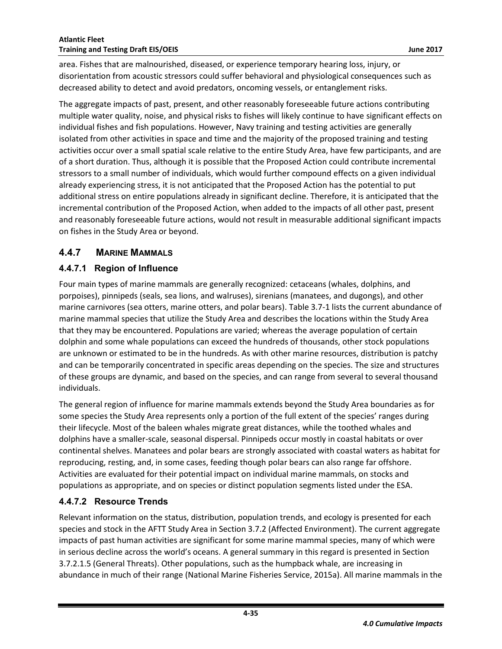area. Fishes that are malnourished, diseased, or experience temporary hearing loss, injury, or disorientation from acoustic stressors could suffer behavioral and physiological consequences such as decreased ability to detect and avoid predators, oncoming vessels, or entanglement risks.

The aggregate impacts of past, present, and other reasonably foreseeable future actions contributing multiple water quality, noise, and physical risks to fishes will likely continue to have significant effects on individual fishes and fish populations. However, Navy training and testing activities are generally isolated from other activities in space and time and the majority of the proposed training and testing activities occur over a small spatial scale relative to the entire Study Area, have few participants, and are of a short duration. Thus, although it is possible that the Proposed Action could contribute incremental stressors to a small number of individuals, which would further compound effects on a given individual already experiencing stress, it is not anticipated that the Proposed Action has the potential to put additional stress on entire populations already in significant decline. Therefore, it is anticipated that the incremental contribution of the Proposed Action, when added to the impacts of all other past, present and reasonably foreseeable future actions, would not result in measurable additional significant impacts on fishes in the Study Area or beyond.

### <span id="page-36-0"></span>**4.4.7 MARINE MAMMALS**

#### <span id="page-36-1"></span>**4.4.7.1 Region of Influence**

Four main types of marine mammals are generally recognized: cetaceans (whales, dolphins, and porpoises), pinnipeds (seals, sea lions, and walruses), sirenians (manatees, and dugongs), and other marine carnivores (sea otters, marine otters, and polar bears). Table 3.7-1 lists the current abundance of marine mammal species that utilize the Study Area and describes the locations within the Study Area that they may be encountered. Populations are varied; whereas the average population of certain dolphin and some whale populations can exceed the hundreds of thousands, other stock populations are unknown or estimated to be in the hundreds. As with other marine resources, distribution is patchy and can be temporarily concentrated in specific areas depending on the species. The size and structures of these groups are dynamic, and based on the species, and can range from several to several thousand individuals.

The general region of influence for marine mammals extends beyond the Study Area boundaries as for some species the Study Area represents only a portion of the full extent of the species' ranges during their lifecycle. Most of the baleen whales migrate great distances, while the toothed whales and dolphins have a smaller-scale, seasonal dispersal. Pinnipeds occur mostly in coastal habitats or over continental shelves. Manatees and polar bears are strongly associated with coastal waters as habitat for reproducing, resting, and, in some cases, feeding though polar bears can also range far offshore. Activities are evaluated for their potential impact on individual marine mammals, on stocks and populations as appropriate, and on species or distinct population segments listed under the ESA.

#### <span id="page-36-2"></span>**4.4.7.2 Resource Trends**

Relevant information on the status, distribution, population trends, and ecology is presented for each species and stock in the AFTT Study Area in Section 3.7.2 (Affected Environment). The current aggregate impacts of past human activities are significant for some marine mammal species, many of which were in serious decline across the world's oceans. A general summary in this regard is presented in Section 3.7.2.1.5 (General Threats). Other populations, such as the humpback whale, are increasing in abundance in much of their range (National Marine Fisheries Service, 2015a). All marine mammals in the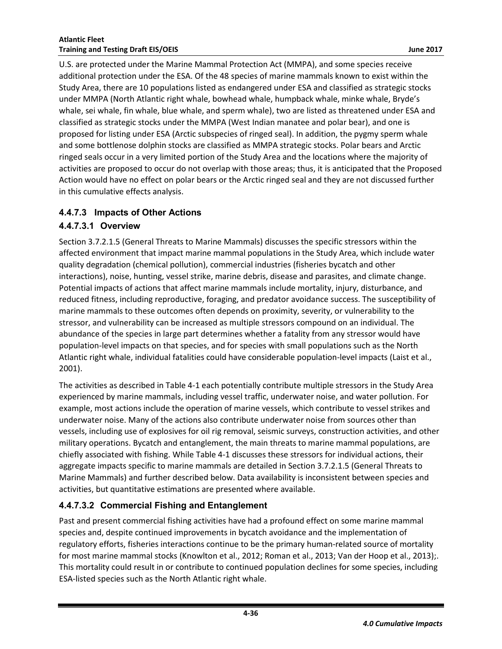U.S. are protected under the Marine Mammal Protection Act (MMPA), and some species receive additional protection under the ESA. Of the 48 species of marine mammals known to exist within the Study Area, there are 10 populations listed as endangered under ESA and classified as strategic stocks under MMPA (North Atlantic right whale, bowhead whale, humpback whale, minke whale, Bryde's whale, sei whale, fin whale, blue whale, and sperm whale), two are listed as threatened under ESA and classified as strategic stocks under the MMPA (West Indian manatee and polar bear), and one is proposed for listing under ESA (Arctic subspecies of ringed seal). In addition, the pygmy sperm whale and some bottlenose dolphin stocks are classified as MMPA strategic stocks. Polar bears and Arctic ringed seals occur in a very limited portion of the Study Area and the locations where the majority of activities are proposed to occur do not overlap with those areas; thus, it is anticipated that the Proposed Action would have no effect on polar bears or the Arctic ringed seal and they are not discussed further in this cumulative effects analysis.

## <span id="page-37-0"></span>**4.4.7.3 Impacts of Other Actions**

## **4.4.7.3.1 Overview**

Section 3.7.2.1.5 (General Threats to Marine Mammals) discusses the specific stressors within the affected environment that impact marine mammal populations in the Study Area, which include water quality degradation (chemical pollution), commercial industries (fisheries bycatch and other interactions), noise, hunting, vessel strike, marine debris, disease and parasites, and climate change. Potential impacts of actions that affect marine mammals include mortality, injury, disturbance, and reduced fitness, including reproductive, foraging, and predator avoidance success. The susceptibility of marine mammals to these outcomes often depends on proximity, severity, or vulnerability to the stressor, and vulnerability can be increased as multiple stressors compound on an individual. The abundance of the species in large part determines whether a fatality from any stressor would have population-level impacts on that species, and for species with small populations such as the North Atlantic right whale, individual fatalities could have considerable population-level impacts (Laist et al., 2001).

The activities as described in Table 4-1 each potentially contribute multiple stressors in the Study Area experienced by marine mammals, including vessel traffic, underwater noise, and water pollution. For example, most actions include the operation of marine vessels, which contribute to vessel strikes and underwater noise. Many of the actions also contribute underwater noise from sources other than vessels, including use of explosives for oil rig removal, seismic surveys, construction activities, and other military operations. Bycatch and entanglement, the main threats to marine mammal populations, are chiefly associated with fishing. While Table 4-1 discusses these stressors for individual actions, their aggregate impacts specific to marine mammals are detailed in Section 3.7.2.1.5 (General Threats to Marine Mammals) and further described below. Data availability is inconsistent between species and activities, but quantitative estimations are presented where available.

## **4.4.7.3.2 Commercial Fishing and Entanglement**

Past and present commercial fishing activities have had a profound effect on some marine mammal species and, despite continued improvements in bycatch avoidance and the implementation of regulatory efforts, fisheries interactions continue to be the primary human-related source of mortality for most marine mammal stocks (Knowlton et al., 2012; Roman et al., 2013; Van der Hoop et al., 2013);. This mortality could result in or contribute to continued population declines for some species, including ESA-listed species such as the North Atlantic right whale.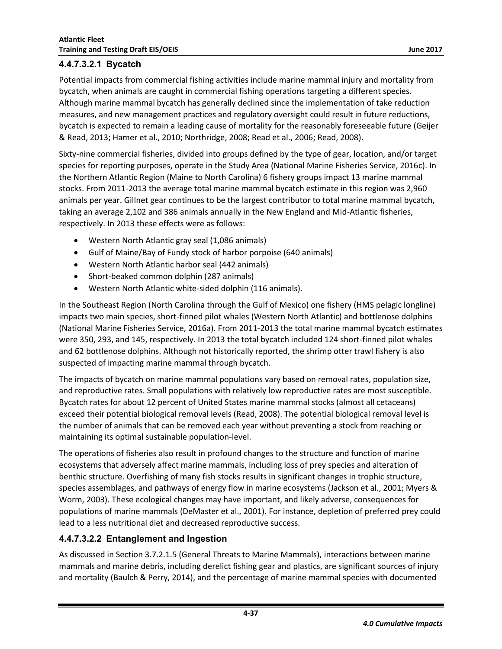#### **4.4.7.3.2.1 Bycatch**

Potential impacts from commercial fishing activities include marine mammal injury and mortality from bycatch, when animals are caught in commercial fishing operations targeting a different species. Although marine mammal bycatch has generally declined since the implementation of take reduction measures, and new management practices and regulatory oversight could result in future reductions, bycatch is expected to remain a leading cause of mortality for the reasonably foreseeable future (Geijer & Read, 2013; Hamer et al., 2010; Northridge, 2008; Read et al., 2006; Read, 2008).

Sixty-nine commercial fisheries, divided into groups defined by the type of gear, location, and/or target species for reporting purposes, operate in the Study Area (National Marine Fisheries Service, 2016c). In the Northern Atlantic Region (Maine to North Carolina) 6 fishery groups impact 13 marine mammal stocks. From 2011-2013 the average total marine mammal bycatch estimate in this region was 2,960 animals per year. Gillnet gear continues to be the largest contributor to total marine mammal bycatch, taking an average 2,102 and 386 animals annually in the New England and Mid-Atlantic fisheries, respectively. In 2013 these effects were as follows:

- Western North Atlantic gray seal (1,086 animals)
- Gulf of Maine/Bay of Fundy stock of harbor porpoise (640 animals)
- Western North Atlantic harbor seal (442 animals)
- Short-beaked common dolphin (287 animals)
- Western North Atlantic white-sided dolphin (116 animals).

In the Southeast Region (North Carolina through the Gulf of Mexico) one fishery (HMS pelagic longline) impacts two main species, short-finned pilot whales (Western North Atlantic) and bottlenose dolphins (National Marine Fisheries Service, 2016a). From 2011-2013 the total marine mammal bycatch estimates were 350, 293, and 145, respectively. In 2013 the total bycatch included 124 short-finned pilot whales and 62 bottlenose dolphins. Although not historically reported, the shrimp otter trawl fishery is also suspected of impacting marine mammal through bycatch.

The impacts of bycatch on marine mammal populations vary based on removal rates, population size, and reproductive rates. Small populations with relatively low reproductive rates are most susceptible. Bycatch rates for about 12 percent of United States marine mammal stocks (almost all cetaceans) exceed their potential biological removal levels (Read, 2008). The potential biological removal level is the number of animals that can be removed each year without preventing a stock from reaching or maintaining its optimal sustainable population-level.

The operations of fisheries also result in profound changes to the structure and function of marine ecosystems that adversely affect marine mammals, including loss of prey species and alteration of benthic structure. Overfishing of many fish stocks results in significant changes in trophic structure, species assemblages, and pathways of energy flow in marine ecosystems (Jackson et al., 2001; Myers & Worm, 2003). These ecological changes may have important, and likely adverse, consequences for populations of marine mammals (DeMaster et al., 2001). For instance, depletion of preferred prey could lead to a less nutritional diet and decreased reproductive success.

#### **4.4.7.3.2.2 Entanglement and Ingestion**

As discussed in Section 3.7.2.1.5 (General Threats to Marine Mammals), interactions between marine mammals and marine debris, including derelict fishing gear and plastics, are significant sources of injury and mortality (Baulch & Perry, 2014), and the percentage of marine mammal species with documented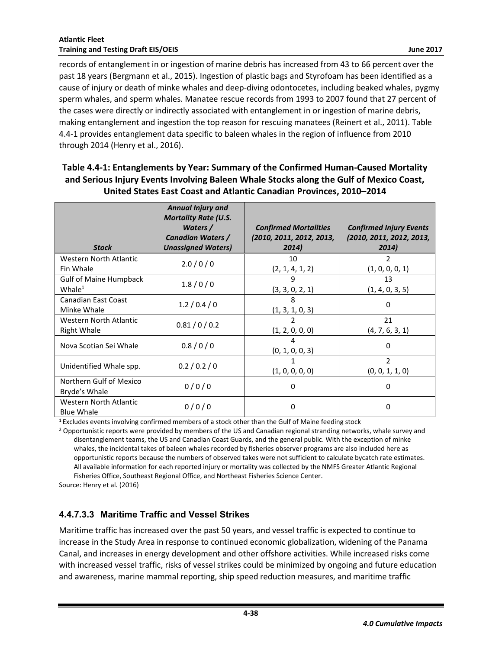records of entanglement in or ingestion of marine debris has increased from 43 to 66 percent over the past 18 years (Bergmann et al., 2015). Ingestion of plastic bags and Styrofoam has been identified as a cause of injury or death of minke whales and deep-diving odontocetes, including beaked whales, pygmy sperm whales, and sperm whales. Manatee rescue records from 1993 to 2007 found that 27 percent of the cases were directly or indirectly associated with entanglement in or ingestion of marine debris, making entanglement and ingestion the top reason for rescuing manatees (Reinert et al., 2011). [Table](#page-39-0)  [4.4-1](#page-39-0) provides entanglement data specific to baleen whales in the region of influence from 2010 through 2014 (Henry et al., 2016).

<span id="page-39-0"></span>

| Table 4.4-1: Entanglements by Year: Summary of the Confirmed Human-Caused Mortality     |
|-----------------------------------------------------------------------------------------|
| and Serious Injury Events Involving Baleen Whale Stocks along the Gulf of Mexico Coast, |
| United States East Coast and Atlantic Canadian Provinces, 2010-2014                     |

| <b>Stock</b>                                 | <b>Annual Injury and</b><br><b>Mortality Rate (U.S.</b><br>Waters $/$<br>Canadian Waters /<br><b>Unassigned Waters)</b> | <b>Confirmed Mortalities</b><br>(2010, 2011, 2012, 2013,<br>2014) | <b>Confirmed Injury Events</b><br>(2010, 2011, 2012, 2013,<br>2014) |
|----------------------------------------------|-------------------------------------------------------------------------------------------------------------------------|-------------------------------------------------------------------|---------------------------------------------------------------------|
| Western North Atlantic<br>Fin Whale          | 2.0/0/0                                                                                                                 | 10<br>(2, 1, 4, 1, 2)                                             | 2<br>(1, 0, 0, 0, 1)                                                |
| <b>Gulf of Maine Humpback</b><br>Whale $1$   | 1.8/0/0                                                                                                                 | 9<br>(3, 3, 0, 2, 1)                                              | 13<br>(1, 4, 0, 3, 5)                                               |
| <b>Canadian East Coast</b><br>Minke Whale    | 1.2/0.4/0                                                                                                               | 8<br>(1, 3, 1, 0, 3)                                              | 0                                                                   |
| Western North Atlantic<br><b>Right Whale</b> | 0.81/0/0.2                                                                                                              | (1, 2, 0, 0, 0)                                                   | 21<br>(4, 7, 6, 3, 1)                                               |
| Nova Scotian Sei Whale                       | 0.8/0/0                                                                                                                 | (0, 1, 0, 0, 3)                                                   | 0                                                                   |
| Unidentified Whale spp.                      | 0.2 / 0.2 / 0                                                                                                           | (1, 0, 0, 0, 0)                                                   | $\overline{2}$<br>(0, 0, 1, 1, 0)                                   |
| Northern Gulf of Mexico<br>Bryde's Whale     | 0/0/0                                                                                                                   | $\Omega$                                                          | 0                                                                   |
| Western North Atlantic<br><b>Blue Whale</b>  | 0/0/0                                                                                                                   | $\Omega$                                                          | 0                                                                   |

<sup>1</sup>Excludes events involving confirmed members of a stock other than the Gulf of Maine feeding stock

<sup>2</sup> Opportunistic reports were provided by members of the US and Canadian regional stranding networks, whale survey and disentanglement teams, the US and Canadian Coast Guards, and the general public. With the exception of minke whales, the incidental takes of baleen whales recorded by fisheries observer programs are also included here as opportunistic reports because the numbers of observed takes were not sufficient to calculate bycatch rate estimates. All available information for each reported injury or mortality was collected by the NMFS Greater Atlantic Regional Fisheries Office, Southeast Regional Office, and Northeast Fisheries Science Center.

Source: Henry et al. (2016)

### **4.4.7.3.3 Maritime Traffic and Vessel Strikes**

Maritime traffic has increased over the past 50 years, and vessel traffic is expected to continue to increase in the Study Area in response to continued economic globalization, widening of the Panama Canal, and increases in energy development and other offshore activities. While increased risks come with increased vessel traffic, risks of vessel strikes could be minimized by ongoing and future education and awareness, marine mammal reporting, ship speed reduction measures, and maritime traffic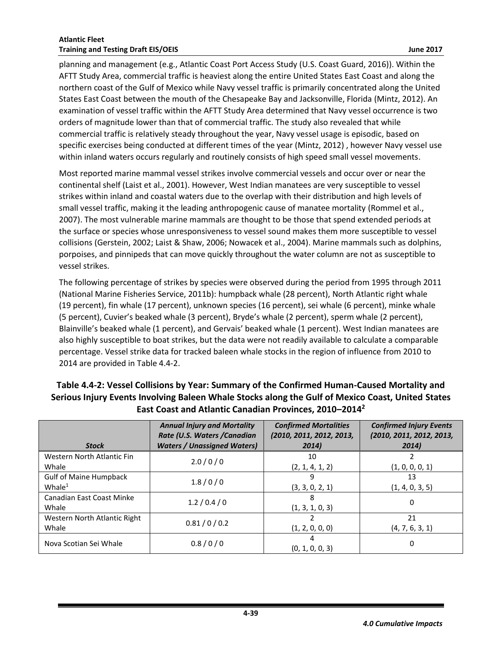planning and management (e.g., Atlantic Coast Port Access Study (U.S. Coast Guard, 2016)). Within the AFTT Study Area, commercial traffic is heaviest along the entire United States East Coast and along the northern coast of the Gulf of Mexico while Navy vessel traffic is primarily concentrated along the United States East Coast between the mouth of the Chesapeake Bay and Jacksonville, Florida (Mintz, 2012). An examination of vessel traffic within the AFTT Study Area determined that Navy vessel occurrence is two orders of magnitude lower than that of commercial traffic. The study also revealed that while commercial traffic is relatively steady throughout the year, Navy vessel usage is episodic, based on specific exercises being conducted at different times of the year (Mintz, 2012) , however Navy vessel use within inland waters occurs regularly and routinely consists of high speed small vessel movements.

Most reported marine mammal vessel strikes involve commercial vessels and occur over or near the continental shelf (Laist et al., 2001). However, West Indian manatees are very susceptible to vessel strikes within inland and coastal waters due to the overlap with their distribution and high levels of small vessel traffic, making it the leading anthropogenic cause of manatee mortality (Rommel et al., 2007). The most vulnerable marine mammals are thought to be those that spend extended periods at the surface or species whose unresponsiveness to vessel sound makes them more susceptible to vessel collisions (Gerstein, 2002; Laist & Shaw, 2006; Nowacek et al., 2004). Marine mammals such as dolphins, porpoises, and pinnipeds that can move quickly throughout the water column are not as susceptible to vessel strikes.

The following percentage of strikes by species were observed during the period from 1995 through 2011 (National Marine Fisheries Service, 2011b): humpback whale (28 percent), North Atlantic right whale (19 percent), fin whale (17 percent), unknown species (16 percent), sei whale (6 percent), minke whale (5 percent), Cuvier's beaked whale (3 percent), Bryde's whale (2 percent), sperm whale (2 percent), Blainville's beaked whale (1 percent), and Gervais' beaked whale (1 percent). West Indian manatees are also highly susceptible to boat strikes, but the data were not readily available to calculate a comparable percentage. Vessel strike data for tracked baleen whale stocks in the region of influence from 2010 to 2014 are provided in [Table 4.4-2.](#page-40-0)

| <b>Stock</b>                                                  | <b>Annual Injury and Mortality</b><br>Rate (U.S. Waters / Canadian<br><b>Waters / Unassigned Waters)</b> | <b>Confirmed Mortalities</b><br>(2010, 2011, 2012, 2013,<br>2014) | <b>Confirmed Injury Events</b><br>(2010, 2011, 2012, 2013,<br>2014) |
|---------------------------------------------------------------|----------------------------------------------------------------------------------------------------------|-------------------------------------------------------------------|---------------------------------------------------------------------|
| Western North Atlantic Fin<br>Whale                           | 2.0/0/0                                                                                                  | 10<br>(2, 1, 4, 1, 2)                                             | (1, 0, 0, 0, 1)                                                     |
| <b>Gulf of Maine Humpback</b><br>$Whileb>W$ hale <sup>1</sup> | 1.8/0/0                                                                                                  | q<br>(3, 3, 0, 2, 1)                                              | 13<br>(1, 4, 0, 3, 5)                                               |
| <b>Canadian East Coast Minke</b><br>Whale                     | 1.2/0.4/0                                                                                                | 8<br>(1, 3, 1, 0, 3)                                              | 0                                                                   |
| Western North Atlantic Right<br>Whale                         | 0.81/0/0.2                                                                                               | (1, 2, 0, 0, 0)                                                   | 21<br>(4, 7, 6, 3, 1)                                               |
| Nova Scotian Sei Whale                                        | 0.8/0/0                                                                                                  | (0, 1, 0, 0, 3)                                                   | 0                                                                   |

## <span id="page-40-0"></span>**Table 4.4-2: Vessel Collisions by Year: Summary of the Confirmed Human-Caused Mortality and Serious Injury Events Involving Baleen Whale Stocks along the Gulf of Mexico Coast, United States East Coast and Atlantic Canadian Provinces, 2010–2014<sup>2</sup>**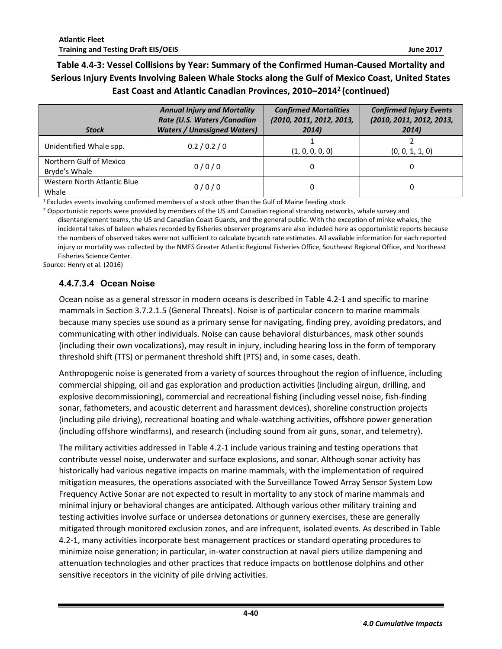## **Table 4.4-3: Vessel Collisions by Year: Summary of the Confirmed Human-Caused Mortality and Serious Injury Events Involving Baleen Whale Stocks along the Gulf of Mexico Coast, United States East Coast and Atlantic Canadian Provinces, 2010–2014<sup>2</sup> (continued)**

| <b>Stock</b>                             | <b>Annual Injury and Mortality</b><br>Rate (U.S. Waters / Canadian<br><b>Waters / Unassigned Waters)</b> | <b>Confirmed Mortalities</b><br>(2010, 2011, 2012, 2013,<br>2014) | <b>Confirmed Injury Events</b><br>(2010, 2011, 2012, 2013,<br>2014) |
|------------------------------------------|----------------------------------------------------------------------------------------------------------|-------------------------------------------------------------------|---------------------------------------------------------------------|
| Unidentified Whale spp.                  | 0.2 / 0.2 / 0                                                                                            | (1, 0, 0, 0, 0)                                                   | (0, 0, 1, 1, 0)                                                     |
| Northern Gulf of Mexico<br>Bryde's Whale | 0/0/0                                                                                                    | 0                                                                 | 0                                                                   |
| Western North Atlantic Blue<br>Whale     | 0/0/0                                                                                                    | 0                                                                 | 0                                                                   |

<sup>1</sup>Excludes events involving confirmed members of a stock other than the Gulf of Maine feeding stock

<sup>2</sup> Opportunistic reports were provided by members of the US and Canadian regional stranding networks, whale survey and disentanglement teams, the US and Canadian Coast Guards, and the general public. With the exception of minke whales, the incidental takes of baleen whales recorded by fisheries observer programs are also included here as opportunistic reports because the numbers of observed takes were not sufficient to calculate bycatch rate estimates. All available information for each reported injury or mortality was collected by the NMFS Greater Atlantic Regional Fisheries Office, Southeast Regional Office, and Northeast Fisheries Science Center.

Source: Henry et al. (2016)

#### **4.4.7.3.4 Ocean Noise**

Ocean noise as a general stressor in modern oceans is described in Table 4.2-1 and specific to marine mammals in Section 3.7.2.1.5 (General Threats). Noise is of particular concern to marine mammals because many species use sound as a primary sense for navigating, finding prey, avoiding predators, and communicating with other individuals. Noise can cause behavioral disturbances, mask other sounds (including their own vocalizations), may result in injury, including hearing loss in the form of temporary threshold shift (TTS) or permanent threshold shift (PTS) and, in some cases, death.

Anthropogenic noise is generated from a variety of sources throughout the region of influence, including commercial shipping, oil and gas exploration and production activities (including airgun, drilling, and explosive decommissioning), commercial and recreational fishing (including vessel noise, fish-finding sonar, fathometers, and acoustic deterrent and harassment devices), shoreline construction projects (including pile driving), recreational boating and whale-watching activities, offshore power generation (including offshore windfarms), and research (including sound from air guns, sonar, and telemetry).

The military activities addressed in Table 4.2-1 include various training and testing operations that contribute vessel noise, underwater and surface explosions, and sonar. Although sonar activity has historically had various negative impacts on marine mammals, with the implementation of required mitigation measures, the operations associated with the Surveillance Towed Array Sensor System Low Frequency Active Sonar are not expected to result in mortality to any stock of marine mammals and minimal injury or behavioral changes are anticipated. Although various other military training and testing activities involve surface or undersea detonations or gunnery exercises, these are generally mitigated through monitored exclusion zones, and are infrequent, isolated events. As described in Table 4.2-1, many activities incorporate best management practices or standard operating procedures to minimize noise generation; in particular, in-water construction at naval piers utilize dampening and attenuation technologies and other practices that reduce impacts on bottlenose dolphins and other sensitive receptors in the vicinity of pile driving activities.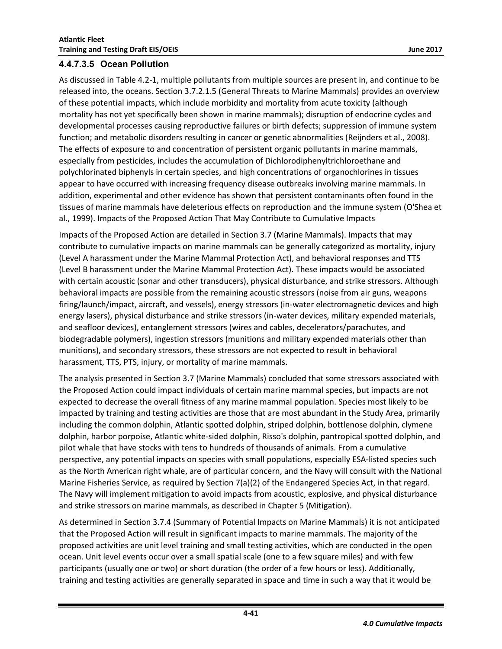As discussed in Table 4.2-1, multiple pollutants from multiple sources are present in, and continue to be released into, the oceans. Section 3.7.2.1.5 (General Threats to Marine Mammals) provides an overview of these potential impacts, which include morbidity and mortality from acute toxicity (although mortality has not yet specifically been shown in marine mammals); disruption of endocrine cycles and developmental processes causing reproductive failures or birth defects; suppression of immune system function; and metabolic disorders resulting in cancer or genetic abnormalities (Reijnders et al., 2008). The effects of exposure to and concentration of persistent organic pollutants in marine mammals, especially from pesticides, includes the accumulation of Dichlorodiphenyltrichloroethane and polychlorinated biphenyls in certain species, and high concentrations of organochlorines in tissues appear to have occurred with increasing frequency disease outbreaks involving marine mammals. In addition, experimental and other evidence has shown that persistent contaminants often found in the tissues of marine mammals have deleterious effects on reproduction and the immune system (O'Shea et al., 1999). Impacts of the Proposed Action That May Contribute to Cumulative Impacts

Impacts of the Proposed Action are detailed in Section 3.7 (Marine Mammals). Impacts that may contribute to cumulative impacts on marine mammals can be generally categorized as mortality, injury (Level A harassment under the Marine Mammal Protection Act), and behavioral responses and TTS (Level B harassment under the Marine Mammal Protection Act). These impacts would be associated with certain acoustic (sonar and other transducers), physical disturbance, and strike stressors. Although behavioral impacts are possible from the remaining acoustic stressors (noise from air guns, weapons firing/launch/impact, aircraft, and vessels), energy stressors (in-water electromagnetic devices and high energy lasers), physical disturbance and strike stressors (in-water devices, military expended materials, and seafloor devices), entanglement stressors (wires and cables, decelerators/parachutes, and biodegradable polymers), ingestion stressors (munitions and military expended materials other than munitions), and secondary stressors, these stressors are not expected to result in behavioral harassment, TTS, PTS, injury, or mortality of marine mammals.

The analysis presented in Section 3.7 (Marine Mammals) concluded that some stressors associated with the Proposed Action could impact individuals of certain marine mammal species, but impacts are not expected to decrease the overall fitness of any marine mammal population. Species most likely to be impacted by training and testing activities are those that are most abundant in the Study Area, primarily including the common dolphin, Atlantic spotted dolphin, striped dolphin, bottlenose dolphin, clymene dolphin, harbor porpoise, Atlantic white-sided dolphin, Risso's dolphin, pantropical spotted dolphin, and pilot whale that have stocks with tens to hundreds of thousands of animals. From a cumulative perspective, any potential impacts on species with small populations, especially ESA-listed species such as the North American right whale, are of particular concern, and the Navy will consult with the National Marine Fisheries Service, as required by Section 7(a)(2) of the Endangered Species Act, in that regard. The Navy will implement mitigation to avoid impacts from acoustic, explosive, and physical disturbance and strike stressors on marine mammals, as described in Chapter 5 (Mitigation).

As determined in Section 3.7.4 (Summary of Potential Impacts on Marine Mammals) it is not anticipated that the Proposed Action will result in significant impacts to marine mammals. The majority of the proposed activities are unit level training and small testing activities, which are conducted in the open ocean. Unit level events occur over a small spatial scale (one to a few square miles) and with few participants (usually one or two) or short duration (the order of a few hours or less). Additionally, training and testing activities are generally separated in space and time in such a way that it would be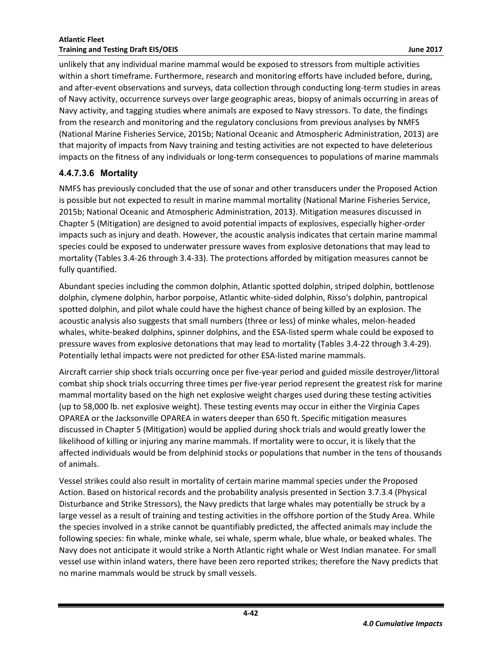unlikely that any individual marine mammal would be exposed to stressors from multiple activities within a short timeframe. Furthermore, research and monitoring efforts have included before, during, and after-event observations and surveys, data collection through conducting long-term studies in areas of Navy activity, occurrence surveys over large geographic areas, biopsy of animals occurring in areas of Navy activity, and tagging studies where animals are exposed to Navy stressors. To date, the findings from the research and monitoring and the regulatory conclusions from previous analyses by NMFS (National Marine Fisheries Service, 2015b; National Oceanic and Atmospheric Administration, 2013) are that majority of impacts from Navy training and testing activities are not expected to have deleterious impacts on the fitness of any individuals or long-term consequences to populations of marine mammals

#### **4.4.7.3.6 Mortality**

NMFS has previously concluded that the use of sonar and other transducers under the Proposed Action is possible but not expected to result in marine mammal mortality (National Marine Fisheries Service, 2015b; National Oceanic and Atmospheric Administration, 2013). Mitigation measures discussed in Chapter 5 (Mitigation) are designed to avoid potential impacts of explosives, especially higher-order impacts such as injury and death. However, the acoustic analysis indicates that certain marine mammal species could be exposed to underwater pressure waves from explosive detonations that may lead to mortality (Tables 3.4-26 through 3.4-33). The protections afforded by mitigation measures cannot be fully quantified.

Abundant species including the common dolphin, Atlantic spotted dolphin, striped dolphin, bottlenose dolphin, clymene dolphin, harbor porpoise, Atlantic white-sided dolphin, Risso's dolphin, pantropical spotted dolphin, and pilot whale could have the highest chance of being killed by an explosion. The acoustic analysis also suggests that small numbers (three or less) of minke whales, melon-headed whales, white-beaked dolphins, spinner dolphins, and the ESA-listed sperm whale could be exposed to pressure waves from explosive detonations that may lead to mortality (Tables 3.4-22 through 3.4-29). Potentially lethal impacts were not predicted for other ESA-listed marine mammals.

Aircraft carrier ship shock trials occurring once per five-year period and guided missile destroyer/littoral combat ship shock trials occurring three times per five-year period represent the greatest risk for marine mammal mortality based on the high net explosive weight charges used during these testing activities (up to 58,000 lb. net explosive weight). These testing events may occur in either the Virginia Capes OPAREA or the Jacksonville OPAREA in waters deeper than 650 ft. Specific mitigation measures discussed in Chapter 5 (Mitigation) would be applied during shock trials and would greatly lower the likelihood of killing or injuring any marine mammals. If mortality were to occur, it is likely that the affected individuals would be from delphinid stocks or populations that number in the tens of thousands of animals.

Vessel strikes could also result in mortality of certain marine mammal species under the Proposed Action. Based on historical records and the probability analysis presented in Section 3.7.3.4 (Physical Disturbance and Strike Stressors), the Navy predicts that large whales may potentially be struck by a large vessel as a result of training and testing activities in the offshore portion of the Study Area. While the species involved in a strike cannot be quantifiably predicted, the affected animals may include the following species: fin whale, minke whale, sei whale, sperm whale, blue whale, or beaked whales. The Navy does not anticipate it would strike a North Atlantic right whale or West Indian manatee. For small vessel use within inland waters, there have been zero reported strikes; therefore the Navy predicts that no marine mammals would be struck by small vessels.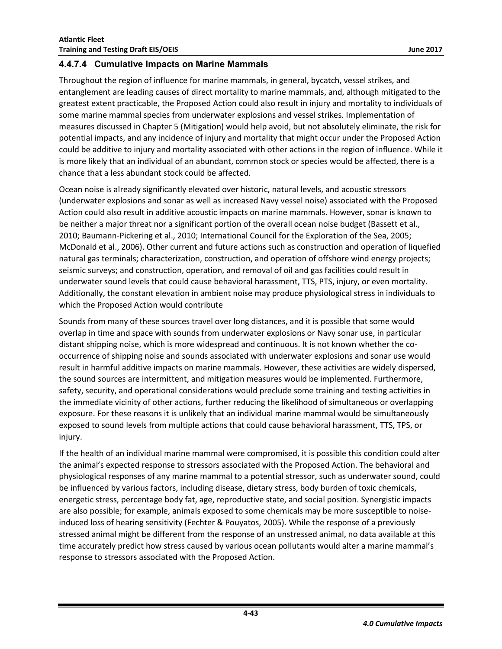#### <span id="page-44-0"></span>**4.4.7.4 Cumulative Impacts on Marine Mammals**

Throughout the region of influence for marine mammals, in general, bycatch, vessel strikes, and entanglement are leading causes of direct mortality to marine mammals, and, although mitigated to the greatest extent practicable, the Proposed Action could also result in injury and mortality to individuals of some marine mammal species from underwater explosions and vessel strikes. Implementation of measures discussed in Chapter 5 (Mitigation) would help avoid, but not absolutely eliminate, the risk for potential impacts, and any incidence of injury and mortality that might occur under the Proposed Action could be additive to injury and mortality associated with other actions in the region of influence. While it is more likely that an individual of an abundant, common stock or species would be affected, there is a chance that a less abundant stock could be affected.

Ocean noise is already significantly elevated over historic, natural levels, and acoustic stressors (underwater explosions and sonar as well as increased Navy vessel noise) associated with the Proposed Action could also result in additive acoustic impacts on marine mammals. However, sonar is known to be neither a major threat nor a significant portion of the overall ocean noise budget (Bassett et al., 2010; Baumann-Pickering et al., 2010; International Council for the Exploration of the Sea, 2005; McDonald et al., 2006). Other current and future actions such as construction and operation of liquefied natural gas terminals; characterization, construction, and operation of offshore wind energy projects; seismic surveys; and construction, operation, and removal of oil and gas facilities could result in underwater sound levels that could cause behavioral harassment, TTS, PTS, injury, or even mortality. Additionally, the constant elevation in ambient noise may produce physiological stress in individuals to which the Proposed Action would contribute

Sounds from many of these sources travel over long distances, and it is possible that some would overlap in time and space with sounds from underwater explosions or Navy sonar use, in particular distant shipping noise, which is more widespread and continuous. It is not known whether the cooccurrence of shipping noise and sounds associated with underwater explosions and sonar use would result in harmful additive impacts on marine mammals. However, these activities are widely dispersed, the sound sources are intermittent, and mitigation measures would be implemented. Furthermore, safety, security, and operational considerations would preclude some training and testing activities in the immediate vicinity of other actions, further reducing the likelihood of simultaneous or overlapping exposure. For these reasons it is unlikely that an individual marine mammal would be simultaneously exposed to sound levels from multiple actions that could cause behavioral harassment, TTS, TPS, or injury.

If the health of an individual marine mammal were compromised, it is possible this condition could alter the animal's expected response to stressors associated with the Proposed Action. The behavioral and physiological responses of any marine mammal to a potential stressor, such as underwater sound, could be influenced by various factors, including disease, dietary stress, body burden of toxic chemicals, energetic stress, percentage body fat, age, reproductive state, and social position. Synergistic impacts are also possible; for example, animals exposed to some chemicals may be more susceptible to noiseinduced loss of hearing sensitivity (Fechter & Pouyatos, 2005). While the response of a previously stressed animal might be different from the response of an unstressed animal, no data available at this time accurately predict how stress caused by various ocean pollutants would alter a marine mammal's response to stressors associated with the Proposed Action.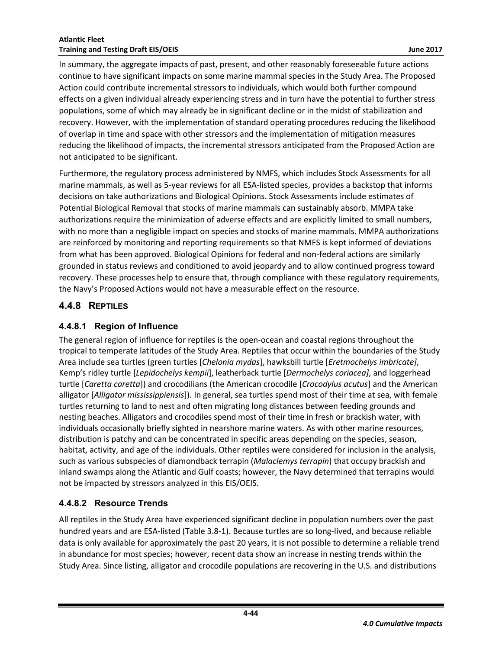In summary, the aggregate impacts of past, present, and other reasonably foreseeable future actions continue to have significant impacts on some marine mammal species in the Study Area. The Proposed Action could contribute incremental stressors to individuals, which would both further compound effects on a given individual already experiencing stress and in turn have the potential to further stress populations, some of which may already be in significant decline or in the midst of stabilization and recovery. However, with the implementation of standard operating procedures reducing the likelihood of overlap in time and space with other stressors and the implementation of mitigation measures reducing the likelihood of impacts, the incremental stressors anticipated from the Proposed Action are not anticipated to be significant.

Furthermore, the regulatory process administered by NMFS, which includes Stock Assessments for all marine mammals, as well as 5-year reviews for all ESA-listed species, provides a backstop that informs decisions on take authorizations and Biological Opinions. Stock Assessments include estimates of Potential Biological Removal that stocks of marine mammals can sustainably absorb. MMPA take authorizations require the minimization of adverse effects and are explicitly limited to small numbers, with no more than a negligible impact on species and stocks of marine mammals. MMPA authorizations are reinforced by monitoring and reporting requirements so that NMFS is kept informed of deviations from what has been approved. Biological Opinions for federal and non-federal actions are similarly grounded in status reviews and conditioned to avoid jeopardy and to allow continued progress toward recovery. These processes help to ensure that, through compliance with these regulatory requirements, the Navy's Proposed Actions would not have a measurable effect on the resource.

### <span id="page-45-0"></span>**4.4.8 REPTILES**

### <span id="page-45-1"></span>**4.4.8.1 Region of Influence**

The general region of influence for reptiles is the open-ocean and coastal regions throughout the tropical to temperate latitudes of the Study Area. Reptiles that occur within the boundaries of the Study Area include sea turtles (green turtles [*Chelonia mydas*], hawksbill turtle [*Eretmochelys imbricate]*, Kemp's ridley turtle [*Lepidochelys kempii*], leatherback turtle [*Dermochelys coriacea]*, and loggerhead turtle [*Caretta caretta*]) and crocodilians (the American crocodile [*Crocodylus acutus*] and the American alligator [*Alligator mississippiensis*]). In general, sea turtles spend most of their time at sea, with female turtles returning to land to nest and often migrating long distances between feeding grounds and nesting beaches. Alligators and crocodiles spend most of their time in fresh or brackish water, with individuals occasionally briefly sighted in nearshore marine waters. As with other marine resources, distribution is patchy and can be concentrated in specific areas depending on the species, season, habitat, activity, and age of the individuals. Other reptiles were considered for inclusion in the analysis, such as various subspecies of diamondback terrapin (*Malaclemys terrapin*) that occupy brackish and inland swamps along the Atlantic and Gulf coasts; however, the Navy determined that terrapins would not be impacted by stressors analyzed in this EIS/OEIS.

### <span id="page-45-2"></span>**4.4.8.2 Resource Trends**

All reptiles in the Study Area have experienced significant decline in population numbers over the past hundred years and are ESA-listed (Table 3.8-1). Because turtles are so long-lived, and because reliable data is only available for approximately the past 20 years, it is not possible to determine a reliable trend in abundance for most species; however, recent data show an increase in nesting trends within the Study Area. Since listing, alligator and crocodile populations are recovering in the U.S. and distributions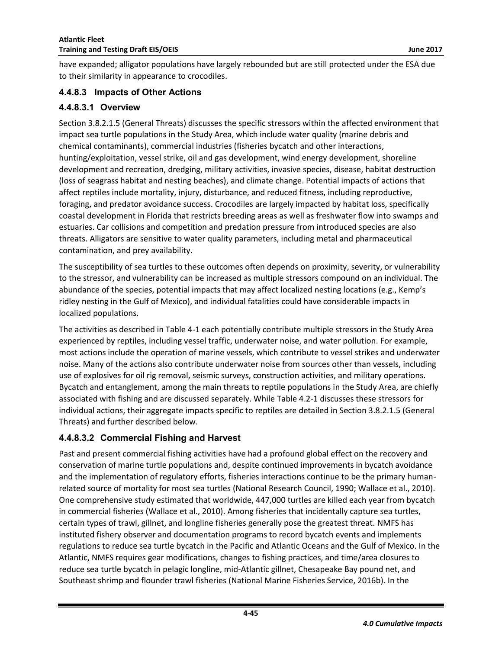have expanded; alligator populations have largely rebounded but are still protected under the ESA due to their similarity in appearance to crocodiles.

#### <span id="page-46-0"></span>**4.4.8.3 Impacts of Other Actions**

#### **4.4.8.3.1 Overview**

Section 3.8.2.1.5 (General Threats) discusses the specific stressors within the affected environment that impact sea turtle populations in the Study Area, which include water quality (marine debris and chemical contaminants), commercial industries (fisheries bycatch and other interactions, hunting/exploitation, vessel strike, oil and gas development, wind energy development, shoreline development and recreation, dredging, military activities, invasive species, disease, habitat destruction (loss of seagrass habitat and nesting beaches), and climate change. Potential impacts of actions that affect reptiles include mortality, injury, disturbance, and reduced fitness, including reproductive, foraging, and predator avoidance success. Crocodiles are largely impacted by habitat loss, specifically coastal development in Florida that restricts breeding areas as well as freshwater flow into swamps and estuaries. Car collisions and competition and predation pressure from introduced species are also threats. Alligators are sensitive to water quality parameters, including metal and pharmaceutical contamination, and prey availability.

The susceptibility of sea turtles to these outcomes often depends on proximity, severity, or vulnerability to the stressor, and vulnerability can be increased as multiple stressors compound on an individual. The abundance of the species, potential impacts that may affect localized nesting locations (e.g., Kemp's ridley nesting in the Gulf of Mexico), and individual fatalities could have considerable impacts in localized populations.

The activities as described in Table 4-1 each potentially contribute multiple stressors in the Study Area experienced by reptiles, including vessel traffic, underwater noise, and water pollution. For example, most actions include the operation of marine vessels, which contribute to vessel strikes and underwater noise. Many of the actions also contribute underwater noise from sources other than vessels, including use of explosives for oil rig removal, seismic surveys, construction activities, and military operations. Bycatch and entanglement, among the main threats to reptile populations in the Study Area, are chiefly associated with fishing and are discussed separately. While Table 4.2-1 discusses these stressors for individual actions, their aggregate impacts specific to reptiles are detailed in Section 3.8.2.1.5 (General Threats) and further described below.

### **4.4.8.3.2 Commercial Fishing and Harvest**

Past and present commercial fishing activities have had a profound global effect on the recovery and conservation of marine turtle populations and, despite continued improvements in bycatch avoidance and the implementation of regulatory efforts, fisheries interactions continue to be the primary humanrelated source of mortality for most sea turtles (National Research Council, 1990; Wallace et al., 2010). One comprehensive study estimated that worldwide, 447,000 turtles are killed each year from bycatch in commercial fisheries (Wallace et al., 2010). Among fisheries that incidentally capture sea turtles, certain types of trawl, gillnet, and longline fisheries generally pose the greatest threat. NMFS has instituted fishery observer and documentation programs to record bycatch events and implements regulations to reduce sea turtle bycatch in the Pacific and Atlantic Oceans and the Gulf of Mexico. In the Atlantic, NMFS requires gear modifications, changes to fishing practices, and time/area closures to reduce sea turtle bycatch in pelagic longline, mid-Atlantic gillnet, Chesapeake Bay pound net, and Southeast shrimp and flounder trawl fisheries (National Marine Fisheries Service, 2016b). In the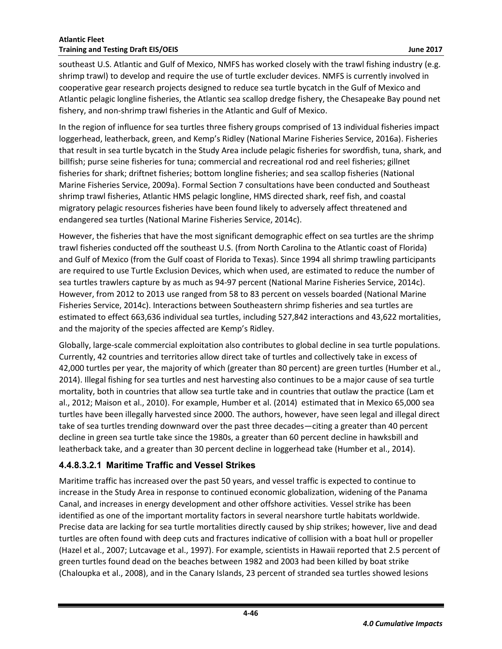southeast U.S. Atlantic and Gulf of Mexico, NMFS has worked closely with the trawl fishing industry (e.g. shrimp trawl) to develop and require the use of turtle excluder devices. NMFS is currently involved in cooperative gear research projects designed to reduce sea turtle bycatch in the Gulf of Mexico and Atlantic pelagic longline fisheries, the Atlantic sea scallop dredge fishery, the Chesapeake Bay pound net fishery, and non-shrimp trawl fisheries in the Atlantic and Gulf of Mexico.

In the region of influence for sea turtles three fishery groups comprised of 13 individual fisheries impact loggerhead, leatherback, green, and Kemp's Ridley (National Marine Fisheries Service, 2016a). Fisheries that result in sea turtle bycatch in the Study Area include pelagic fisheries for swordfish, tuna, shark, and billfish; purse seine fisheries for tuna; commercial and recreational rod and reel fisheries; gillnet fisheries for shark; driftnet fisheries; bottom longline fisheries; and sea scallop fisheries (National Marine Fisheries Service, 2009a). Formal Section 7 consultations have been conducted and Southeast shrimp trawl fisheries, Atlantic HMS pelagic longline, HMS directed shark, reef fish, and coastal migratory pelagic resources fisheries have been found likely to adversely affect threatened and endangered sea turtles (National Marine Fisheries Service, 2014c).

However, the fisheries that have the most significant demographic effect on sea turtles are the shrimp trawl fisheries conducted off the southeast U.S. (from North Carolina to the Atlantic coast of Florida) and Gulf of Mexico (from the Gulf coast of Florida to Texas). Since 1994 all shrimp trawling participants are required to use Turtle Exclusion Devices, which when used, are estimated to reduce the number of sea turtles trawlers capture by as much as 94-97 percent (National Marine Fisheries Service, 2014c). However, from 2012 to 2013 use ranged from 58 to 83 percent on vessels boarded (National Marine Fisheries Service, 2014c). Interactions between Southeastern shrimp fisheries and sea turtles are estimated to effect 663,636 individual sea turtles, including 527,842 interactions and 43,622 mortalities, and the majority of the species affected are Kemp's Ridley.

Globally, large-scale commercial exploitation also contributes to global decline in sea turtle populations. Currently, 42 countries and territories allow direct take of turtles and collectively take in excess of 42,000 turtles per year, the majority of which (greater than 80 percent) are green turtles (Humber et al., 2014). Illegal fishing for sea turtles and nest harvesting also continues to be a major cause of sea turtle mortality, both in countries that allow sea turtle take and in countries that outlaw the practice (Lam et al., 2012; Maison et al., 2010). For example, Humber et al. (2014) estimated that in Mexico 65,000 sea turtles have been illegally harvested since 2000. The authors, however, have seen legal and illegal direct take of sea turtles trending downward over the past three decades—citing a greater than 40 percent decline in green sea turtle take since the 1980s, a greater than 60 percent decline in hawksbill and leatherback take, and a greater than 30 percent decline in loggerhead take (Humber et al., 2014).

### **4.4.8.3.2.1 Maritime Traffic and Vessel Strikes**

Maritime traffic has increased over the past 50 years, and vessel traffic is expected to continue to increase in the Study Area in response to continued economic globalization, widening of the Panama Canal, and increases in energy development and other offshore activities. Vessel strike has been identified as one of the important mortality factors in several nearshore turtle habitats worldwide. Precise data are lacking for sea turtle mortalities directly caused by ship strikes; however, live and dead turtles are often found with deep cuts and fractures indicative of collision with a boat hull or propeller (Hazel et al., 2007; Lutcavage et al., 1997). For example, scientists in Hawaii reported that 2.5 percent of green turtles found dead on the beaches between 1982 and 2003 had been killed by boat strike (Chaloupka et al., 2008), and in the Canary Islands, 23 percent of stranded sea turtles showed lesions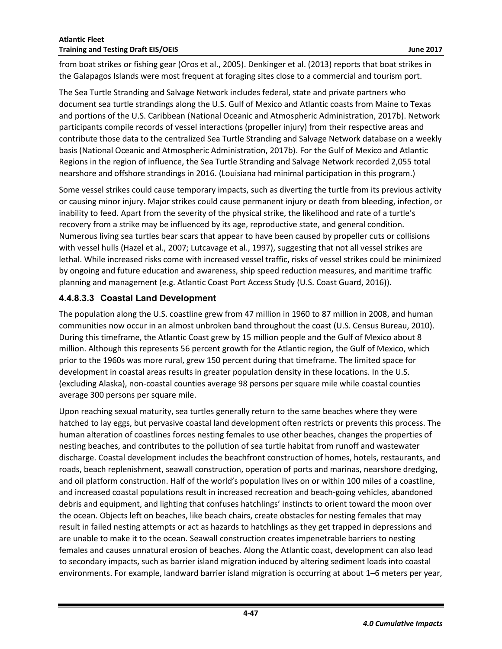from boat strikes or fishing gear (Oros et al., 2005). Denkinger et al. (2013) reports that boat strikes in the Galapagos Islands were most frequent at foraging sites close to a commercial and tourism port.

The Sea Turtle Stranding and Salvage Network includes federal, state and private partners who document sea turtle strandings along the U.S. Gulf of Mexico and Atlantic coasts from Maine to Texas and portions of the U.S. Caribbean (National Oceanic and Atmospheric Administration, 2017b). Network participants compile records of vessel interactions (propeller injury) from their respective areas and contribute those data to the centralized Sea Turtle Stranding and Salvage Network database on a weekly basis (National Oceanic and Atmospheric Administration, 2017b). For the Gulf of Mexico and Atlantic Regions in the region of influence, the Sea Turtle Stranding and Salvage Network recorded 2,055 total nearshore and offshore strandings in 2016. (Louisiana had minimal participation in this program.)

Some vessel strikes could cause temporary impacts, such as diverting the turtle from its previous activity or causing minor injury. Major strikes could cause permanent injury or death from bleeding, infection, or inability to feed. Apart from the severity of the physical strike, the likelihood and rate of a turtle's recovery from a strike may be influenced by its age, reproductive state, and general condition. Numerous living sea turtles bear scars that appear to have been caused by propeller cuts or collisions with vessel hulls (Hazel et al., 2007; Lutcavage et al., 1997), suggesting that not all vessel strikes are lethal. While increased risks come with increased vessel traffic, risks of vessel strikes could be minimized by ongoing and future education and awareness, ship speed reduction measures, and maritime traffic planning and management (e.g. Atlantic Coast Port Access Study (U.S. Coast Guard, 2016)).

### **4.4.8.3.3 Coastal Land Development**

The population along the U.S. coastline grew from 47 million in 1960 to 87 million in 2008, and human communities now occur in an almost unbroken band throughout the coast (U.S. Census Bureau, 2010). During this timeframe, the Atlantic Coast grew by 15 million people and the Gulf of Mexico about 8 million. Although this represents 56 percent growth for the Atlantic region, the Gulf of Mexico, which prior to the 1960s was more rural, grew 150 percent during that timeframe. The limited space for development in coastal areas results in greater population density in these locations. In the U.S. (excluding Alaska), non-coastal counties average 98 persons per square mile while coastal counties average 300 persons per square mile.

Upon reaching sexual maturity, sea turtles generally return to the same beaches where they were hatched to lay eggs, but pervasive coastal land development often restricts or prevents this process. The human alteration of coastlines forces nesting females to use other beaches, changes the properties of nesting beaches, and contributes to the pollution of sea turtle habitat from runoff and wastewater discharge. Coastal development includes the beachfront construction of homes, hotels, restaurants, and roads, beach replenishment, seawall construction, operation of ports and marinas, nearshore dredging, and oil platform construction. Half of the world's population lives on or within 100 miles of a coastline, and increased coastal populations result in increased recreation and beach-going vehicles, abandoned debris and equipment, and lighting that confuses hatchlings' instincts to orient toward the moon over the ocean. Objects left on beaches, like beach chairs, create obstacles for nesting females that may result in failed nesting attempts or act as hazards to hatchlings as they get trapped in depressions and are unable to make it to the ocean. Seawall construction creates impenetrable barriers to nesting females and causes unnatural erosion of beaches. Along the Atlantic coast, development can also lead to secondary impacts, such as barrier island migration induced by altering sediment loads into coastal environments. For example, landward barrier island migration is occurring at about 1–6 meters per year,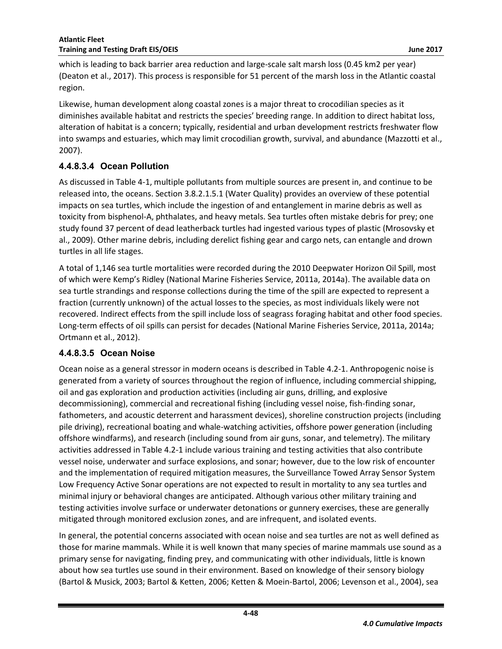which is leading to back barrier area reduction and large-scale salt marsh loss (0.45 km2 per year) (Deaton et al., 2017). This process is responsible for 51 percent of the marsh loss in the Atlantic coastal region.

Likewise, human development along coastal zones is a major threat to crocodilian species as it diminishes available habitat and restricts the species' breeding range. In addition to direct habitat loss, alteration of habitat is a concern; typically, residential and urban development restricts freshwater flow into swamps and estuaries, which may limit crocodilian growth, survival, and abundance (Mazzotti et al., 2007).

### **4.4.8.3.4 Ocean Pollution**

As discussed in Table 4-1, multiple pollutants from multiple sources are present in, and continue to be released into, the oceans. Section 3.8.2.1.5.1 (Water Quality) provides an overview of these potential impacts on sea turtles, which include the ingestion of and entanglement in marine debris as well as toxicity from bisphenol-A, phthalates, and heavy metals. Sea turtles often mistake debris for prey; one study found 37 percent of dead leatherback turtles had ingested various types of plastic (Mrosovsky et al., 2009). Other marine debris, including derelict fishing gear and cargo nets, can entangle and drown turtles in all life stages.

A total of 1,146 sea turtle mortalities were recorded during the 2010 Deepwater Horizon Oil Spill, most of which were Kemp's Ridley (National Marine Fisheries Service, 2011a, 2014a). The available data on sea turtle strandings and response collections during the time of the spill are expected to represent a fraction (currently unknown) of the actual losses to the species, as most individuals likely were not recovered. Indirect effects from the spill include loss of seagrass foraging habitat and other food species. Long-term effects of oil spills can persist for decades (National Marine Fisheries Service, 2011a, 2014a; Ortmann et al., 2012).

### **4.4.8.3.5 Ocean Noise**

Ocean noise as a general stressor in modern oceans is described in Table 4.2-1. Anthropogenic noise is generated from a variety of sources throughout the region of influence, including commercial shipping, oil and gas exploration and production activities (including air guns, drilling, and explosive decommissioning), commercial and recreational fishing (including vessel noise, fish-finding sonar, fathometers, and acoustic deterrent and harassment devices), shoreline construction projects (including pile driving), recreational boating and whale-watching activities, offshore power generation (including offshore windfarms), and research (including sound from air guns, sonar, and telemetry). The military activities addressed in Table 4.2-1 include various training and testing activities that also contribute vessel noise, underwater and surface explosions, and sonar; however, due to the low risk of encounter and the implementation of required mitigation measures, the Surveillance Towed Array Sensor System Low Frequency Active Sonar operations are not expected to result in mortality to any sea turtles and minimal injury or behavioral changes are anticipated. Although various other military training and testing activities involve surface or underwater detonations or gunnery exercises, these are generally mitigated through monitored exclusion zones, and are infrequent, and isolated events.

In general, the potential concerns associated with ocean noise and sea turtles are not as well defined as those for marine mammals. While it is well known that many species of marine mammals use sound as a primary sense for navigating, finding prey, and communicating with other individuals, little is known about how sea turtles use sound in their environment. Based on knowledge of their sensory biology (Bartol & Musick, 2003; Bartol & Ketten, 2006; Ketten & Moein-Bartol, 2006; Levenson et al., 2004), sea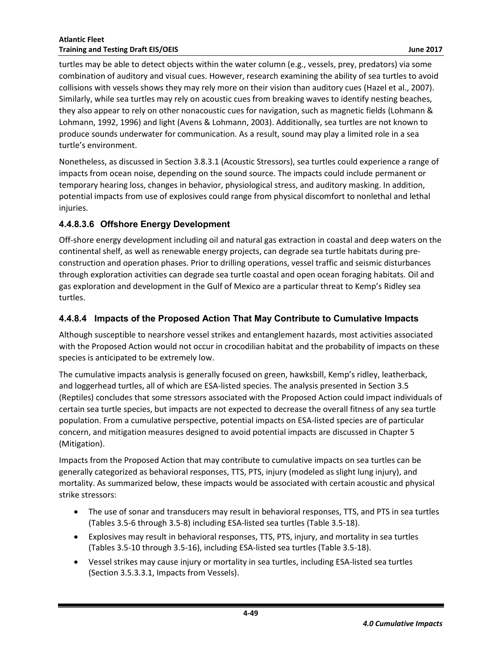turtles may be able to detect objects within the water column (e.g., vessels, prey, predators) via some combination of auditory and visual cues. However, research examining the ability of sea turtles to avoid collisions with vessels shows they may rely more on their vision than auditory cues (Hazel et al., 2007). Similarly, while sea turtles may rely on acoustic cues from breaking waves to identify nesting beaches, they also appear to rely on other nonacoustic cues for navigation, such as magnetic fields (Lohmann & Lohmann, 1992, 1996) and light (Avens & Lohmann, 2003). Additionally, sea turtles are not known to produce sounds underwater for communication. As a result, sound may play a limited role in a sea turtle's environment.

Nonetheless, as discussed in Section 3.8.3.1 (Acoustic Stressors), sea turtles could experience a range of impacts from ocean noise, depending on the sound source. The impacts could include permanent or temporary hearing loss, changes in behavior, physiological stress, and auditory masking. In addition, potential impacts from use of explosives could range from physical discomfort to nonlethal and lethal injuries.

#### **4.4.8.3.6 Offshore Energy Development**

Off-shore energy development including oil and natural gas extraction in coastal and deep waters on the continental shelf, as well as renewable energy projects, can degrade sea turtle habitats during preconstruction and operation phases. Prior to drilling operations, vessel traffic and seismic disturbances through exploration activities can degrade sea turtle coastal and open ocean foraging habitats. Oil and gas exploration and development in the Gulf of Mexico are a particular threat to Kemp's Ridley sea turtles.

#### <span id="page-50-0"></span>**4.4.8.4 Impacts of the Proposed Action That May Contribute to Cumulative Impacts**

Although susceptible to nearshore vessel strikes and entanglement hazards, most activities associated with the Proposed Action would not occur in crocodilian habitat and the probability of impacts on these species is anticipated to be extremely low.

The cumulative impacts analysis is generally focused on green, hawksbill, Kemp's ridley, leatherback, and loggerhead turtles, all of which are ESA-listed species. The analysis presented in Section 3.5 (Reptiles) concludes that some stressors associated with the Proposed Action could impact individuals of certain sea turtle species, but impacts are not expected to decrease the overall fitness of any sea turtle population. From a cumulative perspective, potential impacts on ESA-listed species are of particular concern, and mitigation measures designed to avoid potential impacts are discussed in Chapter 5 (Mitigation).

Impacts from the Proposed Action that may contribute to cumulative impacts on sea turtles can be generally categorized as behavioral responses, TTS, PTS, injury (modeled as slight lung injury), and mortality. As summarized below, these impacts would be associated with certain acoustic and physical strike stressors:

- The use of sonar and transducers may result in behavioral responses, TTS, and PTS in sea turtles (Tables 3.5-6 through 3.5-8) including ESA-listed sea turtles (Table 3.5-18).
- Explosives may result in behavioral responses, TTS, PTS, injury, and mortality in sea turtles (Tables 3.5-10 through 3.5-16), including ESA-listed sea turtles (Table 3.5-18).
- Vessel strikes may cause injury or mortality in sea turtles, including ESA-listed sea turtles (Section 3.5.3.3.1, Impacts from Vessels).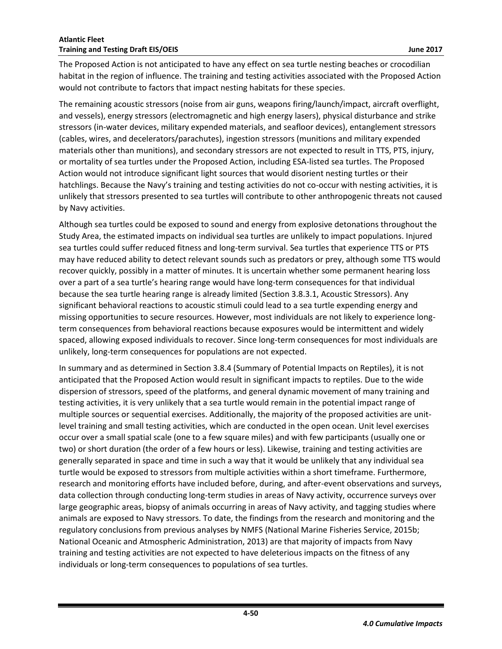The Proposed Action is not anticipated to have any effect on sea turtle nesting beaches or crocodilian habitat in the region of influence. The training and testing activities associated with the Proposed Action would not contribute to factors that impact nesting habitats for these species.

The remaining acoustic stressors (noise from air guns, weapons firing/launch/impact, aircraft overflight, and vessels), energy stressors (electromagnetic and high energy lasers), physical disturbance and strike stressors (in-water devices, military expended materials, and seafloor devices), entanglement stressors (cables, wires, and decelerators/parachutes), ingestion stressors (munitions and military expended materials other than munitions), and secondary stressors are not expected to result in TTS, PTS, injury, or mortality of sea turtles under the Proposed Action, including ESA-listed sea turtles. The Proposed Action would not introduce significant light sources that would disorient nesting turtles or their hatchlings. Because the Navy's training and testing activities do not co-occur with nesting activities, it is unlikely that stressors presented to sea turtles will contribute to other anthropogenic threats not caused by Navy activities.

Although sea turtles could be exposed to sound and energy from explosive detonations throughout the Study Area, the estimated impacts on individual sea turtles are unlikely to impact populations. Injured sea turtles could suffer reduced fitness and long-term survival. Sea turtles that experience TTS or PTS may have reduced ability to detect relevant sounds such as predators or prey, although some TTS would recover quickly, possibly in a matter of minutes. It is uncertain whether some permanent hearing loss over a part of a sea turtle's hearing range would have long-term consequences for that individual because the sea turtle hearing range is already limited (Section 3.8.3.1, Acoustic Stressors). Any significant behavioral reactions to acoustic stimuli could lead to a sea turtle expending energy and missing opportunities to secure resources. However, most individuals are not likely to experience longterm consequences from behavioral reactions because exposures would be intermittent and widely spaced, allowing exposed individuals to recover. Since long-term consequences for most individuals are unlikely, long-term consequences for populations are not expected.

In summary and as determined in Section 3.8.4 (Summary of Potential Impacts on Reptiles), it is not anticipated that the Proposed Action would result in significant impacts to reptiles. Due to the wide dispersion of stressors, speed of the platforms, and general dynamic movement of many training and testing activities, it is very unlikely that a sea turtle would remain in the potential impact range of multiple sources or sequential exercises. Additionally, the majority of the proposed activities are unitlevel training and small testing activities, which are conducted in the open ocean. Unit level exercises occur over a small spatial scale (one to a few square miles) and with few participants (usually one or two) or short duration (the order of a few hours or less). Likewise, training and testing activities are generally separated in space and time in such a way that it would be unlikely that any individual sea turtle would be exposed to stressors from multiple activities within a short timeframe. Furthermore, research and monitoring efforts have included before, during, and after-event observations and surveys, data collection through conducting long-term studies in areas of Navy activity, occurrence surveys over large geographic areas, biopsy of animals occurring in areas of Navy activity, and tagging studies where animals are exposed to Navy stressors. To date, the findings from the research and monitoring and the regulatory conclusions from previous analyses by NMFS (National Marine Fisheries Service, 2015b; National Oceanic and Atmospheric Administration, 2013) are that majority of impacts from Navy training and testing activities are not expected to have deleterious impacts on the fitness of any individuals or long-term consequences to populations of sea turtles.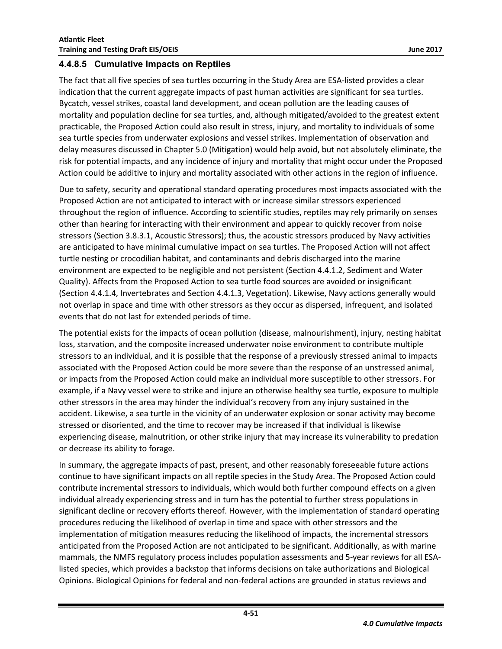#### <span id="page-52-0"></span>**4.4.8.5 Cumulative Impacts on Reptiles**

The fact that all five species of sea turtles occurring in the Study Area are ESA-listed provides a clear indication that the current aggregate impacts of past human activities are significant for sea turtles. Bycatch, vessel strikes, coastal land development, and ocean pollution are the leading causes of mortality and population decline for sea turtles, and, although mitigated/avoided to the greatest extent practicable, the Proposed Action could also result in stress, injury, and mortality to individuals of some sea turtle species from underwater explosions and vessel strikes. Implementation of observation and delay measures discussed in Chapter 5.0 (Mitigation) would help avoid, but not absolutely eliminate, the risk for potential impacts, and any incidence of injury and mortality that might occur under the Proposed Action could be additive to injury and mortality associated with other actions in the region of influence.

Due to safety, security and operational standard operating procedures most impacts associated with the Proposed Action are not anticipated to interact with or increase similar stressors experienced throughout the region of influence. According to scientific studies, reptiles may rely primarily on senses other than hearing for interacting with their environment and appear to quickly recover from noise stressors (Section 3.8.3.1, Acoustic Stressors); thus, the acoustic stressors produced by Navy activities are anticipated to have minimal cumulative impact on sea turtles. The Proposed Action will not affect turtle nesting or crocodilian habitat, and contaminants and debris discharged into the marine environment are expected to be negligible and not persistent (Section 4.4.1.2, Sediment and Water Quality). Affects from the Proposed Action to sea turtle food sources are avoided or insignificant (Section 4.4.1.4, Invertebrates and Section 4.4.1.3, Vegetation). Likewise, Navy actions generally would not overlap in space and time with other stressors as they occur as dispersed, infrequent, and isolated events that do not last for extended periods of time.

The potential exists for the impacts of ocean pollution (disease, malnourishment), injury, nesting habitat loss, starvation, and the composite increased underwater noise environment to contribute multiple stressors to an individual, and it is possible that the response of a previously stressed animal to impacts associated with the Proposed Action could be more severe than the response of an unstressed animal, or impacts from the Proposed Action could make an individual more susceptible to other stressors. For example, if a Navy vessel were to strike and injure an otherwise healthy sea turtle, exposure to multiple other stressors in the area may hinder the individual's recovery from any injury sustained in the accident. Likewise, a sea turtle in the vicinity of an underwater explosion or sonar activity may become stressed or disoriented, and the time to recover may be increased if that individual is likewise experiencing disease, malnutrition, or other strike injury that may increase its vulnerability to predation or decrease its ability to forage.

In summary, the aggregate impacts of past, present, and other reasonably foreseeable future actions continue to have significant impacts on all reptile species in the Study Area. The Proposed Action could contribute incremental stressors to individuals, which would both further compound effects on a given individual already experiencing stress and in turn has the potential to further stress populations in significant decline or recovery efforts thereof. However, with the implementation of standard operating procedures reducing the likelihood of overlap in time and space with other stressors and the implementation of mitigation measures reducing the likelihood of impacts, the incremental stressors anticipated from the Proposed Action are not anticipated to be significant. Additionally, as with marine mammals, the NMFS regulatory process includes population assessments and 5-year reviews for all ESAlisted species, which provides a backstop that informs decisions on take authorizations and Biological Opinions. Biological Opinions for federal and non-federal actions are grounded in status reviews and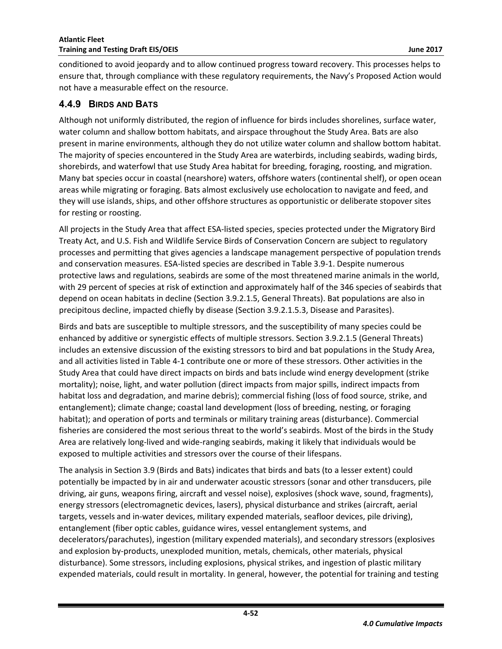conditioned to avoid jeopardy and to allow continued progress toward recovery. This processes helps to ensure that, through compliance with these regulatory requirements, the Navy's Proposed Action would not have a measurable effect on the resource.

#### <span id="page-53-0"></span>**4.4.9 BIRDS AND BATS**

Although not uniformly distributed, the region of influence for birds includes shorelines, surface water, water column and shallow bottom habitats, and airspace throughout the Study Area. Bats are also present in marine environments, although they do not utilize water column and shallow bottom habitat. The majority of species encountered in the Study Area are waterbirds, including seabirds, wading birds, shorebirds, and waterfowl that use Study Area habitat for breeding, foraging, roosting, and migration. Many bat species occur in coastal (nearshore) waters, offshore waters (continental shelf), or open ocean areas while migrating or foraging. Bats almost exclusively use echolocation to navigate and feed, and they will use islands, ships, and other offshore structures as opportunistic or deliberate stopover sites for resting or roosting.

All projects in the Study Area that affect ESA-listed species, species protected under the Migratory Bird Treaty Act, and U.S. Fish and Wildlife Service Birds of Conservation Concern are subject to regulatory processes and permitting that gives agencies a landscape management perspective of population trends and conservation measures. ESA-listed species are described in Table 3.9-1. Despite numerous protective laws and regulations, seabirds are some of the most threatened marine animals in the world, with 29 percent of species at risk of extinction and approximately half of the 346 species of seabirds that depend on ocean habitats in decline (Section 3.9.2.1.5, General Threats). Bat populations are also in precipitous decline, impacted chiefly by disease (Section 3.9.2.1.5.3, Disease and Parasites).

Birds and bats are susceptible to multiple stressors, and the susceptibility of many species could be enhanced by additive or synergistic effects of multiple stressors. Section 3.9.2.1.5 (General Threats) includes an extensive discussion of the existing stressors to bird and bat populations in the Study Area, and all activities listed in Table 4-1 contribute one or more of these stressors. Other activities in the Study Area that could have direct impacts on birds and bats include wind energy development (strike mortality); noise, light, and water pollution (direct impacts from major spills, indirect impacts from habitat loss and degradation, and marine debris); commercial fishing (loss of food source, strike, and entanglement); climate change; coastal land development (loss of breeding, nesting, or foraging habitat); and operation of ports and terminals or military training areas (disturbance). Commercial fisheries are considered the most serious threat to the world's seabirds. Most of the birds in the Study Area are relatively long-lived and wide-ranging seabirds, making it likely that individuals would be exposed to multiple activities and stressors over the course of their lifespans.

The analysis in Section 3.9 (Birds and Bats) indicates that birds and bats (to a lesser extent) could potentially be impacted by in air and underwater acoustic stressors (sonar and other transducers, pile driving, air guns, weapons firing, aircraft and vessel noise), explosives (shock wave, sound, fragments), energy stressors (electromagnetic devices, lasers), physical disturbance and strikes (aircraft, aerial targets, vessels and in-water devices, military expended materials, seafloor devices, pile driving), entanglement (fiber optic cables, guidance wires, vessel entanglement systems, and decelerators/parachutes), ingestion (military expended materials), and secondary stressors (explosives and explosion by-products, unexploded munition, metals, chemicals, other materials, physical disturbance). Some stressors, including explosions, physical strikes, and ingestion of plastic military expended materials, could result in mortality. In general, however, the potential for training and testing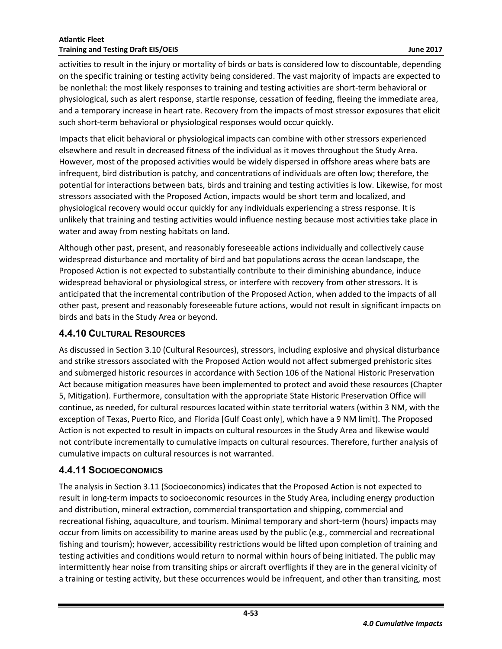activities to result in the injury or mortality of birds or bats is considered low to discountable, depending on the specific training or testing activity being considered. The vast majority of impacts are expected to be nonlethal: the most likely responses to training and testing activities are short-term behavioral or physiological, such as alert response, startle response, cessation of feeding, fleeing the immediate area, and a temporary increase in heart rate. Recovery from the impacts of most stressor exposures that elicit such short-term behavioral or physiological responses would occur quickly.

Impacts that elicit behavioral or physiological impacts can combine with other stressors experienced elsewhere and result in decreased fitness of the individual as it moves throughout the Study Area. However, most of the proposed activities would be widely dispersed in offshore areas where bats are infrequent, bird distribution is patchy, and concentrations of individuals are often low; therefore, the potential for interactions between bats, birds and training and testing activities is low. Likewise, for most stressors associated with the Proposed Action, impacts would be short term and localized, and physiological recovery would occur quickly for any individuals experiencing a stress response. It is unlikely that training and testing activities would influence nesting because most activities take place in water and away from nesting habitats on land.

Although other past, present, and reasonably foreseeable actions individually and collectively cause widespread disturbance and mortality of bird and bat populations across the ocean landscape, the Proposed Action is not expected to substantially contribute to their diminishing abundance, induce widespread behavioral or physiological stress, or interfere with recovery from other stressors. It is anticipated that the incremental contribution of the Proposed Action, when added to the impacts of all other past, present and reasonably foreseeable future actions, would not result in significant impacts on birds and bats in the Study Area or beyond.

## <span id="page-54-0"></span>**4.4.10 CULTURAL RESOURCES**

As discussed in Section 3.10 (Cultural Resources), stressors, including explosive and physical disturbance and strike stressors associated with the Proposed Action would not affect submerged prehistoric sites and submerged historic resources in accordance with Section 106 of the National Historic Preservation Act because mitigation measures have been implemented to protect and avoid these resources (Chapter 5, Mitigation). Furthermore, consultation with the appropriate State Historic Preservation Office will continue, as needed, for cultural resources located within state territorial waters (within 3 NM, with the exception of Texas, Puerto Rico, and Florida [Gulf Coast only], which have a 9 NM limit). The Proposed Action is not expected to result in impacts on cultural resources in the Study Area and likewise would not contribute incrementally to cumulative impacts on cultural resources. Therefore, further analysis of cumulative impacts on cultural resources is not warranted.

### <span id="page-54-1"></span>**4.4.11 SOCIOECONOMICS**

The analysis in Section 3.11 (Socioeconomics) indicates that the Proposed Action is not expected to result in long-term impacts to socioeconomic resources in the Study Area, including energy production and distribution, mineral extraction, commercial transportation and shipping, commercial and recreational fishing, aquaculture, and tourism. Minimal temporary and short-term (hours) impacts may occur from limits on accessibility to marine areas used by the public (e.g., commercial and recreational fishing and tourism); however, accessibility restrictions would be lifted upon completion of training and testing activities and conditions would return to normal within hours of being initiated. The public may intermittently hear noise from transiting ships or aircraft overflights if they are in the general vicinity of a training or testing activity, but these occurrences would be infrequent, and other than transiting, most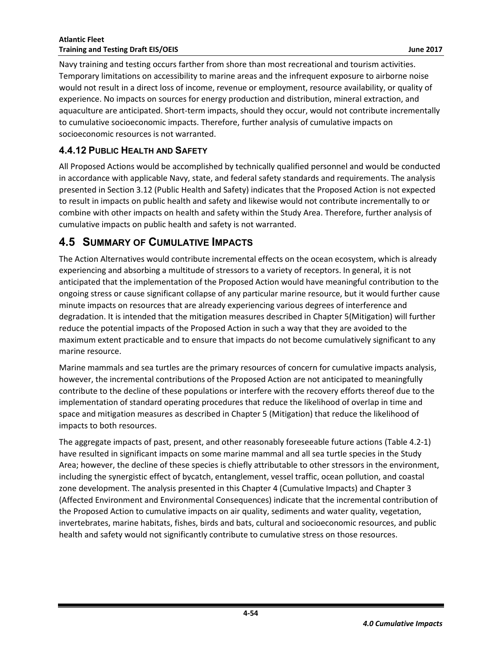Navy training and testing occurs farther from shore than most recreational and tourism activities. Temporary limitations on accessibility to marine areas and the infrequent exposure to airborne noise would not result in a direct loss of income, revenue or employment, resource availability, or quality of experience. No impacts on sources for energy production and distribution, mineral extraction, and aquaculture are anticipated. Short-term impacts, should they occur, would not contribute incrementally to cumulative socioeconomic impacts. Therefore, further analysis of cumulative impacts on socioeconomic resources is not warranted.

## <span id="page-55-0"></span>**4.4.12 PUBLIC HEALTH AND SAFETY**

All Proposed Actions would be accomplished by technically qualified personnel and would be conducted in accordance with applicable Navy, state, and federal safety standards and requirements. The analysis presented in Section 3.12 (Public Health and Safety) indicates that the Proposed Action is not expected to result in impacts on public health and safety and likewise would not contribute incrementally to or combine with other impacts on health and safety within the Study Area. Therefore, further analysis of cumulative impacts on public health and safety is not warranted.

## <span id="page-55-1"></span>**4.5 SUMMARY OF CUMULATIVE IMPACTS**

The Action Alternatives would contribute incremental effects on the ocean ecosystem, which is already experiencing and absorbing a multitude of stressors to a variety of receptors. In general, it is not anticipated that the implementation of the Proposed Action would have meaningful contribution to the ongoing stress or cause significant collapse of any particular marine resource, but it would further cause minute impacts on resources that are already experiencing various degrees of interference and degradation. It is intended that the mitigation measures described in Chapter 5(Mitigation) will further reduce the potential impacts of the Proposed Action in such a way that they are avoided to the maximum extent practicable and to ensure that impacts do not become cumulatively significant to any marine resource.

Marine mammals and sea turtles are the primary resources of concern for cumulative impacts analysis, however, the incremental contributions of the Proposed Action are not anticipated to meaningfully contribute to the decline of these populations or interfere with the recovery efforts thereof due to the implementation of standard operating procedures that reduce the likelihood of overlap in time and space and mitigation measures as described in Chapter 5 (Mitigation) that reduce the likelihood of impacts to both resources.

The aggregate impacts of past, present, and other reasonably foreseeable future actions (Table 4.2-1) have resulted in significant impacts on some marine mammal and all sea turtle species in the Study Area; however, the decline of these species is chiefly attributable to other stressors in the environment, including the synergistic effect of bycatch, entanglement, vessel traffic, ocean pollution, and coastal zone development. The analysis presented in this Chapter 4 (Cumulative Impacts) and Chapter 3 (Affected Environment and Environmental Consequences) indicate that the incremental contribution of the Proposed Action to cumulative impacts on air quality, sediments and water quality, vegetation, invertebrates, marine habitats, fishes, birds and bats, cultural and socioeconomic resources, and public health and safety would not significantly contribute to cumulative stress on those resources.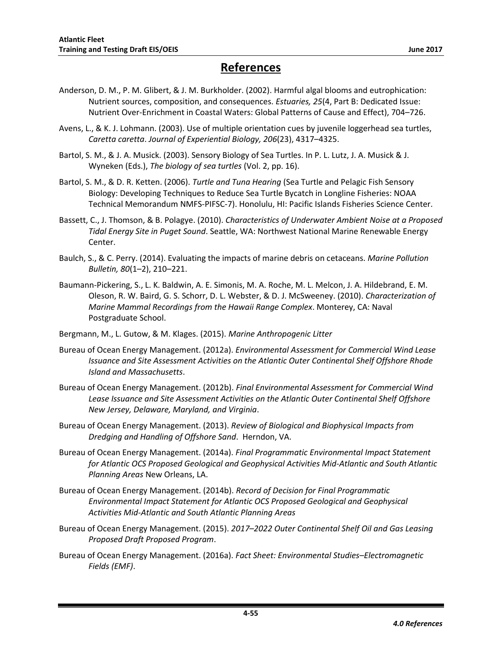## **References**

- Anderson, D. M., P. M. Glibert, & J. M. Burkholder. (2002). Harmful algal blooms and eutrophication: Nutrient sources, composition, and consequences. *Estuaries, 25*(4, Part B: Dedicated Issue: Nutrient Over-Enrichment in Coastal Waters: Global Patterns of Cause and Effect), 704–726.
- Avens, L., & K. J. Lohmann. (2003). Use of multiple orientation cues by juvenile loggerhead sea turtles, *Caretta caretta*. *Journal of Experiential Biology, 206*(23), 4317–4325.
- Bartol, S. M., & J. A. Musick. (2003). Sensory Biology of Sea Turtles. In P. L. Lutz, J. A. Musick & J. Wyneken (Eds.), *The biology of sea turtles* (Vol. 2, pp. 16).
- Bartol, S. M., & D. R. Ketten. (2006). *Turtle and Tuna Hearing* (Sea Turtle and Pelagic Fish Sensory Biology: Developing Techniques to Reduce Sea Turtle Bycatch in Longline Fisheries: NOAA Technical Memorandum NMFS-PIFSC-7). Honolulu, HI: Pacific Islands Fisheries Science Center.
- Bassett, C., J. Thomson, & B. Polagye. (2010). *Characteristics of Underwater Ambient Noise at a Proposed Tidal Energy Site in Puget Sound*. Seattle, WA: Northwest National Marine Renewable Energy Center.
- Baulch, S., & C. Perry. (2014). Evaluating the impacts of marine debris on cetaceans. *Marine Pollution Bulletin, 80*(1–2), 210–221.
- Baumann-Pickering, S., L. K. Baldwin, A. E. Simonis, M. A. Roche, M. L. Melcon, J. A. Hildebrand, E. M. Oleson, R. W. Baird, G. S. Schorr, D. L. Webster, & D. J. McSweeney. (2010). *Characterization of Marine Mammal Recordings from the Hawaii Range Complex*. Monterey, CA: Naval Postgraduate School.
- Bergmann, M., L. Gutow, & M. Klages. (2015). *Marine Anthropogenic Litter*
- Bureau of Ocean Energy Management. (2012a). *Environmental Assessment for Commercial Wind Lease Issuance and Site Assessment Activities on the Atlantic Outer Continental Shelf Offshore Rhode Island and Massachusetts*.
- Bureau of Ocean Energy Management. (2012b). *Final Environmental Assessment for Commercial Wind Lease Issuance and Site Assessment Activities on the Atlantic Outer Continental Shelf Offshore New Jersey, Delaware, Maryland, and Virginia*.
- Bureau of Ocean Energy Management. (2013). *Review of Biological and Biophysical Impacts from Dredging and Handling of Offshore Sand*. Herndon, VA.
- Bureau of Ocean Energy Management. (2014a). *Final Programmatic Environmental Impact Statement for Atlantic OCS Proposed Geological and Geophysical Activities Mid-Atlantic and South Atlantic Planning Areas* New Orleans, LA.
- Bureau of Ocean Energy Management. (2014b). *Record of Decision for Final Programmatic Environmental Impact Statement for Atlantic OCS Proposed Geological and Geophysical Activities Mid-Atlantic and South Atlantic Planning Areas*
- Bureau of Ocean Energy Management. (2015). *2017–2022 Outer Continental Shelf Oil and Gas Leasing Proposed Draft Proposed Program*.
- Bureau of Ocean Energy Management. (2016a). *Fact Sheet: Environmental Studies–Electromagnetic Fields (EMF)*.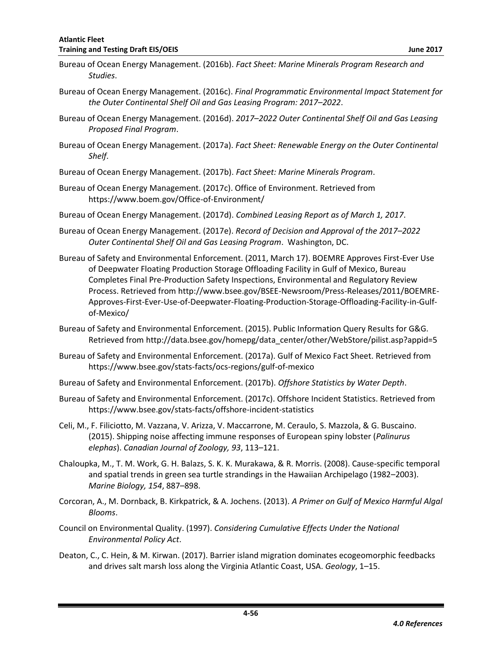- Bureau of Ocean Energy Management. (2016b). *Fact Sheet: Marine Minerals Program Research and Studies*.
- Bureau of Ocean Energy Management. (2016c). *Final Programmatic Environmental Impact Statement for the Outer Continental Shelf Oil and Gas Leasing Program: 2017–2022*.
- Bureau of Ocean Energy Management. (2016d). *2017–2022 Outer Continental Shelf Oil and Gas Leasing Proposed Final Program*.
- Bureau of Ocean Energy Management. (2017a). *Fact Sheet: Renewable Energy on the Outer Continental Shelf*.
- Bureau of Ocean Energy Management. (2017b). *Fact Sheet: Marine Minerals Program*.
- Bureau of Ocean Energy Management. (2017c). Office of Environment. Retrieved from https://www.boem.gov/Office-of-Environment/
- Bureau of Ocean Energy Management. (2017d). *Combined Leasing Report as of March 1, 2017*.
- Bureau of Ocean Energy Management. (2017e). *Record of Decision and Approval of the 2017–2022 Outer Continental Shelf Oil and Gas Leasing Program*. Washington, DC.
- Bureau of Safety and Environmental Enforcement. (2011, March 17). BOEMRE Approves First-Ever Use of Deepwater Floating Production Storage Offloading Facility in Gulf of Mexico, Bureau Completes Final Pre-Production Safety Inspections, Environmental and Regulatory Review Process. Retrieved from http://www.bsee.gov/BSEE-Newsroom/Press-Releases/2011/BOEMRE-Approves-First-Ever-Use-of-Deepwater-Floating-Production-Storage-Offloading-Facility-in-Gulfof-Mexico/
- Bureau of Safety and Environmental Enforcement. (2015). Public Information Query Results for G&G. Retrieved from http://data.bsee.gov/homepg/data\_center/other/WebStore/pilist.asp?appid=5
- Bureau of Safety and Environmental Enforcement. (2017a). Gulf of Mexico Fact Sheet. Retrieved from https://www.bsee.gov/stats-facts/ocs-regions/gulf-of-mexico
- Bureau of Safety and Environmental Enforcement. (2017b). *Offshore Statistics by Water Depth*.
- Bureau of Safety and Environmental Enforcement. (2017c). Offshore Incident Statistics. Retrieved from https://www.bsee.gov/stats-facts/offshore-incident-statistics
- Celi, M., F. Filiciotto, M. Vazzana, V. Arizza, V. Maccarrone, M. Ceraulo, S. Mazzola, & G. Buscaino. (2015). Shipping noise affecting immune responses of European spiny lobster (*Palinurus elephas*). *Canadian Journal of Zoology, 93*, 113–121.
- Chaloupka, M., T. M. Work, G. H. Balazs, S. K. K. Murakawa, & R. Morris. (2008). Cause-specific temporal and spatial trends in green sea turtle strandings in the Hawaiian Archipelago (1982–2003). *Marine Biology, 154*, 887–898.
- Corcoran, A., M. Dornback, B. Kirkpatrick, & A. Jochens. (2013). *A Primer on Gulf of Mexico Harmful Algal Blooms*.
- Council on Environmental Quality. (1997). *Considering Cumulative Effects Under the National Environmental Policy Act*.
- Deaton, C., C. Hein, & M. Kirwan. (2017). Barrier island migration dominates ecogeomorphic feedbacks and drives salt marsh loss along the Virginia Atlantic Coast, USA. *Geology*, 1–15.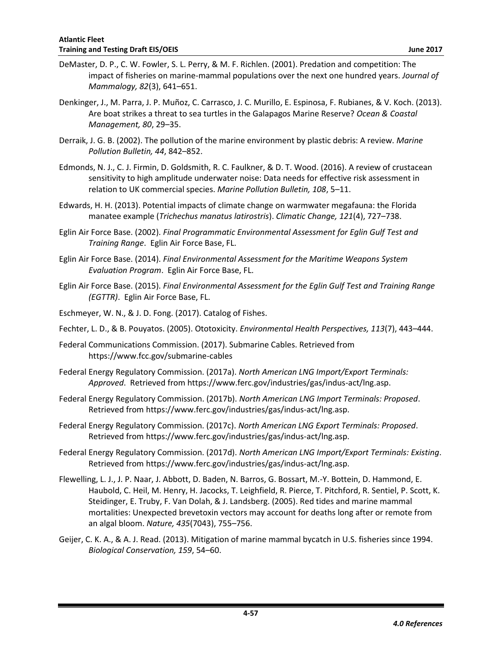- DeMaster, D. P., C. W. Fowler, S. L. Perry, & M. F. Richlen. (2001). Predation and competition: The impact of fisheries on marine-mammal populations over the next one hundred years. *Journal of Mammalogy, 82*(3), 641–651.
- Denkinger, J., M. Parra, J. P. Muñoz, C. Carrasco, J. C. Murillo, E. Espinosa, F. Rubianes, & V. Koch. (2013). Are boat strikes a threat to sea turtles in the Galapagos Marine Reserve? *Ocean & Coastal Management, 80*, 29–35.
- Derraik, J. G. B. (2002). The pollution of the marine environment by plastic debris: A review. *Marine Pollution Bulletin, 44*, 842–852.
- Edmonds, N. J., C. J. Firmin, D. Goldsmith, R. C. Faulkner, & D. T. Wood. (2016). A review of crustacean sensitivity to high amplitude underwater noise: Data needs for effective risk assessment in relation to UK commercial species. *Marine Pollution Bulletin, 108*, 5–11.
- Edwards, H. H. (2013). Potential impacts of climate change on warmwater megafauna: the Florida manatee example (*Trichechus manatus latirostris*). *Climatic Change, 121*(4), 727–738.
- Eglin Air Force Base. (2002). *Final Programmatic Environmental Assessment for Eglin Gulf Test and Training Range*. Eglin Air Force Base, FL.
- Eglin Air Force Base. (2014). *Final Environmental Assessment for the Maritime Weapons System Evaluation Program*. Eglin Air Force Base, FL.
- Eglin Air Force Base. (2015). *Final Environmental Assessment for the Eglin Gulf Test and Training Range (EGTTR)*. Eglin Air Force Base, FL.
- Eschmeyer, W. N., & J. D. Fong. (2017). Catalog of Fishes.
- Fechter, L. D., & B. Pouyatos. (2005). Ototoxicity. *Environmental Health Perspectives, 113*(7), 443–444.
- Federal Communications Commission. (2017). Submarine Cables. Retrieved from https://www.fcc.gov/submarine-cables
- Federal Energy Regulatory Commission. (2017a). *North American LNG Import/Export Terminals: Approved*. Retrieved from https://www.ferc.gov/industries/gas/indus-act/lng.asp.
- Federal Energy Regulatory Commission. (2017b). *North American LNG Import Terminals: Proposed*. Retrieved from https://www.ferc.gov/industries/gas/indus-act/lng.asp.
- Federal Energy Regulatory Commission. (2017c). *North American LNG Export Terminals: Proposed*. Retrieved from https://www.ferc.gov/industries/gas/indus-act/lng.asp.
- Federal Energy Regulatory Commission. (2017d). *North American LNG Import/Export Terminals: Existing*. Retrieved from https://www.ferc.gov/industries/gas/indus-act/lng.asp.
- Flewelling, L. J., J. P. Naar, J. Abbott, D. Baden, N. Barros, G. Bossart, M.-Y. Bottein, D. Hammond, E. Haubold, C. Heil, M. Henry, H. Jacocks, T. Leighfield, R. Pierce, T. Pitchford, R. Sentiel, P. Scott, K. Steidinger, E. Truby, F. Van Dolah, & J. Landsberg. (2005). Red tides and marine mammal mortalities: Unexpected brevetoxin vectors may account for deaths long after or remote from an algal bloom. *Nature, 435*(7043), 755–756.
- Geijer, C. K. A., & A. J. Read. (2013). Mitigation of marine mammal bycatch in U.S. fisheries since 1994. *Biological Conservation, 159*, 54–60.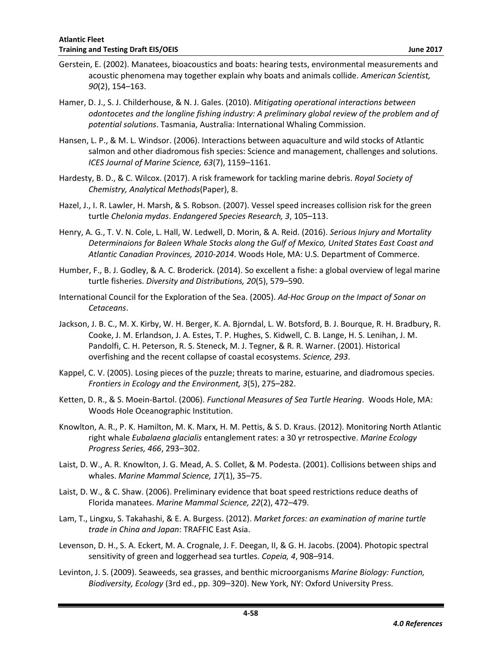- Gerstein, E. (2002). Manatees, bioacoustics and boats: hearing tests, environmental measurements and acoustic phenomena may together explain why boats and animals collide. *American Scientist, 90*(2), 154–163.
- Hamer, D. J., S. J. Childerhouse, & N. J. Gales. (2010). *Mitigating operational interactions between odontocetes and the longline fishing industry: A preliminary global review of the problem and of potential solutions*. Tasmania, Australia: International Whaling Commission.
- Hansen, L. P., & M. L. Windsor. (2006). Interactions between aquaculture and wild stocks of Atlantic salmon and other diadromous fish species: Science and management, challenges and solutions. *ICES Journal of Marine Science, 63*(7), 1159–1161.
- Hardesty, B. D., & C. Wilcox. (2017). A risk framework for tackling marine debris. *Royal Society of Chemistry, Analytical Methods*(Paper), 8.
- Hazel, J., I. R. Lawler, H. Marsh, & S. Robson. (2007). Vessel speed increases collision risk for the green turtle *Chelonia mydas*. *Endangered Species Research, 3*, 105–113.
- Henry, A. G., T. V. N. Cole, L. Hall, W. Ledwell, D. Morin, & A. Reid. (2016). *Serious Injury and Mortality Determinaions for Baleen Whale Stocks along the Gulf of Mexico, United States East Coast and Atlantic Canadian Provinces, 2010-2014*. Woods Hole, MA: U.S. Department of Commerce.
- Humber, F., B. J. Godley, & A. C. Broderick. (2014). So excellent a fishe: a global overview of legal marine turtle fisheries. *Diversity and Distributions, 20*(5), 579–590.
- International Council for the Exploration of the Sea. (2005). *Ad-Hoc Group on the Impact of Sonar on Cetaceans*.
- Jackson, J. B. C., M. X. Kirby, W. H. Berger, K. A. Bjorndal, L. W. Botsford, B. J. Bourque, R. H. Bradbury, R. Cooke, J. M. Erlandson, J. A. Estes, T. P. Hughes, S. Kidwell, C. B. Lange, H. S. Lenihan, J. M. Pandolfi, C. H. Peterson, R. S. Steneck, M. J. Tegner, & R. R. Warner. (2001). Historical overfishing and the recent collapse of coastal ecosystems. *Science, 293*.
- Kappel, C. V. (2005). Losing pieces of the puzzle; threats to marine, estuarine, and diadromous species. *Frontiers in Ecology and the Environment, 3*(5), 275–282.
- Ketten, D. R., & S. Moein-Bartol. (2006). *Functional Measures of Sea Turtle Hearing*. Woods Hole, MA: Woods Hole Oceanographic Institution.
- Knowlton, A. R., P. K. Hamilton, M. K. Marx, H. M. Pettis, & S. D. Kraus. (2012). Monitoring North Atlantic right whale *Eubalaena glacialis* entanglement rates: a 30 yr retrospective. *Marine Ecology Progress Series, 466*, 293–302.
- Laist, D. W., A. R. Knowlton, J. G. Mead, A. S. Collet, & M. Podesta. (2001). Collisions between ships and whales. *Marine Mammal Science, 17*(1), 35–75.
- Laist, D. W., & C. Shaw. (2006). Preliminary evidence that boat speed restrictions reduce deaths of Florida manatees. *Marine Mammal Science, 22*(2), 472–479.
- Lam, T., Lingxu, S. Takahashi, & E. A. Burgess. (2012). *Market forces: an examination of marine turtle trade in China and Japan*: TRAFFIC East Asia.
- Levenson, D. H., S. A. Eckert, M. A. Crognale, J. F. Deegan, II, & G. H. Jacobs. (2004). Photopic spectral sensitivity of green and loggerhead sea turtles. *Copeia, 4*, 908–914.
- Levinton, J. S. (2009). Seaweeds, sea grasses, and benthic microorganisms *Marine Biology: Function, Biodiversity, Ecology* (3rd ed., pp. 309–320). New York, NY: Oxford University Press.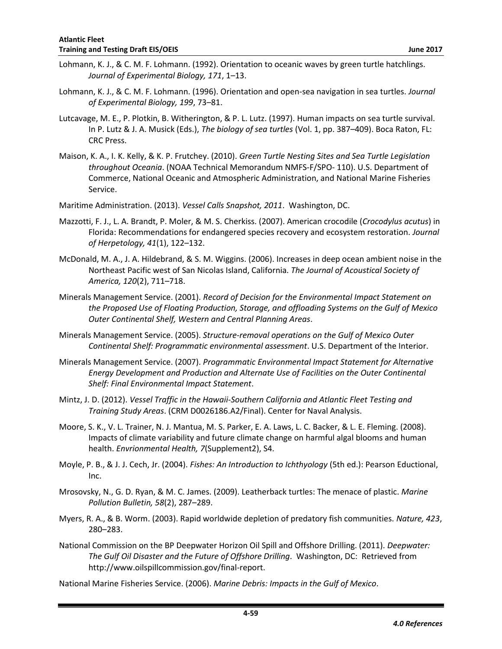- Lohmann, K. J., & C. M. F. Lohmann. (1992). Orientation to oceanic waves by green turtle hatchlings. *Journal of Experimental Biology, 171*, 1–13.
- Lohmann, K. J., & C. M. F. Lohmann. (1996). Orientation and open-sea navigation in sea turtles. *Journal of Experimental Biology, 199*, 73–81.
- Lutcavage, M. E., P. Plotkin, B. Witherington, & P. L. Lutz. (1997). Human impacts on sea turtle survival. In P. Lutz & J. A. Musick (Eds.), *The biology of sea turtles* (Vol. 1, pp. 387–409). Boca Raton, FL: CRC Press.
- Maison, K. A., I. K. Kelly, & K. P. Frutchey. (2010). *Green Turtle Nesting Sites and Sea Turtle Legislation throughout Oceania*. (NOAA Technical Memorandum NMFS-F/SPO- 110). U.S. Department of Commerce, National Oceanic and Atmospheric Administration, and National Marine Fisheries Service.
- Maritime Administration. (2013). *Vessel Calls Snapshot, 2011*. Washington, DC.
- Mazzotti, F. J., L. A. Brandt, P. Moler, & M. S. Cherkiss. (2007). American crocodile (*Crocodylus acutus*) in Florida: Recommendations for endangered species recovery and ecosystem restoration. *Journal of Herpetology, 41*(1), 122–132.
- McDonald, M. A., J. A. Hildebrand, & S. M. Wiggins. (2006). Increases in deep ocean ambient noise in the Northeast Pacific west of San Nicolas Island, California. *The Journal of Acoustical Society of America, 120*(2), 711–718.
- Minerals Management Service. (2001). *Record of Decision for the Environmental Impact Statement on the Proposed Use of Floating Production, Storage, and offloading Systems on the Gulf of Mexico Outer Continental Shelf, Western and Central Planning Areas*.
- Minerals Management Service. (2005). *Structure-removal operations on the Gulf of Mexico Outer Continental Shelf: Programmatic environmental assessment*. U.S. Department of the Interior.
- Minerals Management Service. (2007). *Programmatic Environmental Impact Statement for Alternative Energy Development and Production and Alternate Use of Facilities on the Outer Continental Shelf: Final Environmental Impact Statement*.
- Mintz, J. D. (2012). *Vessel Traffic in the Hawaii-Southern California and Atlantic Fleet Testing and Training Study Areas*. (CRM D0026186.A2/Final). Center for Naval Analysis.
- Moore, S. K., V. L. Trainer, N. J. Mantua, M. S. Parker, E. A. Laws, L. C. Backer, & L. E. Fleming. (2008). Impacts of climate variability and future climate change on harmful algal blooms and human health. *Envrionmental Health, 7*(Supplement2), S4.
- Moyle, P. B., & J. J. Cech, Jr. (2004). *Fishes: An Introduction to Ichthyology* (5th ed.): Pearson Eductional, Inc.
- Mrosovsky, N., G. D. Ryan, & M. C. James. (2009). Leatherback turtles: The menace of plastic. *Marine Pollution Bulletin, 58*(2), 287–289.
- Myers, R. A., & B. Worm. (2003). Rapid worldwide depletion of predatory fish communities. *Nature, 423*, 280–283.
- National Commission on the BP Deepwater Horizon Oil Spill and Offshore Drilling. (2011). *Deepwater: The Gulf Oil Disaster and the Future of Offshore Drilling*. Washington, DC: Retrieved from http://www.oilspillcommission.gov/final-report.
- National Marine Fisheries Service. (2006). *Marine Debris: Impacts in the Gulf of Mexico*.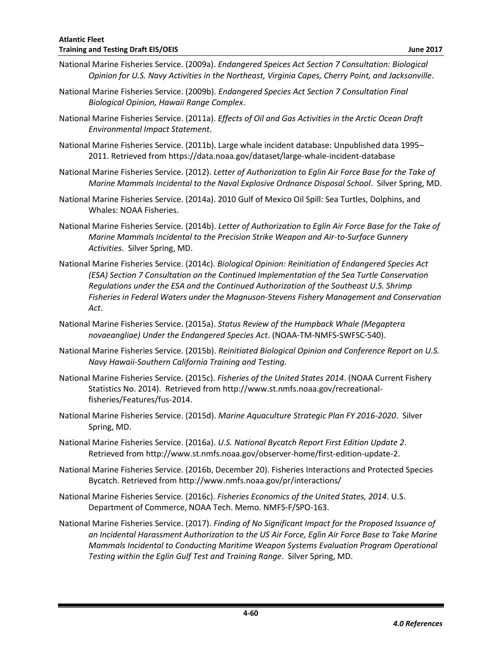- National Marine Fisheries Service. (2009a). *Endangered Speices Act Section 7 Consultation: Biological Opinion for U.S. Navy Activities in the Northeast, Virginia Capes, Cherry Point, and Jacksonville*.
- National Marine Fisheries Service. (2009b). *Endangered Species Act Section 7 Consultation Final Biological Opinion, Hawaii Range Complex*.
- National Marine Fisheries Service. (2011a). *Effects of Oil and Gas Activities in the Arctic Ocean Draft Environmental Impact Statement*.
- National Marine Fisheries Service. (2011b). Large whale incident database: Unpublished data 1995– 2011. Retrieved from https://data.noaa.gov/dataset/large-whale-incident-database
- National Marine Fisheries Service. (2012). *Letter of Authorization to Eglin Air Force Base for the Take of Marine Mammals Incidental to the Naval Explosive Ordnance Disposal School*. Silver Spring, MD.
- National Marine Fisheries Service. (2014a). 2010 Gulf of Mexico Oil Spill: Sea Turtles, Dolphins, and Whales: NOAA Fisheries.
- National Marine Fisheries Service. (2014b). *Letter of Authorization to Eglin Air Force Base for the Take of Marine Mammals Incidental to the Precision Strike Weapon and Air-to-Surface Gunnery Activities*. Silver Spring, MD.
- National Marine Fisheries Service. (2014c). *Biological Opinion: Reinitiation of Endangered Species Act (ESA) Section 7 Consultation on the Continued Implementation of the Sea Turtle Conservation Regulations under the ESA and the Continued Authorization of the Southeast U.S. Shrimp Fisheries in Federal Waters under the Magnuson-Stevens Fishery Management and Conservation Act*.
- National Marine Fisheries Service. (2015a). *Status Review of the Humpback Whale (Megaptera novaeangliae) Under the Endangered Species Act*. (NOAA-TM-NMFS-SWFSC-540).
- National Marine Fisheries Service. (2015b). *Reinitiated Biological Opinion and Conference Report on U.S. Navy Hawaii-Southern California Training and Testing*.
- National Marine Fisheries Service. (2015c). *Fisheries of the United States 2014*. (NOAA Current Fishery Statistics No. 2014). Retrieved from http://www.st.nmfs.noaa.gov/recreationalfisheries/Features/fus-2014.
- National Marine Fisheries Service. (2015d). *Marine Aquaculture Strategic Plan FY 2016-2020*. Silver Spring, MD.
- National Marine Fisheries Service. (2016a). *U.S. National Bycatch Report First Edition Update 2*. Retrieved from http://www.st.nmfs.noaa.gov/observer-home/first-edition-update-2.
- National Marine Fisheries Service. (2016b, December 20). Fisheries Interactions and Protected Species Bycatch. Retrieved from http://www.nmfs.noaa.gov/pr/interactions/
- National Marine Fisheries Service. (2016c). *Fisheries Economics of the United States, 2014*. U.S. Department of Commerce, NOAA Tech. Memo. NMFS-F/SPO-163.
- National Marine Fisheries Service. (2017). *Finding of No Significant Impact for the Proposed Issuance of an Incidental Harassment Authorization to the US Air Force, Eglin Air Force Base to Take Marine Mammals Incidental to Conducting Maritime Weapon Systems Evaluation Program Operational Testing within the Eglin Gulf Test and Training Range*. Silver Spring, MD.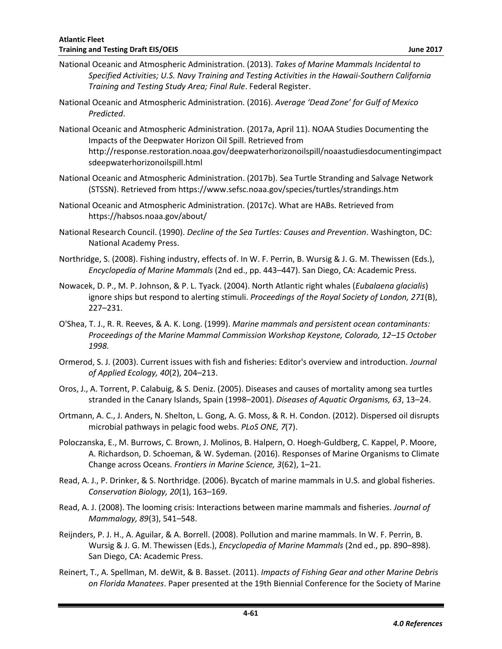- National Oceanic and Atmospheric Administration. (2013). *Takes of Marine Mammals Incidental to Specified Activities; U.S. Navy Training and Testing Activities in the Hawaii-Southern California Training and Testing Study Area; Final Rule*. Federal Register.
- National Oceanic and Atmospheric Administration. (2016). *Average 'Dead Zone' for Gulf of Mexico Predicted*.
- National Oceanic and Atmospheric Administration. (2017a, April 11). NOAA Studies Documenting the Impacts of the Deepwater Horizon Oil Spill. Retrieved from http://response.restoration.noaa.gov/deepwaterhorizonoilspill/noaastudiesdocumentingimpact sdeepwaterhorizonoilspill.html
- National Oceanic and Atmospheric Administration. (2017b). Sea Turtle Stranding and Salvage Network (STSSN). Retrieved from https://www.sefsc.noaa.gov/species/turtles/strandings.htm
- National Oceanic and Atmospheric Administration. (2017c). What are HABs. Retrieved from https://habsos.noaa.gov/about/
- National Research Council. (1990). *Decline of the Sea Turtles: Causes and Prevention*. Washington, DC: National Academy Press.
- Northridge, S. (2008). Fishing industry, effects of. In W. F. Perrin, B. Wursig & J. G. M. Thewissen (Eds.), *Encyclopedia of Marine Mammals* (2nd ed., pp. 443–447). San Diego, CA: Academic Press.
- Nowacek, D. P., M. P. Johnson, & P. L. Tyack. (2004). North Atlantic right whales (*Eubalaena glacialis*) ignore ships but respond to alerting stimuli. *Proceedings of the Royal Society of London, 271*(B), 227–231.
- O'Shea, T. J., R. R. Reeves, & A. K. Long. (1999). *Marine mammals and persistent ocean contaminants: Proceedings of the Marine Mammal Commission Workshop Keystone, Colorado, 12–15 October 1998.*
- Ormerod, S. J. (2003). Current issues with fish and fisheries: Editor's overview and introduction. *Journal of Applied Ecology, 40*(2), 204–213.
- Oros, J., A. Torrent, P. Calabuig, & S. Deniz. (2005). Diseases and causes of mortality among sea turtles stranded in the Canary Islands, Spain (1998–2001). *Diseases of Aquatic Organisms, 63*, 13–24.
- Ortmann, A. C., J. Anders, N. Shelton, L. Gong, A. G. Moss, & R. H. Condon. (2012). Dispersed oil disrupts microbial pathways in pelagic food webs. *PLoS ONE, 7*(7).
- Poloczanska, E., M. Burrows, C. Brown, J. Molinos, B. Halpern, O. Hoegh-Guldberg, C. Kappel, P. Moore, A. Richardson, D. Schoeman, & W. Sydeman. (2016). Responses of Marine Organisms to Climate Change across Oceans. *Frontiers in Marine Science, 3*(62), 1–21.
- Read, A. J., P. Drinker, & S. Northridge. (2006). Bycatch of marine mammals in U.S. and global fisheries. *Conservation Biology, 20*(1), 163–169.
- Read, A. J. (2008). The looming crisis: Interactions between marine mammals and fisheries. *Journal of Mammalogy, 89*(3), 541–548.
- Reijnders, P. J. H., A. Aguilar, & A. Borrell. (2008). Pollution and marine mammals. In W. F. Perrin, B. Wursig & J. G. M. Thewissen (Eds.), *Encyclopedia of Marine Mammals* (2nd ed., pp. 890–898). San Diego, CA: Academic Press.
- Reinert, T., A. Spellman, M. deWit, & B. Basset. (2011). *Impacts of Fishing Gear and other Marine Debris on Florida Manatees*. Paper presented at the 19th Biennial Conference for the Society of Marine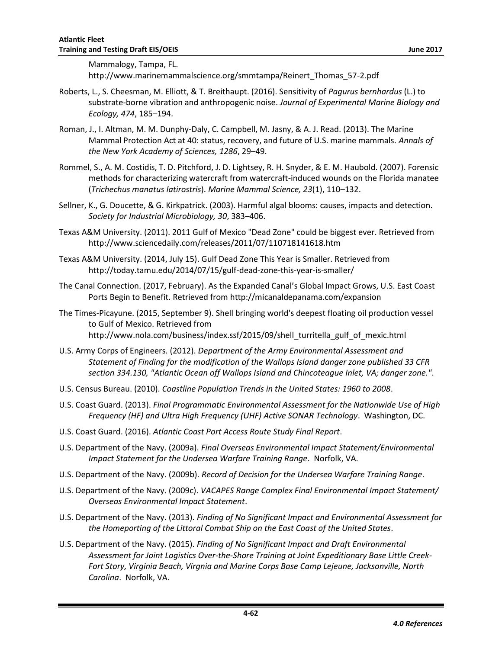Mammalogy, Tampa, FL.

http://www.marinemammalscience.org/smmtampa/Reinert\_Thomas\_57-2.pdf

- Roberts, L., S. Cheesman, M. Elliott, & T. Breithaupt. (2016). Sensitivity of *Pagurus bernhardus* (L.) to substrate-borne vibration and anthropogenic noise. *Journal of Experimental Marine Biology and Ecology, 474*, 185–194.
- Roman, J., I. Altman, M. M. Dunphy-Daly, C. Campbell, M. Jasny, & A. J. Read. (2013). The Marine Mammal Protection Act at 40: status, recovery, and future of U.S. marine mammals. *Annals of the New York Academy of Sciences, 1286*, 29–49.
- Rommel, S., A. M. Costidis, T. D. Pitchford, J. D. Lightsey, R. H. Snyder, & E. M. Haubold. (2007). Forensic methods for characterizing watercraft from watercraft-induced wounds on the Florida manatee (*Trichechus manatus latirostris*). *Marine Mammal Science, 23*(1), 110–132.
- Sellner, K., G. Doucette, & G. Kirkpatrick. (2003). Harmful algal blooms: causes, impacts and detection. *Society for Industrial Microbiology, 30*, 383–406.
- Texas A&M University. (2011). 2011 Gulf of Mexico "Dead Zone" could be biggest ever. Retrieved from http://www.sciencedaily.com/releases/2011/07/110718141618.htm
- Texas A&M University. (2014, July 15). Gulf Dead Zone This Year is Smaller. Retrieved from http://today.tamu.edu/2014/07/15/gulf-dead-zone-this-year-is-smaller/
- The Canal Connection. (2017, February). As the Expanded Canal's Global Impact Grows, U.S. East Coast Ports Begin to Benefit. Retrieved from http://micanaldepanama.com/expansion
- The Times-Picayune. (2015, September 9). Shell bringing world's deepest floating oil production vessel to Gulf of Mexico. Retrieved from http://www.nola.com/business/index.ssf/2015/09/shell\_turritella\_gulf\_of\_mexic.html
- U.S. Army Corps of Engineers. (2012). *Department of the Army Environmental Assessment and Statement of Finding for the modification of the Wallops Island danger zone published 33 CFR section 334.130, "Atlantic Ocean off Wallops Island and Chincoteague Inlet, VA; danger zone."*.
- U.S. Census Bureau. (2010). *Coastline Population Trends in the United States: 1960 to 2008*.
- U.S. Coast Guard. (2013). *Final Programmatic Environmental Assessment for the Nationwide Use of High Frequency (HF) and Ultra High Frequency (UHF) Active SONAR Technology*. Washington, DC.
- U.S. Coast Guard. (2016). *Atlantic Coast Port Access Route Study Final Report*.
- U.S. Department of the Navy. (2009a). *Final Overseas Environmental Impact Statement/Environmental Impact Statement for the Undersea Warfare Training Range*. Norfolk, VA.
- U.S. Department of the Navy. (2009b). *Record of Decision for the Undersea Warfare Training Range*.
- U.S. Department of the Navy. (2009c). *VACAPES Range Complex Final Environmental Impact Statement/ Overseas Environmental Impact Statement*.
- U.S. Department of the Navy. (2013). *Finding of No Significant Impact and Environmental Assessment for the Homeporting of the Littoral Combat Ship on the East Coast of the United States*.
- U.S. Department of the Navy. (2015). *Finding of No Significant Impact and Draft Environmental Assessment for Joint Logistics Over-the-Shore Training at Joint Expeditionary Base Little Creek-Fort Story, Virginia Beach, Virgnia and Marine Corps Base Camp Lejeune, Jacksonville, North Carolina*. Norfolk, VA.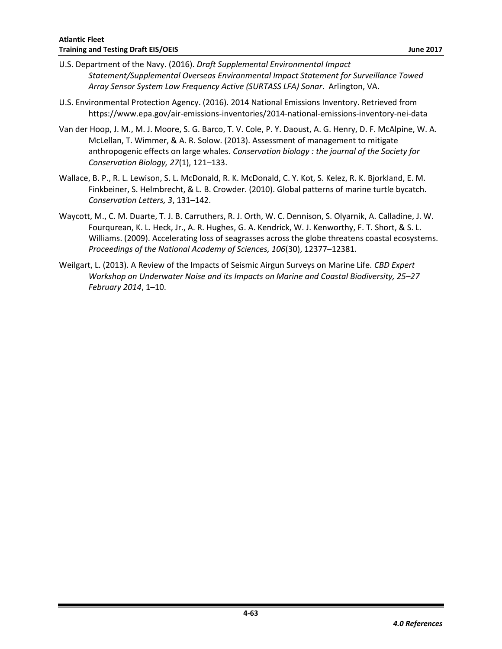- U.S. Department of the Navy. (2016). *Draft Supplemental Environmental Impact Statement/Supplemental Overseas Environmental Impact Statement for Surveillance Towed Array Sensor System Low Frequency Active (SURTASS LFA) Sonar*. Arlington, VA.
- U.S. Environmental Protection Agency. (2016). 2014 National Emissions Inventory. Retrieved from https://www.epa.gov/air-emissions-inventories/2014-national-emissions-inventory-nei-data
- Van der Hoop, J. M., M. J. Moore, S. G. Barco, T. V. Cole, P. Y. Daoust, A. G. Henry, D. F. McAlpine, W. A. McLellan, T. Wimmer, & A. R. Solow. (2013). Assessment of management to mitigate anthropogenic effects on large whales. *Conservation biology : the journal of the Society for Conservation Biology, 27*(1), 121–133.
- Wallace, B. P., R. L. Lewison, S. L. McDonald, R. K. McDonald, C. Y. Kot, S. Kelez, R. K. Bjorkland, E. M. Finkbeiner, S. Helmbrecht, & L. B. Crowder. (2010). Global patterns of marine turtle bycatch. *Conservation Letters, 3*, 131–142.
- Waycott, M., C. M. Duarte, T. J. B. Carruthers, R. J. Orth, W. C. Dennison, S. Olyarnik, A. Calladine, J. W. Fourqurean, K. L. Heck, Jr., A. R. Hughes, G. A. Kendrick, W. J. Kenworthy, F. T. Short, & S. L. Williams. (2009). Accelerating loss of seagrasses across the globe threatens coastal ecosystems. *Proceedings of the National Academy of Sciences, 106*(30), 12377–12381.
- Weilgart, L. (2013). A Review of the Impacts of Seismic Airgun Surveys on Marine Life. *CBD Expert Workshop on Underwater Noise and its Impacts on Marine and Coastal Biodiversity, 25–27 February 2014*, 1–10.